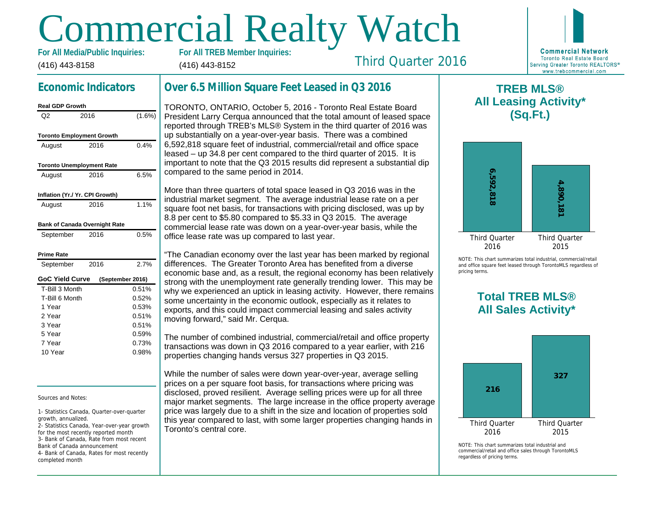# Commercial Realty Watch

(416) 443-8158 For All Media/Public Inquiries: (416) 443-8152

## Economic Indicators

| Real GDP Growth                  |      |                  |
|----------------------------------|------|------------------|
| Q2                               | 2016 | (1.6%)           |
| <b>Toronto Employment Growth</b> |      |                  |
| August                           | 2016 | 0.4%             |
| <b>Toronto Unemployment Rate</b> |      |                  |
| August                           | 2016 | 6.5%             |
| Inflation (Yr./ Yr. CPI Growth)  |      |                  |
| August                           | 2016 | 1.1%             |
| Bank of Canada Overnight Rate    |      |                  |
| September                        | 2016 | 0.5%             |
| Prime Rate                       |      |                  |
| September                        | 2016 | 2.7%             |
| <b>GoC Yield Curve</b>           |      | (September 2016) |
| T-Bill 3 Month                   |      | 0.51%            |
| T-Bill 6 Month                   |      | 0.52%            |
| 1 Year                           |      | 0.53%            |
| 2 Year                           |      | 0.51%            |
| 3 Year                           |      | 0.51%            |
| 5 Year                           |      | 0.59%            |
| 7 Year                           |      | 0.73%            |
| 10 Year                          |      | 0.98%            |

#### Sources and Notes:

1- Statistics Canada, Quarter-over-quarter growth, annualized.

2- Statistics Canada, Year-over-year growth for the most recently reported month 3- Bank of Canada, Rate from most recent Bank of Canada announcement 4- Bank of Canada, Rates for most recently completed month

## Over 6.5 Million Square Feet Leased in Q3 2016

TORONTO, ONTARIO, October 5, 2016 - Toronto Real Estate Board President Larry Cerqua announced that the total amount of leased space reported through TREB's MLS® System in the third quarter of 2016 was up substantially on a year-over-year basis. There was a combined 6,592,818 square feet of industrial, commercial/retail and office space leased – up 34.8 per cent compared to the third quarter of 2015. It is important to note that the Q3 2015 results did represent a substantial dip compared to the same period in 2014.

More than three quarters of total space leased in Q3 2016 was in the industrial market segment. The average industrial lease rate on a per square foot net basis, for transactions with pricing disclosed, was up by 8.8 per cent to \$5.80 compared to \$5.33 in Q3 2015. The average commercial lease rate was down on a year-over-year basis, while the office lease rate was up compared to last year.

"The Canadian economy over the last year has been marked by regional differences. The Greater Toronto Area has benefited from a diverse economic base and, as a result, the regional economy has been relatively strong with the unemployment rate generally trending lower. This may be why we experienced an uptick in leasing activity. However, there remains some uncertainty in the economic outlook, especially as it relates to exports, and this could impact commercial leasing and sales activity moving forward," said Mr. Cerqua.

The number of combined industrial, commercial/retail and office property transactions was down in Q3 2016 compared to a year earlier, with 216 properties changing hands versus 327 properties in Q3 2015.

While the number of sales were down year-over-year, average selling prices on a per square foot basis, for transactions where pricing was disclosed, proved resilient. Average selling prices were up for all three major market segments. The large increase in the office property average price was largely due to a shift in the size and location of properties sold this year compared to last, with some larger properties changing hands in Toronto's central core.

 $\mathsf T$ All Lea

Third Quarter 2016

NOTE: This chart sur and office square fee pricing terms.

## Total All Sa

 $NOTF: This chart sur$ commercial/retail and regardless of pricing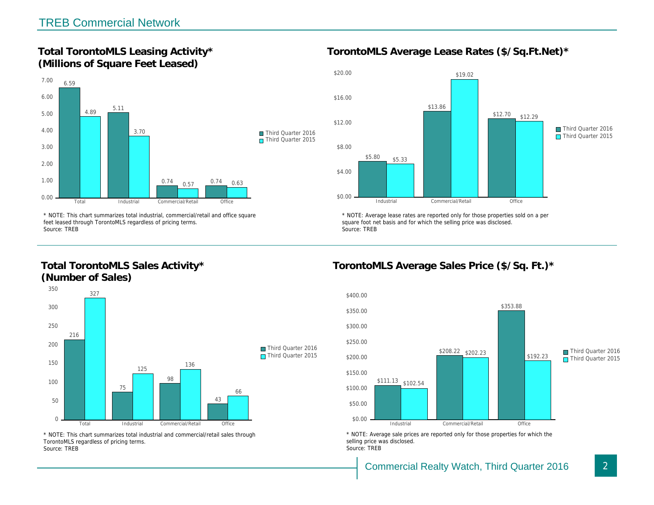Total TorontoMLS Leasing Activity\* (Millions of Square Feet Leased)

TorontoMLS Average Lease Rates (\$/Sq.

\* NOTE: This chart summarizes total industrial, commercial/retail and office square feet leased through TorontoMLS regardless of pricing terms. Source: TREB

Total TorontoMLS Sales Activity\* (Number of Sales)

\* NOTE: Average lease rates are reported only for those proper square foot net basis and for which the selling price was disclos Source: TREB

TorontoMLS Average Sales Price (\$/Sq.

\* NOTE: This chart summarizes total industrial and commercial/retail sales through TorontoMLS regardless of pricing terms. Source: TREB

\* NOTE: Average sale prices are reported only for those prope selling price was disclosed. Source: TREB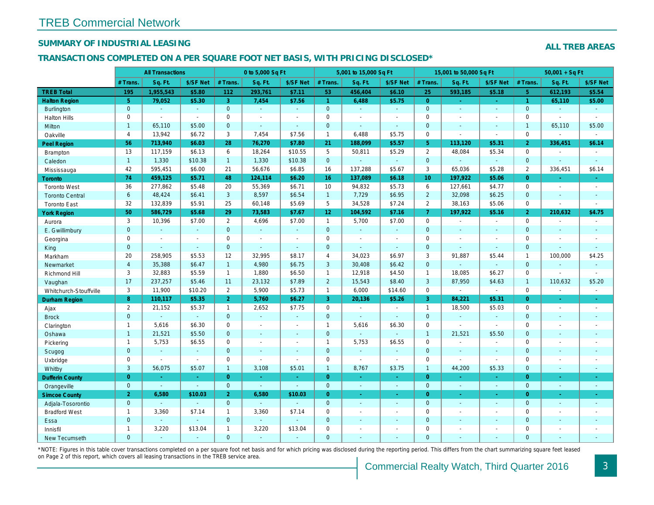## SUMMARY OF INDUSTRIAL LEASING

#### TRANSACTIONS COMPLETED ON A PER SQUARE FOOT NET BASIS, WITH PRICING DISCLOSED\*

|                        |                | <b>All Transactions</b> |                |                       | 0 to 5,000 Sq Ft |                          |                 | 5,001 to 15,000 Sq Ft |                  |                 | 15,001 to 50,000 Sq Ft   |                |
|------------------------|----------------|-------------------------|----------------|-----------------------|------------------|--------------------------|-----------------|-----------------------|------------------|-----------------|--------------------------|----------------|
|                        | # Trans.       | Sq. Ft.                 | \$/SF Net      | # Trans.              | Sq. Ft.          | \$/SF Net                | # Trans.        | Sq. Ft.               | \$/SF Net        | # Trans.        | Sq. Ft.                  | \$/SF Ne       |
| <b>TREB Total</b>      | 195            | 1,955,543               | \$5.80         | 112                   | 293,761          | \$7.11                   | 53              | 456,404               | \$6.10           | 25              | 593,185                  | \$5.18         |
| <b>Halton Region</b>   | 5 <sup>5</sup> | 79,052                  | \$5.30         | 3                     | 7,454            | \$7.56                   | $\mathbf{1}$    | 6,488                 | \$5.75           | $\overline{0}$  | $\omega$                 | $\sim$         |
| <b>Burlington</b>      | $\mathbf 0$    | $\omega$                | $\sim$         | $\mathbf 0$           | $\omega$         | $\omega$                 | $\overline{0}$  | $\omega$              | $\omega_{\rm c}$ | $\mathbf{0}$    | $\omega$                 | $\omega$       |
| <b>Halton Hills</b>    | 0              | $\sim$                  | $\blacksquare$ | 0                     | $\sim$           | $\sim$                   | $\mathsf 0$     | ä,                    | ä,               | $\mathbf 0$     | $\blacksquare$           | $\blacksquare$ |
| Milton                 | $\mathbf{1}$   | 65,110                  | \$5.00         | $\overline{0}$        | $\omega$         | $\mathbf{r}$             | $\mathbf{0}$    | $\blacksquare$        | ÷.               | $\mathbf{0}$    | $\Delta$                 | $\sim$         |
| Oakville               | 4              | 13,942                  | \$6.72         | 3                     | 7,454            | \$7.56                   | $\mathbf{1}$    | 6,488                 | \$5.75           | $\mathbf 0$     |                          | $\blacksquare$ |
| Peel Region            | 56             | 713,940                 | \$6.03         | 28                    | 76,270           | \$7.80                   | 21              | 188,099               | \$5.57           | 5 <sup>5</sup>  | 113,120                  | \$5.31         |
| <b>Brampton</b>        | 13             | 117,159                 | \$6.13         | 6                     | 18,264           | \$10.55                  | 5               | 50,811                | \$5.29           | 2               | 48,084                   | \$5.34         |
| Caledon                | $\mathbf{1}$   | 1,330                   | \$10.38        | 1                     | 1,330            | \$10.38                  | $\mathbf{0}$    | ä,                    | $\omega$         | $\overline{0}$  | $\omega$                 | $\blacksquare$ |
| Mississauga            | 42             | 595,451                 | \$6.00         | 21                    | 56,676           | \$6.85                   | 16              | 137,288               | \$5.67           | 3               | 65,036                   | \$5.28         |
| Toronto                | 74             | 459,125                 | \$5.71         | 48                    | 124,114          | \$6.20                   | 16              | 137,089               | \$6.18           | 10 <sup>°</sup> | 197,922                  | \$5.06         |
| <b>Toronto West</b>    | 36             | 277,862                 | \$5.48         | 20                    | 55,369           | \$6.71                   | 10              | 94,832                | \$5.73           | 6               | 127,661                  | \$4.77         |
| <b>Toronto Central</b> | $6\phantom{a}$ | 48,424                  | \$6.41         | 3                     | 8,597            | \$6.54                   | $\mathbf{1}$    | 7,729                 | \$6.95           | $\overline{2}$  | 32,098                   | \$6.25         |
| <b>Toronto East</b>    | 32             | 132,839                 | \$5.91         | 25                    | 60,148           | \$5.69                   | 5               | 34,528                | \$7.24           | 2               | 38,163                   | \$5.06         |
| <b>York Region</b>     | 50             | 586,729                 | \$5.68         | 29                    | 73,583           | \$7.67                   | 12 <sub>2</sub> | 104,592               | \$7.16           | $\overline{7}$  | 197,922                  | \$5.16         |
| Aurora                 | 3              | 10,396                  | \$7.00         | $\overline{2}$        | 4,696            | \$7.00                   | $\mathbf{1}$    | 5,700                 | \$7.00           | $\mathbf 0$     |                          | $\sim$         |
| E. Gwillimbury         | $\mathbf{0}$   | $\blacksquare$          | $\sim$         | $\mathbf{0}$          | $\omega$         | $\blacksquare$           | $\mathbf{0}$    | $\omega$              | $\omega$         | $\mathbf{0}$    | $\sim$                   | $\blacksquare$ |
| Georgina               | 0              | $\sim$                  | $\sim$         | 0                     | $\blacksquare$   | $\sim$                   | $\mathbf 0$     | $\blacksquare$        | $\blacksquare$   | $\mathbf 0$     | $\blacksquare$           | $\blacksquare$ |
| King                   | $\mathbf{0}$   |                         | $\sim$         | $\mathbf{0}$          | $\blacksquare$   | $\blacksquare$           | $\mathbf 0$     | ٠                     | $\blacksquare$   | $\mathbf{0}$    | $\sim$                   | $\blacksquare$ |
| Markham                | 20             | 258,905                 | \$5.53         | 12                    | 32,995           | \$8.17                   | $\overline{4}$  | 34,023                | \$6.97           | 3               | 91,887                   | \$5.44         |
| Newmarket              | $\overline{4}$ | 35,388                  | \$6.47         | $\mathbf{1}$          | 4,980            | \$6.75                   | $\mathbf{3}$    | 30,408                | \$6.42           | $\mathbf{0}$    | $\omega$                 | $\blacksquare$ |
| Richmond Hill          | 3              | 32,883                  | \$5.59         | $\mathbf{1}$          | 1,880            | \$6.50                   | $\mathbf{1}$    | 12,918                | \$4.50           | $\overline{1}$  | 18,085                   | \$6.27         |
| Vaughan                | 17             | 237,257                 | \$5.46         | 11                    | 23,132           | \$7.89                   | $\overline{2}$  | 15,543                | \$8.40           | 3               | 87,950                   | \$4.63         |
| Whitchurch-Stouffville | 3              | 11,900                  | \$10.20        | $\mathbf{2}^{\prime}$ | 5,900            | \$5.73                   | $\mathbf{1}$    | 6,000                 | \$14.60          | $\mathbf 0$     | $\overline{\phantom{a}}$ | $\blacksquare$ |
| Durham Region          | 8              | 110,117                 | \$5.35         | 2 <sup>1</sup>        | 5,760            | \$6.27                   | 3 <sup>°</sup>  | 20,136                | \$5.26           | $\overline{3}$  | 84,221                   | \$5.31         |
| Ajax                   | $\overline{2}$ | 21,152                  | \$5.37         | $\mathbf{1}$          | 2,652            | \$7.75                   | $\mathbf 0$     | $\blacksquare$        | $\mathbf{r}$     | $\mathbf{1}$    | 18,500                   | \$5.03         |
| <b>Brock</b>           | $\overline{0}$ | $\omega$                | $\mathbf{r}$   | $\overline{0}$        | $\omega$         | $\blacksquare$           | $\mathbf{0}$    | $\omega$              | $\omega$         | $\mathbf{0}$    | $\blacksquare$           | $\sim$         |
| Clarington             | $\mathbf{1}$   | 5,616                   | \$6.30         | 0                     | $\blacksquare$   | $\blacksquare$           | $\mathbf{1}$    | 5,616                 | \$6.30           | $\mathbf 0$     | $\blacksquare$           | $\blacksquare$ |
| Oshawa                 | $\mathbf{1}$   | 21,521                  | \$5.50         | $\overline{0}$        | $\blacksquare$   | ٠                        | $\overline{0}$  | $\blacksquare$        | $\omega$         | $\overline{1}$  | 21,521                   | \$5.50         |
| Pickering              | $\mathbf{1}$   | 5,753                   | \$6.55         | $\mathbf 0$           | $\blacksquare$   | $\blacksquare$           | $\mathbf{1}$    | 5,753                 | \$6.55           | $\mathbf 0$     | $\blacksquare$           | $\blacksquare$ |
| Scugog                 | $\mathbf{0}$   | $\sim$                  | $\mathbf{r}$   | $\mathbf 0$           | $\omega$         | $\sim$                   | $\pmb{0}$       | $\blacksquare$        | $\omega$         | $\mathbf{0}$    | $\omega$                 | $\blacksquare$ |
| Uxbridge               | 0              | $\sim$                  | $\blacksquare$ | 0                     | $\sim$           | $\blacksquare$           | $\mathbf 0$     | $\blacksquare$        | $\blacksquare$   | $\mathbf 0$     | $\blacksquare$           | $\blacksquare$ |
| Whitby                 | 3              | 56,075                  | \$5.07         | $\mathbf{1}$          | 3,108            | \$5.01                   | $\mathbf{1}$    | 8,767                 | \$3.75           | $\mathbf{1}$    | 44,200                   | \$5.33         |
| <b>Dufferin County</b> | $\overline{0}$ | $\sim$                  | $\sim$         | $\overline{0}$        | i.               | $\blacksquare$           | $\overline{0}$  | $\omega$              | ÷.               | $\overline{0}$  | $\sim$                   | $\sim$         |
| Orangeville            | $\mathbf{0}$   | $\omega$                | $\omega$       | $\overline{0}$        | $\Delta$         | $\mathbf{r}$             | $\overline{0}$  | $\omega$              | ¥.               | $\mathbf{0}$    | $\omega$                 | $\sim$         |
| <b>Simcoe County</b>   | $\overline{2}$ | 6,580                   | \$10.03        | $\overline{2}$        | 6,580            | \$10.03                  | $\overline{0}$  | $\omega$              | ÷.               | $\overline{0}$  | $\omega$                 | $\omega$       |
| Adjala-Tosorontio      | $\mathbf{0}$   |                         | $\sim$         | $\overline{0}$        | $\sim$           |                          | $\mathbf{0}$    | $\omega$              | $\blacksquare$   | $\mathbf 0$     | $\omega$                 | $\blacksquare$ |
| <b>Bradford West</b>   | $\mathbf{1}$   | 3,360                   | \$7.14         | $\mathbf{1}$          | 3,360            | \$7.14                   | $\mathbf 0$     | $\blacksquare$        | $\blacksquare$   | $\mathbf 0$     | $\blacksquare$           | $\blacksquare$ |
| Essa                   | $\mathbf{0}$   |                         | $\omega$       | $\mathbf{0}$          | $\omega$         | $\blacksquare$           | $\mathbf 0$     | ÷,                    | ÷,               | $\mathbf{0}$    | $\blacksquare$           | $\blacksquare$ |
| Innisfil               | $\mathbf{1}$   | 3,220                   | \$13.04        | $\mathbf{1}$          | 3,220            | \$13.04                  | $\mathbf 0$     | $\blacksquare$        | $\blacksquare$   | $\mathbf 0$     | $\blacksquare$           | $\blacksquare$ |
| <b>New Tecumseth</b>   | $\Omega$       | $\sim$                  |                | $\overline{0}$        | $\sim$           | $\overline{\phantom{a}}$ | $\mathbf{0}$    | ä,                    | $\blacksquare$   | $\Omega$        | $\sim$                   | $\sim$         |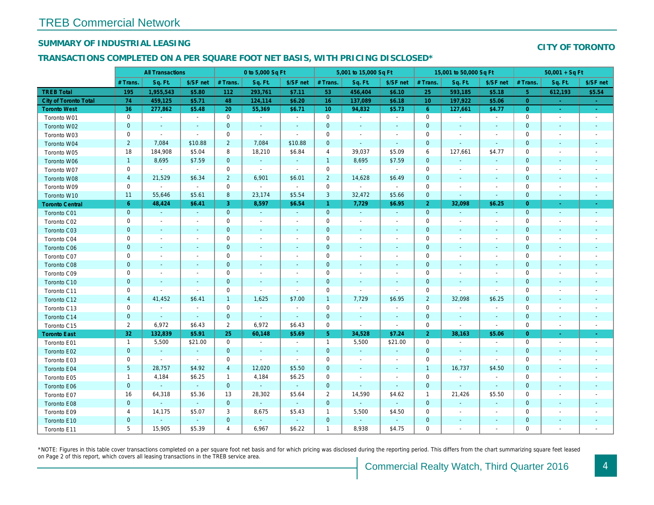## SUMMARY OF INDUSTRIAL LEASING

#### TRANSACTIONS COMPLETED ON A PER SQUARE FOOT NET BASIS, WITH PRICING DISCLOSED\*

| Sq. Ft.<br># Trans.<br>Sq. Ft.<br>\$/SF net<br>Sq. Ft.<br>Sq. Ft.<br># Trans.<br>\$/SF net<br># Trans.<br>\$/SF net<br># Trans.                                                                                   | \$/SF ne                 |
|-------------------------------------------------------------------------------------------------------------------------------------------------------------------------------------------------------------------|--------------------------|
|                                                                                                                                                                                                                   |                          |
| <b>TREB Total</b><br>195<br>1,955,543<br>\$5.80<br>293,761<br>\$7.11<br>53<br>456,404<br>\$6.10<br>593,185<br>112<br>25                                                                                           | \$5.18                   |
| 74<br>\$5.71<br>\$6.20<br>16<br>\$6.18<br><b>City of Toronto Total</b><br>459,125<br>48<br>124,114<br>137,089<br>10<br>197,922                                                                                    | \$5.06                   |
| 36<br><b>Toronto West</b><br>277,862<br>\$5.48<br>20<br>55,369<br>\$6.71<br>10 <sup>°</sup><br>94,832<br>\$5.73<br>$6^{\circ}$<br>127,661                                                                         | \$4.77                   |
| $\mathbf 0$<br>$\mathbf 0$<br>0<br>$\mathbf 0$<br>$\bullet$<br>$\mathbf{a}^{\prime}$<br>Toronto W01<br>$\sim$<br>$\sim$<br>$\sim$<br>$\blacksquare$<br>$\sim$                                                     | $\sim$                   |
| $\mathbf{0}$<br>$\mathbf 0$<br>$\mathbf 0$<br>$\mathbf 0$<br>Toronto W02<br>$\sim$<br>$\blacksquare$<br>$\sim$<br>$\sim$<br>$\sim$<br>$\blacksquare$<br>$\sim$                                                    | $\sim$                   |
| 0<br>$\mathbf 0$<br>$\mathbf 0$<br>0<br>Toronto W03<br>$\sim$<br>$\sim$<br>$\sim$<br>$\tilde{\phantom{a}}$<br>$\blacksquare$<br>$\blacksquare$                                                                    | $\blacksquare$           |
| $\overline{2}$<br>$\overline{2}$<br>7,084<br>$\mathbf 0$<br>$\mathbf{0}$<br>7,084<br>\$10.88<br>\$10.88<br>Toronto W04<br>$\blacksquare$<br>$\sim$<br>$\sim$                                                      | $\blacksquare$           |
| \$5.04<br>8<br>$\overline{4}$<br>39,037<br>\$5.09<br>6<br>18<br>184,908<br>18,210<br>\$6.84<br>127,661<br>Toronto W05                                                                                             | \$4.77                   |
| $\mathbf 0$<br>$\mathbf{1}$<br>8,695<br>\$7.59<br>$\overline{1}$<br>8,695<br>\$7.59<br>$\mathbf{0}$<br>Toronto W06<br>$\sim$<br>$\blacksquare$<br>$\sim$                                                          | $\sim$                   |
| 0<br>$\mathbf 0$<br>$\mathbf 0$<br>$\mathbf{r}$<br>$\sim$<br>$\sim$<br>$\blacksquare$<br>0<br>Toronto W07<br>$\sim$<br>$\sim$<br>$\sim$                                                                           | $\blacksquare$           |
| $\overline{2}$<br>$\overline{4}$<br>$\overline{2}$<br>$\mathbf 0$<br>21,529<br>\$6.34<br>6,901<br>\$6.01<br>14,628<br>\$6.49<br>Toronto W08<br>$\blacksquare$                                                     | $\blacksquare$           |
| $\mathsf{O}\xspace$<br>0<br>$\mathbf 0$<br>$\blacksquare$<br>0<br>Toronto W09<br>$\blacksquare$<br>$\sim$<br>$\blacksquare$<br>$\blacksquare$<br>$\blacksquare$<br>$\overline{\phantom{a}}$                       | $\overline{\phantom{a}}$ |
| 8<br>$\mathbf{3}$<br>11<br>55,646<br>\$5.61<br>23,174<br>\$5.54<br>32,472<br>\$5.66<br>$\mathbf{0}$<br>Toronto W10<br>$\overline{\phantom{a}}$                                                                    | $\sim$                   |
| $6^{\circ}$<br>\$6.41<br>3<br>$\mathbf{1}$<br>48,424<br>8,597<br>\$6.54<br>7,729<br>\$6.95<br>$\overline{2}$<br>32,098<br><b>Toronto Central</b>                                                                  | \$6.25                   |
| $\mathbf 0$<br>$\mathbf 0$<br>$\mathbf{0}$<br>$\mathbf{0}$<br>$\omega$<br>Toronto C01<br>$\sim$<br>$\sim$<br>$\omega$<br>$\blacksquare$<br>$\omega$<br>$\blacksquare$                                             | $\blacksquare$           |
| 0<br>$\mathbf 0$<br>$\mathbf 0$<br>0<br>Toronto C02<br>$\blacksquare$<br>$\blacksquare$<br>$\blacksquare$<br>$\sim$<br>$\overline{\phantom{a}}$<br>$\blacksquare$<br>$\overline{\phantom{a}}$                     | $\overline{\phantom{a}}$ |
| $\mathbf 0$<br>$\mathbf 0$<br>$\mathbf 0$<br>$\mathbf 0$<br>Toronto C03<br>$\blacksquare$<br>$\blacksquare$<br>$\blacksquare$<br>$\overline{\phantom{a}}$<br>$\blacksquare$<br>$\overline{\phantom{a}}$           | $\sim$                   |
| 0<br>0<br>0<br>0<br>Toronto C04<br>$\blacksquare$<br>$\overline{\phantom{a}}$<br>$\overline{\phantom{a}}$<br>$\overline{\phantom{a}}$<br>$\blacksquare$<br>$\overline{\phantom{a}}$                               | $\overline{\phantom{a}}$ |
| $\mathbf 0$<br>$\mathbf 0$<br>$\mathbf 0$<br>$\mathbf 0$<br><b>Toronto C06</b><br>$\blacksquare$<br>$\blacksquare$<br>$\sim$<br>$\blacksquare$<br>$\sim$<br>$\sim$<br>$\overline{\phantom{a}}$                    | $\blacksquare$           |
| $\mathbf 0$<br>$\mathbf 0$<br>$\mathbf 0$<br>$\mathbf{0}$<br>Toronto C07<br>$\blacksquare$<br>$\overline{a}$<br>$\sim$<br>$\blacksquare$<br>$\overline{a}$<br>$\sim$<br>$\sim$                                    | $\overline{\phantom{a}}$ |
| $\mathbf{0}$<br>$\mathbf{0}$<br>$\mathbf 0$<br>$\mathbf 0$<br>Toronto C08<br>$\blacksquare$<br>$\sim$<br>$\sim$<br>$\blacksquare$<br>$\blacksquare$<br>$\overline{a}$<br>$\sim$                                   | $\overline{\phantom{a}}$ |
| 0<br>$\mathbf 0$<br>$\mathbf 0$<br>$\mathbf{0}$<br>Toronto C09<br>$\blacksquare$<br>$\blacksquare$<br>$\overline{a}$<br>$\blacksquare$<br>$\overline{a}$<br>$\sim$                                                | $\sim$                   |
| $\overline{0}$<br>$\mathbf 0$<br>$\mathbf{0}$<br>$\mathbf 0$<br>Toronto C10<br>$\blacksquare$<br>$\blacksquare$<br>$\sim$<br>$\sim$<br>$\blacksquare$<br>$\blacksquare$<br>$\blacksquare$                         | $\blacksquare$           |
| $\mathbf 0$<br>0<br>$\mathbf 0$<br>$\mathbf 0$<br>Toronto C11<br>$\overline{a}$<br>$\sim$<br>$\sim$<br>$\blacksquare$<br>$\blacksquare$<br>$\sim$                                                                 | $\blacksquare$           |
| $\overline{4}$<br>41,452<br>\$6.41<br>$\mathbf{1}$<br>1,625<br>\$7.00<br>$\overline{1}$<br>7,729<br>\$6.95<br>$\overline{2}$<br>32,098<br>Toronto C12                                                             | \$6.25                   |
| $\mathbf 0$<br>0<br>$\mathbf 0$<br>$\mathbf 0$<br>Toronto C13<br>$\sim$<br>$\blacksquare$<br>$\overline{\phantom{a}}$<br>$\overline{\phantom{a}}$<br>$\blacksquare$<br>$\overline{a}$<br>$\overline{\phantom{a}}$ | $\overline{\phantom{a}}$ |
| $\mathbf 0$<br>$\mathbf{0}$<br>$\mathbf 0$<br>$\mathbf{0}$<br>$\omega$<br>Toronto C14<br>$\blacksquare$<br>$\sim$<br>$\omega$<br>$\blacksquare$<br>$\blacksquare$<br>$\blacksquare$                               | $\blacksquare$           |
| $\overline{2}$<br>$\overline{2}$<br>6,972<br>$\mathsf{O}\xspace$<br>6,972<br>\$6.43<br>\$6.43<br>0<br>Toronto C15<br>$\blacksquare$<br>$\blacksquare$<br>$\blacksquare$                                           | $\blacksquare$           |
| 32<br>132,839<br>\$5.91<br>25<br>60,148<br>\$5.69<br>5 <sub>5</sub><br>34,528<br>\$7.24<br>38,163<br>$\overline{2}$<br><b>Toronto East</b>                                                                        | \$5.06                   |
| 5,500<br>\$21.00<br>0<br>$\mathbf{1}$<br>5,500<br>\$21.00<br>$\mathbf 0$<br>$\mathbf{1}$<br>Toronto E01<br>$\blacksquare$<br>$\blacksquare$<br>$\overline{\phantom{a}}$                                           | $\blacksquare$           |
| $\mathbf{0}$<br>$\mathbf 0$<br>$\mathbf{0}$<br>$\mathbf{0}$<br>$\omega$<br>Toronto E02<br>$\blacksquare$<br>$\omega$<br>$\sim$<br>$\blacksquare$<br>$\blacksquare$<br>$\blacksquare$                              | $\blacksquare$           |
| $\mathsf{O}\xspace$<br>0<br>$\mathbf 0$<br>0<br>Toronto E03<br>$\sim$<br>$\sim$<br>$\blacksquare$<br>$\blacksquare$<br>$\blacksquare$<br>$\blacksquare$<br>$\overline{\phantom{a}}$                               | $\blacksquare$           |
| 5<br>\$4.92<br>$\overline{4}$<br>12,020<br>\$5.50<br>$\mathbf 0$<br>16,737<br>28,757<br>$\overline{1}$<br>Toronto E04<br>$\blacksquare$<br>$\blacksquare$                                                         | \$4.50                   |
| \$6.25<br>4,184<br>\$6.25<br>$\mathbf 0$<br>0<br>$\mathbf{1}$<br>4,184<br>$\mathbf{1}$<br>Toronto E05<br>$\overline{\phantom{a}}$<br>$\overline{\phantom{a}}$<br>$\blacksquare$                                   | $\overline{\phantom{a}}$ |
| $\mathbf 0$<br>$\mathbf{0}$<br>$\mathbf{0}$<br>$\mathbf 0$<br>$\omega$<br>$\omega$<br>Toronto E06<br>$\omega$<br>$\omega$<br>$\blacksquare$<br>$\sim$<br>$\blacksquare$                                           | $\blacksquare$           |
| 16<br>\$5.36<br>13<br>28,302<br>$\overline{2}$<br>\$4.62<br>64,318<br>\$5.64<br>14,590<br>$\overline{1}$<br>21,426<br>Toronto E07                                                                                 | \$5.50                   |
| $\mathbf{0}$<br>$\mathbf 0$<br>$\mathbf 0$<br>$\mathbf 0$<br>Toronto E08<br>$\omega$<br>$\sim$<br>$\sim$<br>$\blacksquare$<br>$\blacksquare$<br>$\blacksquare$<br>$\blacksquare$                                  | $\blacksquare$           |
| 4<br>14,175<br>\$5.07<br>3<br>8,675<br>\$5.43<br>$\mathbf{1}$<br>5,500<br>\$4.50<br>0<br>Toronto E09<br>$\overline{\phantom{a}}$                                                                                  | $\overline{\phantom{a}}$ |
| $\mathbf 0$<br>$\mathbf 0$<br>$\mathbf 0$<br>$\pmb{0}$<br>$\omega$<br>Toronto E10<br>$\sim$<br>$\overline{\phantom{a}}$<br>$\blacksquare$<br>$\blacksquare$<br>$\blacksquare$<br>$\blacksquare$                   | $\blacksquare$           |
| 5<br>15,905<br>$\overline{4}$<br>6,967<br>\$6.22<br>$\mathbf{1}$<br>8,938<br>\$4.75<br>0<br>\$5.39<br>Toronto E11                                                                                                 | $\blacksquare$           |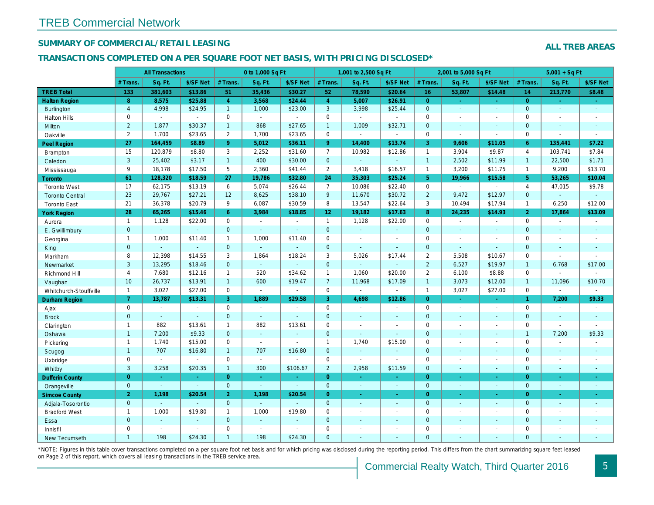## SUMMARY OF COMMERCIAL/RETAIL LEASING

#### TRANSACTIONS COMPLETED ON A PER SQUARE FOOT NET BASIS, WITH PRICING DISCLOSED\*

|                        |                | <b>All Transactions</b> |                          |                | 0 to 1,000 Sq Ft |                |                     | 1,001 to 2,500 Sq Ft     |                          |                | 2,001 to 5,000 Sq Ft     |                          |
|------------------------|----------------|-------------------------|--------------------------|----------------|------------------|----------------|---------------------|--------------------------|--------------------------|----------------|--------------------------|--------------------------|
|                        | # Trans.       | Sq. Ft.                 | \$/SF Net                | # Trans.       | Sq. Ft.          | \$/SF Net      | # Trans.            | Sq. Ft.                  | \$/SF Net                | # Trans.       | Sq. Ft.                  | \$/SF Ne                 |
| <b>TREB Total</b>      | 133            | 381,603                 | \$13.86                  | 51             | 35,436           | \$30.27        | 52                  | 78,590                   | \$20.64                  | 16             | 53,807                   | \$14.48                  |
| <b>Halton Region</b>   | 8              | 8,575                   | \$25.88                  | $\overline{4}$ | 3,568            | \$24.44        | $\overline{4}$      | 5,007                    | \$26.91                  | $\overline{0}$ | $\sim$                   | $\sim$                   |
| <b>Burlington</b>      | $\overline{4}$ | 4,998                   | \$24.95                  | 1              | 1,000            | \$23.00        | $\mathbf{3}$        | 3,998                    | \$25.44                  | $\mathbf{0}$   | $\omega$                 | $\omega$                 |
| <b>Halton Hills</b>    | 0              | $\omega$                | $\omega$                 | 0              | $\sim$           | $\overline{a}$ | $\mathbf 0$         | ÷.                       | ÷.                       | $\Omega$       | $\blacksquare$           | $\sim$                   |
| Milton                 | $\overline{2}$ | 1,877                   | \$30.37                  | $\mathbf{1}$   | 868              | \$27.65        | $\mathbf{1}$        | 1,009                    | \$32.71                  | $\mathbf{0}$   | $\omega$                 | $\blacksquare$           |
| Oakville               | 2              | 1,700                   | \$23.65                  | $\overline{2}$ | 1,700            | \$23.65        | $\mathsf{O}$        | $\blacksquare$           | $\sim$                   | $\mathbf 0$    | $\blacksquare$           | $\blacksquare$           |
| <b>Peel Region</b>     | 27             | 164,459                 | \$8.89                   | 9 <sup>°</sup> | 5,012            | \$36.11        | 9 <sup>°</sup>      | 14,400                   | \$13.74                  | $\overline{3}$ | 9,606                    | \$11.05                  |
| <b>Brampton</b>        | 15             | 120,879                 | \$8.80                   | 3              | 2,252            | \$31.60        | $\overline{7}$      | 10,982                   | \$12.86                  | $\mathbf{1}$   | 3,904                    | \$9.87                   |
| Caledon                | 3              | 25,402                  | \$3.17                   | 1              | 400              | \$30.00        | $\overline{0}$      | $\omega$                 | $\omega$                 | $\overline{1}$ | 2,502                    | \$11.99                  |
| Mississauga            | 9              | 18,178                  | \$17.50                  | 5              | 2,360            | \$41.44        | $\overline{2}$      | 3,418                    | \$16.57                  | $\overline{1}$ | 3,200                    | \$11.75                  |
| Toronto                | 61             | 128,320                 | \$18.59                  | 27             | 19,786           | \$32.80        | 24                  | 35,303                   | \$25.24                  | 5 <sup>5</sup> | 19,966                   | \$15.58                  |
| <b>Toronto West</b>    | 17             | 62,175                  | \$13.19                  | 6              | 5,074            | \$26.44        | $\overline{7}$      | 10,086                   | \$22.40                  | $\mathbf 0$    | $\omega$                 | $\blacksquare$           |
| <b>Toronto Central</b> | 23             | 29,767                  | \$27.21                  | 12             | 8,625            | \$38.10        | 9                   | 11,670                   | \$30.72                  | $\overline{2}$ | 9,472                    | \$12.97                  |
| <b>Toronto East</b>    | 21             | 36,378                  | \$20.79                  | 9              | 6,087            | \$30.59        | 8                   | 13,547                   | \$22.64                  | 3              | 10,494                   | \$17.94                  |
| <b>York Region</b>     | 28             | 65,265                  | \$15.46                  | $6\phantom{1}$ | 3,984            | \$18.85        | 12 <sub>2</sub>     | 19,182                   | \$17.63                  | 8 <sup>°</sup> | 24,235                   | \$14.93                  |
| Aurora                 | $\mathbf{1}$   | 1,128                   | \$22.00                  | 0              | $\sim$           | $\sim$         | $\mathbf{1}$        | 1,128                    | \$22.00                  | $\mathbf 0$    | $\blacksquare$           | $\sim$                   |
| E. Gwillimbury         | $\overline{0}$ | $\omega$                | $\omega$                 | $\mathbf{0}$   | ä,               | $\blacksquare$ | $\mathbf{0}$        | $\Box$                   | $\blacksquare$           | $\mathbf{0}$   | $\Delta$                 | $\blacksquare$           |
| Georgina               | $\mathbf{1}$   | 1,000                   | \$11.40                  | $\mathbf{1}$   | 1,000            | \$11.40        | $\mathsf{O}\xspace$ | $\blacksquare$           | $\overline{a}$           | $\mathbf 0$    | $\blacksquare$           | $\blacksquare$           |
| King                   | $\mathbf{0}$   | $\sim$                  | $\sim$                   | $\overline{0}$ | $\Delta$         | $\blacksquare$ | $\mathbf{0}$        | $\omega$                 | $\omega$                 | $\mathbf{0}$   | $\Delta$                 | $\blacksquare$           |
| Markham                | 8              | 12,398                  | \$14.55                  | 3              | 1,864            | \$18.24        | 3                   | 5,026                    | \$17.44                  | $\overline{2}$ | 5,508                    | \$10.67                  |
| Newmarket              | 3              | 13,295                  | \$18.46                  | $\Omega$       | $\omega$         |                | $\mathbf{0}$        | ä,                       | ä,                       | $\overline{2}$ | 6,527                    | \$19.97                  |
| Richmond Hill          | 4              | 7,680                   | \$12.16                  | $\mathbf{1}$   | 520              | \$34.62        | $\mathbf{1}$        | 1,060                    | \$20.00                  | 2              | 6,100                    | \$8.88                   |
| Vaughan                | 10             | 26,737                  | \$13.91                  | 1              | 600              | \$19.47        | $\overline{7}$      | 11,968                   | \$17.09                  | $\overline{1}$ | 3,073                    | \$12.00                  |
| Whitchurch-Stouffville | $\overline{1}$ | 3,027                   | \$27.00                  | 0              | $\omega$         | $\blacksquare$ | $\mathsf{O}$        | $\blacksquare$           | $\sim$                   | $\mathbf{1}$   | 3,027                    | \$27.00                  |
| Durham Region          | $\mathbf{7}$   | 13,787                  | \$13.31                  | 3              | 1,889            | \$29.58        | 3                   | 4,698                    | \$12.86                  | $\overline{0}$ | $\omega$                 | $\omega$                 |
| Ajax                   | $\mathbf 0$    | $\sim$                  | $\overline{\phantom{a}}$ | $\mathbf 0$    | $\sim$           | $\sim$         | $\mathbf 0$         | $\blacksquare$           | $\blacksquare$           | $\mathbf 0$    | $\sim$                   | $\overline{\phantom{a}}$ |
| <b>Brock</b>           | $\mathbf{0}$   | $\omega$                | $\omega$                 | $\mathbf{0}$   | $\sim$           | $\mathbf{r}$   | $\mathbf{0}$        | $\omega$                 | $\omega$                 | $\mathbf{0}$   | $\omega$                 | $\sim$                   |
| Clarington             | $\mathbf{1}$   | 882                     | \$13.61                  | $\mathbf{1}$   | 882              | \$13.61        | $\mathsf{O}$        | $\blacksquare$           | ä,                       | $\mathbf 0$    | $\overline{a}$           | $\blacksquare$           |
| Oshawa                 | $\mathbf{1}$   | 7,200                   | \$9.33                   | $\mathbf 0$    | $\sim$           | $\blacksquare$ | $\mathbf{0}$        | $\omega$                 | $\blacksquare$           | $\mathbf{0}$   | $\sim$                   | $\sim$                   |
| Pickering              | $\mathbf{1}$   | 1,740                   | \$15.00                  | 0              | $\sim$           | $\sim$         | $\mathbf{1}$        | 1,740                    | \$15.00                  | $\mathbf 0$    | $\blacksquare$           | $\blacksquare$           |
| Scugog                 | $\mathbf{1}$   | 707                     | \$16.80                  | $\mathbf{1}$   | 707              | \$16.80        | $\mathbf{0}$        | $\blacksquare$           | ä,                       | $\mathbf{0}$   | $\Delta$                 | $\blacksquare$           |
| Uxbridge               | 0              | $\blacksquare$          | $\blacksquare$           | $\mathbf 0$    | $\sim$           | $\sim$         | $\mathbf 0$         | $\blacksquare$           | $\blacksquare$           | $\mathbf 0$    | $\blacksquare$           | $\blacksquare$           |
| Whitby                 | 3              | 3,258                   | \$20.35                  | $\mathbf{1}$   | 300              | \$106.67       | $\overline{2}$      | 2,958                    | \$11.59                  | $\mathbf{0}$   | $\blacksquare$           | $\sim$                   |
| <b>Dufferin County</b> | $\overline{0}$ | $\omega$                | $\sim$                   | $\overline{0}$ | $\sim$           | $\omega$       | $\overline{0}$      | $\omega$                 | $\omega_{\rm c}$         | $\overline{0}$ | $\omega$                 | $\sim$                   |
| Orangeville            | $\mathbf 0$    | $\omega$                | $\omega$                 | $\mathbf 0$    | $\omega$         | $\omega$       | $\mathbf{0}$        | $\omega$                 | $\omega$                 | $\mathbf{0}$   | $\omega$                 | $\blacksquare$           |
| <b>Simcoe County</b>   | $\overline{2}$ | 1,198                   | \$20.54                  | 2 <sup>1</sup> | 1,198            | \$20.54        | $\overline{0}$      | $\blacksquare$           | ÷.                       | $\overline{0}$ | $\blacksquare$           | ÷                        |
| Adjala-Tosorontio      | $\overline{0}$ | $\mathbf{r}$            | $\omega$                 | $\Omega$       | $\omega$         | $\sim$         | $\mathbf{0}$        | $\sim$                   | $\omega$                 | $\mathbf{0}$   | $\sim$                   | $\sim$                   |
| <b>Bradford West</b>   | $\mathbf{1}$   | 1,000                   | \$19.80                  | $\mathbf{1}$   | 1,000            | \$19.80        | $\mathsf{O}\xspace$ | $\overline{\phantom{a}}$ | $\overline{\phantom{a}}$ | $\mathbf 0$    | $\overline{\phantom{a}}$ | $\overline{\phantom{a}}$ |
| Essa                   | $\mathbf{0}$   | $\blacksquare$          | $\sim$                   | $\mathbf 0$    | $\omega$         | $\sim$         | $\overline{0}$      | $\blacksquare$           | $\blacksquare$           | $\mathbf{0}$   | $\sim$                   | $\blacksquare$           |
| Innisfil               | $\mathbf{0}$   | $\sim$                  | $\sim$                   | $\mathbf 0$    | $\sim$           | $\sim$         | $\mathbf 0$         | $\blacksquare$           | $\blacksquare$           | $\mathbf 0$    | $\blacksquare$           | $\blacksquare$           |
| <b>New Tecumseth</b>   | $\mathbf{1}$   | 198                     | \$24.30                  | $\mathbf{1}$   | 198              | \$24.30        | $\mathbf{0}$        | ä,                       | $\blacksquare$           | $\Omega$       | $\sim$                   | $\sim$                   |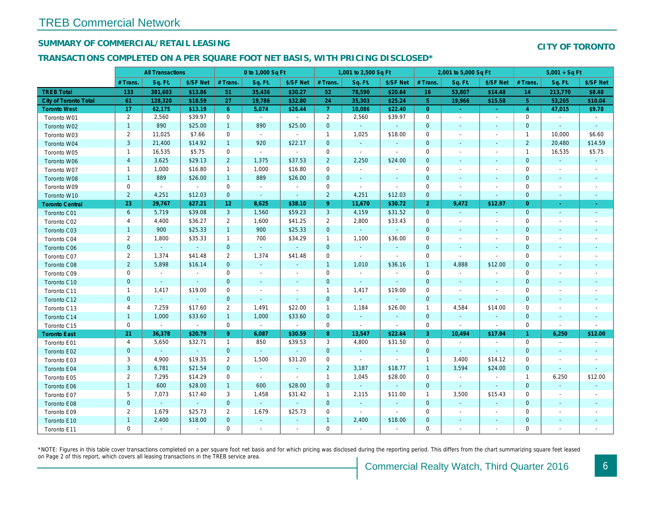## SUMMARY OF COMMERCIAL/RETAIL LEASING

#### TRANSACTIONS COMPLETED ON A PER SQUARE FOOT NET BASIS, WITH PRICING DISCLOSED\*

|                              |                         | <b>All Transactions</b> |                     |                | 0 to 1,000 Sq Ft            |                |                | 1,001 to 2,500 Sq Ft |                       |                | 2,001 to 5,000 Sq Ft |                          |
|------------------------------|-------------------------|-------------------------|---------------------|----------------|-----------------------------|----------------|----------------|----------------------|-----------------------|----------------|----------------------|--------------------------|
|                              | # Trans.                | Sq. Ft.                 | \$/SF Net           | # Trans.       | Sq. Ft.                     | \$/SF Net      | # Trans.       | Sq. Ft.              | \$/SF Net             | # Trans.       | Sq. Ft.              | \$/SF Ne                 |
| <b>TREB Total</b>            | 133                     | 381,603                 | \$13.86             | 51             | 35,436                      | \$30.27        | 52             | 78,590               | \$20.64               | 16             | 53,807               | \$14.48                  |
| <b>City of Toronto Total</b> | 61                      | 128,320                 | \$18.59             | 27             | 19,786                      | \$32.80        | 24             | 35,303               | \$25.24               | 5 <sub>5</sub> | 19,966               | \$15.58                  |
| <b>Toronto West</b>          | 17                      | 62,175                  | \$13.19             | 6 <sup>°</sup> | 5,074                       | \$26.44        | $\mathbf{7}$   | 10,086               | \$22.40               | $\overline{0}$ | $\omega$             | $\sim$                   |
| Toronto W01                  | $\overline{2}$          | 2,560                   | \$39.97             | $\mathbf 0$    | $\sim$                      | $\blacksquare$ | $\overline{2}$ | 2,560                | \$39.97               | $\mathbf 0$    | $\blacksquare$       | $\blacksquare$           |
| Toronto W02                  | $\mathbf{1}$            | 890                     | \$25.00             | $\mathbf{1}$   | 890                         | \$25.00        | $\mathbf 0$    | $\omega$             | $\blacksquare$        | $\mathbf{0}$   | $\blacksquare$       | $\sim$                   |
| Toronto W03                  | $\overline{2}$          | 11,025                  | \$7.66              | 0              | $\omega$                    | $\blacksquare$ | $\mathbf{1}$   | 1,025                | \$18.00               | 0              | $\blacksquare$       | $\blacksquare$           |
| Toronto W04                  | 3                       | 21,400                  | \$14.92             | $\mathbf{1}$   | 920                         | \$22.17        | $\mathbf 0$    | $\omega$             | $\omega$              | $\mathbf{0}$   | $\omega$             | $\blacksquare$           |
| Toronto W05                  | $\mathbf{1}$            | 16,535                  | \$5.75              | $\mathbf 0$    | $\sim$                      | $\mathbf{r}$   | $\mathbf 0$    | $\sim$               | $\sim$                | $\mathbf 0$    | $\blacksquare$       | $\blacksquare$           |
| Toronto W06                  | $\overline{\mathbf{4}}$ | 3,625                   | \$29.13             | $\overline{2}$ | 1,375                       | \$37.53        | $\overline{2}$ | 2,250                | \$24.00               | $\mathbf{0}$   | $\sim$               | $\blacksquare$           |
| Toronto W07                  | $\mathbf{1}$            | 1,000                   | \$16.80             | $\mathbf{1}$   | 1,000                       | \$16.80        | $\mathbf 0$    | $\blacksquare$       | $\blacksquare$        | $\mathbf 0$    | $\blacksquare$       | $\overline{\phantom{a}}$ |
| Toronto W08                  | $\mathbf{1}$            | 889                     | \$26.00             | $\mathbf{1}$   | 889                         | \$26.00        | $\mathbf 0$    | $\blacksquare$       | $\sim$                | $\mathbf{0}$   | $\sim$               | $\overline{\phantom{a}}$ |
| Toronto W09                  | 0                       | $\blacksquare$          | $\sim$              | $\mathbf 0$    | $\sim$                      | $\blacksquare$ | $\mathbf 0$    | $\blacksquare$       | $\omega$              | $\mathbf 0$    | $\blacksquare$       | $\blacksquare$           |
| Toronto W10                  | $\overline{2}$          | 4,251                   | \$12.03             | $\mathbf{0}$   | $\omega$                    | $\blacksquare$ | $\overline{2}$ | 4,251                | \$12.03               | $\mathbf 0$    | $\blacksquare$       | $\sim$                   |
| <b>Toronto Central</b>       | 23                      | 29,767                  | \$27.21             | 12             | 8,625                       | \$38.10        | 9              | 11,670               | \$30.72               | $\overline{2}$ | 9,472                | \$12.97                  |
| Toronto C01                  | 6                       | 5,719                   | \$39.08             | 3              | 1,560                       | \$59.23        | 3              | 4,159                | \$31.52               | $\mathbf{0}$   | $\omega$             | $\blacksquare$           |
| Toronto C02                  | 4                       | 4,400                   | \$36.27             | $\overline{2}$ | 1,600                       | \$41.25        | $\overline{2}$ | 2,800                | \$33.43               | $\mathbf 0$    | $\blacksquare$       | $\blacksquare$           |
| Toronto C03                  | $\mathbf{1}$            | 900                     | \$25.33             | $\mathbf{1}$   | 900                         | \$25.33        | $\mathbf 0$    | $\omega$             | $\blacksquare$        | $\mathbf 0$    | $\blacksquare$       | $\blacksquare$           |
| Toronto C04                  | $\overline{2}$          | 1,800                   | \$35.33             | $\mathbf{1}$   | 700                         | \$34.29        | $\mathbf{1}$   | 1,100                | \$36.00               | 0              | $\blacksquare$       | $\blacksquare$           |
| Toronto C06                  | $\mathbf 0$             | $\omega$                | $\omega_{\rm{eff}}$ | $\mathbf{0}$   | $\sim$                      | $\sim$         | $\mathbf 0$    | $\omega$             | $\blacksquare$        | $\mathbf 0$    | $\blacksquare$       | $\blacksquare$           |
| Toronto C07                  | $\overline{2}$          | 1,374                   | \$41.48             | $\overline{2}$ | 1,374                       | \$41.48        | $\mathbf 0$    | $\mathbf{r}$         | $\tilde{\phantom{a}}$ | $\mathbf 0$    | $\mathbf{r}$         | $\blacksquare$           |
| Toronto C08                  | $\overline{2}$          | 5,898                   | \$16.14             | $\mathbf{0}$   | $\omega$                    | $\blacksquare$ | $\mathbf{1}$   | 1,010                | \$36.16               | $\mathbf{1}$   | 4,888                | \$12.00                  |
| Toronto C09                  | 0                       | $\blacksquare$          | $\blacksquare$      | $\mathbf 0$    | $\blacksquare$              | $\blacksquare$ | $\mathbf 0$    | $\sim$               | $\sim$                | $\mathbf 0$    | $\blacksquare$       | $\overline{\phantom{a}}$ |
| Toronto C10                  | $\mathbf 0$             | $\blacksquare$          | $\sim$              | $\mathbf 0$    | $\blacksquare$              | $\bullet$      | $\mathbf 0$    | $\omega$             | $\sim$                | $\mathbf{0}$   | $\blacksquare$       | $\blacksquare$           |
| Toronto C11                  | $\mathbf{1}$            | 1,417                   | \$19.00             | $\mathbf 0$    | $\tilde{\phantom{a}}$       | $\blacksquare$ | $\mathbf{1}$   | 1,417                | \$19.00               | $\mathbf 0$    | $\blacksquare$       | $\blacksquare$           |
| Toronto C12                  | $\mathbf{0}$            |                         | $\omega$            | $\mathbf{0}$   | ä,                          | $\blacksquare$ | $\mathbf 0$    | ÷.                   | $\blacksquare$        | $\mathbf{0}$   | $\blacksquare$       |                          |
| Toronto C13                  | 4                       | 7,259                   | \$17.60             | $\overline{2}$ | 1,491                       | \$22.00        | $\mathbf{1}$   | 1,184                | \$26.00               | $\mathbf{1}$   | 4,584                | \$14.00                  |
| Toronto C14                  | $\mathbf{1}$            | 1,000                   | \$33.60             | $\mathbf{1}$   | 1,000                       | \$33.60        | $\mathbf 0$    | $\omega$             | $\blacksquare$        | $\mathbf{0}$   | $\blacksquare$       | $\blacksquare$           |
| Toronto C15                  | 0                       | $\omega$                | $\sim$              | 0              | $\mathcal{L}_{\mathcal{A}}$ | $\blacksquare$ | $\mathbf 0$    | $\sim$               | $\sim$                | $\mathbf 0$    | $\blacksquare$       | $\sim$                   |
| <b>Toronto East</b>          | 21                      | 36,378                  | \$20.79             | 9 <sup>°</sup> | 6,087                       | \$30.59        | 8 <sup>°</sup> | 13,547               | \$22.64               | 3              | 10,494               | \$17.94                  |
| Toronto E01                  | 4                       | 5,650                   | \$32.71             | $\mathbf{1}$   | 850                         | \$39.53        | 3              | 4,800                | \$31.50               | $\mathbf 0$    | $\blacksquare$       | $\blacksquare$           |
| Toronto E02                  | $\mathbf{0}$            | $\omega$                | $\sim$              | $\mathbf{0}$   | $\omega$                    | $\omega$       | $\mathbf 0$    | $\omega$             | $\omega$              | $\mathbf{0}$   | $\omega$             | $\omega$                 |
| Toronto E03                  | 3                       | 4,900                   | \$19.35             | $\overline{2}$ | 1,500                       | \$31.20        | $\mathbf 0$    | $\sim$               | $\sim$                | $\overline{1}$ | 3,400                | \$14.12                  |
| Toronto E04                  | 3                       | 6,781                   | \$21.54             | $\mathbf{0}$   | $\omega$                    | $\sim$         | $\overline{2}$ | 3,187                | \$18.77               | $\mathbf{1}$   | 3,594                | \$24.00                  |
| Toronto E05                  | 2                       | 7,295                   | \$14.29             | $\mathbf 0$    | $\sim$                      | $\sim$         | $\mathbf{1}$   | 1,045                | \$28.00               | $\mathbf 0$    | $\blacksquare$       | $\blacksquare$           |
| Toronto E06                  | $\mathbf{1}$            | 600                     | \$28.00             | $\mathbf{1}$   | 600                         | \$28.00        | $\mathbf 0$    | $\omega$             | $\omega$              | $\mathbf{0}$   | $\omega$             | $\blacksquare$           |
| Toronto E07                  | 5                       | 7,073                   | \$17.40             | 3              | 1,458                       | \$31.42        | $\mathbf{1}$   | 2,115                | \$11.00               | $\overline{1}$ | 3,500                | \$15.43                  |
| Toronto E08                  | $\mathbf{0}$            | $\omega$                | $\sim$              | $\mathbf{0}$   | $\omega$                    | $\omega$       | $\mathbf 0$    | $\omega$             | $\omega$              | $\mathbf{0}$   | $\omega$             | $\sim$                   |
| Toronto E09                  | $\overline{2}$          | 1,679                   | \$25.73             | $\overline{2}$ | 1,679                       | \$25.73        | $\mathbf 0$    | $\blacksquare$       | $\blacksquare$        | $\mathbf 0$    | $\blacksquare$       | $\blacksquare$           |
| Toronto E10                  | $\mathbf{1}$            | 2,400                   | \$18.00             | $\mathbf{0}$   | $\sim$                      | $\blacksquare$ | $\mathbf{1}$   | 2,400                | \$18.00               | $\mathbf 0$    | $\blacksquare$       | $\blacksquare$           |
| Toronto E11                  | 0                       | $\blacksquare$          | $\blacksquare$      | $\mathbf 0$    | $\blacksquare$              | $\blacksquare$ | $\mathbf 0$    | $\blacksquare$       | $\blacksquare$        | $\mathbf 0$    | $\blacksquare$       | $\blacksquare$           |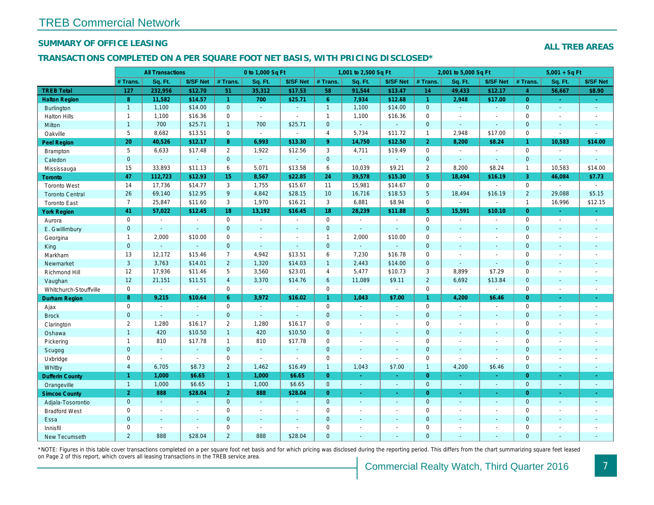## SUMMARY OF OFFICE LEASING

#### TRANSACTIONS COMPLETED ON A PER SQUARE FOOT NET BASIS, WITH PRICING DISCLOSED\*

|                        |                         | <b>All Transactions</b>  |                          |                | 0 to 1,000 Sq Ft |                |                | 1,001 to 2,500 Sq Ft |                |                 | 2,001 to 5,000 Sq Ft |                  |
|------------------------|-------------------------|--------------------------|--------------------------|----------------|------------------|----------------|----------------|----------------------|----------------|-----------------|----------------------|------------------|
|                        | # Trans.                | Sq. Ft.                  | \$/SF Net                | # Trans.       | Sq. Ft.          | \$/SF Net      | # Trans.       | Sq. Ft.              | \$/SF Net      | # Trans.        | Sq. Ft.              | \$/SF Ne         |
| <b>TREB Total</b>      | 127                     | 232,956                  | \$12.70                  | 51             | 35,312           | \$17.53        | 58             | 91,544               | \$13.47        | 14              | 49,433               | \$12.17          |
| <b>Halton Region</b>   | 8                       | 11,582                   | \$14.57                  | $\mathbf{1}$   | 700              | \$25.71        | 6 <sup>°</sup> | 7,934                | \$12.68        | $\mathbf{1}$    | 2,948                | \$17.00          |
| <b>Burlington</b>      | $\mathbf{1}$            | 1,100                    | \$14.00                  | $\overline{0}$ | $\sim$           | $\sim$         | $\mathbf{1}$   | 1,100                | \$14.00        | $\overline{0}$  | $\Delta \phi$        | $\sim$           |
| <b>Halton Hills</b>    | $\mathbf{1}$            | 1,100                    | \$16.36                  | $\mathbf 0$    | $\sim$           | $\blacksquare$ | $\mathbf{1}$   | 1,100                | \$16.36        | $\mathbf 0$     | $\blacksquare$       | $\blacksquare$   |
| Milton                 | $\mathbf{1}$            | 700                      | \$25.71                  | $\mathbf{1}$   | 700              | \$25.71        | $\mathbf 0$    | $\omega$             | $\omega$       | $\mathbf{0}$    | $\sim$               | $\blacksquare$   |
| Oakville               | 5                       | 8,682                    | \$13.51                  | $\mathbf 0$    | $\blacksquare$   | $\blacksquare$ | $\overline{4}$ | 5,734                | \$11.72        | $\overline{1}$  | 2,948                | \$17.00          |
| Peel Region            | 20                      | 40,526                   | \$12.17                  | 8              | 6,993            | \$13.30        | 9 <sup>°</sup> | 14,750               | \$12.50        | $\overline{2}$  | 8,200                | \$8.24           |
| Brampton               | 5                       | 6,633                    | \$17.48                  | $\overline{2}$ | 1,922            | \$12.56        | 3              | 4,711                | \$19.49        | $\mathbf 0$     | $\blacksquare$       | $\sim$           |
| Caledon                | $\mathbf 0$             | $\omega$                 | $\omega$                 | $\mathbf 0$    | $\omega$         | ۰              | $\mathbf 0$    | ä,                   | $\omega$       | $\mathbf{0}$    | $\Box$               | $\blacksquare$   |
| Mississauga            | 15                      | 33,893                   | \$11.13                  | 6              | 5,071            | \$13.58        | 6              | 10,039               | \$9.21         | $\overline{2}$  | 8,200                | \$8.24           |
| <b>Toronto</b>         | 47                      | 112,723                  | \$12.93                  | 15             | 8,567            | \$22.85        | 24             | 39,578               | \$15.30        | 5 <sup>5</sup>  | 18,494               | \$16.19          |
| <b>Toronto West</b>    | 14                      | 17,736                   | \$14.77                  | 3              | 1,755            | \$15.67        | 11             | 15,981               | \$14.67        | $\mathbf 0$     | $\blacksquare$       | $\blacksquare$   |
| <b>Toronto Central</b> | 26                      | 69,140                   | \$12.95                  | 9              | 4,842            | \$28.15        | 10             | 16,716               | \$18.53        | $5\phantom{.0}$ | 18,494               | \$16.19          |
| <b>Toronto East</b>    | $\overline{7}$          | 25,847                   | \$11.60                  | 3              | 1,970            | \$16.21        | 3              | 6,881                | \$8.94         | $\mathbf 0$     | $\omega$             | $\blacksquare$   |
| <b>York Region</b>     | 41                      | 57,022                   | \$12.45                  | 18             | 13,192           | \$16.45        | 18             | 28,239               | \$11.88        | 5 <sup>5</sup>  | 15,591               | \$10.10          |
| Aurora                 | $\mathbf 0$             | $\blacksquare$           | $\sim$                   | $\mathbf 0$    | $\blacksquare$   | $\blacksquare$ | $\mathbf 0$    | $\blacksquare$       | $\blacksquare$ | $\mathbf 0$     | $\omega$             | $\blacksquare$   |
| E. Gwillimbury         | $\mathbf{0}$            | $\sim$                   | $\omega$                 | $\overline{0}$ | $\blacksquare$   | $\blacksquare$ | $\mathbf{0}$   | ä,                   |                | $\mathbf{0}$    | $\omega$             | $\blacksquare$   |
| Georgina               | $\mathbf{1}$            | 2,000                    | \$10.00                  | $\mathbf 0$    | $\sim$           | $\blacksquare$ | $\mathbf{1}$   | 2,000                | \$10.00        | $\mathbf 0$     | $\sim$               | $\blacksquare$   |
| King                   | $\mathbf{0}$            | ÷.                       | $\omega$                 | $\mathbf{0}$   | ÷.               | $\omega$       | $\mathbf{0}$   | $\omega$             | $\omega$       | $\mathbf{0}$    | $\Delta$             | $\blacksquare$   |
| Markham                | 13                      | 12,172                   | \$15.46                  | $\overline{7}$ | 4,942            | \$13.51        | 6              | 7,230                | \$16.78        | $\mathbf 0$     | ÷,                   | $\blacksquare$   |
| Newmarket              | 3                       | 3,763                    | \$14.01                  | $\overline{2}$ | 1,320            | \$14.03        | $\mathbf{1}$   | 2,443                | \$14.00        | $\mathbf{0}$    | $\omega$             | $\blacksquare$   |
| Richmond Hill          | 12                      | 17,936                   | \$11.46                  | 5              | 3,560            | \$23.01        | $\overline{4}$ | 5,477                | \$10.73        | 3               | 8,899                | \$7.29           |
| Vaughan                | 12                      | 21,151                   | \$11.51                  | $\overline{4}$ | 3,370            | \$14.76        | $6\phantom{1}$ | 11,089               | \$9.11         | $\overline{2}$  | 6,692                | \$13.84          |
| Whitchurch-Stouffville | $\mathbf 0$             | $\blacksquare$           | $\sim$                   | $\mathbf 0$    | $\blacksquare$   | $\blacksquare$ | $\mathbf 0$    | $\blacksquare$       | $\omega$       | $\mathbf 0$     | $\omega$             | $\blacksquare$   |
| Durham Region          | $\bf 8$                 | 9,215                    | \$10.64                  | $6^{\circ}$    | 3,972            | \$16.02        | $\mathbf{1}$   | 1,043                | \$7.00         | 1 <sup>1</sup>  | 4,200                | \$6.46           |
| Ajax                   | 0                       | $\overline{\phantom{a}}$ | $\overline{\phantom{a}}$ | $\mathbf 0$    | $\sim$           | $\blacksquare$ | $\mathbf 0$    | $\sim$               | $\blacksquare$ | $\mathbf 0$     | $\blacksquare$       | $\sim$           |
| <b>Brock</b>           | $\mathbf{0}$            | $\omega$                 | $\sim$                   | $\mathbf{0}$   | $\omega$         | $\sim$         | $\mathbf{0}$   | $\sim$               | $\sim$         | $\mathbf{0}$    | $\omega$             | $\sim$           |
| Clarington             | $\overline{2}$          | 1,280                    | \$16.17                  | $\overline{2}$ | 1,280            | \$16.17        | $\mathbf 0$    | $\sim$               | $\blacksquare$ | $\mathbf 0$     | $\blacksquare$       | $\blacksquare$   |
| Oshawa                 | $\mathbf{1}$            | 420                      | \$10.50                  | $\mathbf{1}$   | 420              | \$10.50        | $\mathbf{0}$   | ٠                    | $\blacksquare$ | $\mathbf{0}$    | $\sim$               | $\blacksquare$   |
| Pickering              | $\mathbf{1}$            | 810                      | \$17.78                  | $\mathbf{1}$   | 810              | \$17.78        | $\mathbf 0$    | ÷.                   | ä,             | $\mathbf 0$     | $\blacksquare$       | $\blacksquare$   |
| Scugog                 | $\mathbf 0$             | $\sim$                   | $\sim$                   | $\mathbf 0$    | $\omega$         | $\blacksquare$ | $\pmb{0}$      | $\blacksquare$       | $\omega$       | $\mathbf{0}$    | $\blacksquare$       | $\blacksquare$   |
| Uxbridge               | 0                       | $\sim$                   | $\sim$                   | $\mathbf 0$    | $\sim$           | $\blacksquare$ | $\mathbf 0$    | $\blacksquare$       | $\blacksquare$ | $\mathbf 0$     | $\blacksquare$       | $\blacksquare$   |
| Whitby                 | $\overline{\mathbf{4}}$ | 6,705                    | \$8.73                   | $\overline{2}$ | 1,462            | \$16.49        | $\mathbf{1}$   | 1,043                | \$7.00         | $\mathbf{1}$    | 4,200                | \$6.46           |
| <b>Dufferin County</b> | $\mathbf{1}$            | 1,000                    | \$6.65                   | $\mathbf{1}$   | 1,000            | \$6.65         | $\overline{0}$ | ÷.                   | $\omega$       | $\overline{0}$  | $\sim$               | $\sim$           |
| Orangeville            | $\mathbf{1}$            | 1,000                    | \$6.65                   | $\mathbf{1}$   | 1,000            | \$6.65         | $\mathbf{0}$   | $\omega$             | $\omega$       | $\overline{0}$  | $\omega$             | $\bullet$ .      |
| <b>Simcoe County</b>   | $\overline{2}$          | 888                      | \$28.04                  | $\overline{2}$ | 888              | \$28.04        | $\overline{0}$ | $\omega$             | $\omega$       | $\overline{0}$  | $\omega$             | $\omega_{\rm c}$ |
| Adjala-Tosorontio      | $\mathbf{0}$            | $\sim$                   |                          | $\mathbf{0}$   | $\omega$         | $\omega$       | $\mathbf 0$    | $\blacksquare$       | $\omega$       | $\mathbf 0$     | $\blacksquare$       | $\sim$           |
| <b>Bradford West</b>   | 0                       | $\blacksquare$           | $\sim$                   | $\mathbf 0$    | $\blacksquare$   | $\blacksquare$ | $\mathbf 0$    | $\blacksquare$       | $\sim$         | $\mathbf 0$     | $\blacksquare$       | $\blacksquare$   |
| Essa                   | $\mathbf{0}$            | $\sim$                   |                          | $\overline{0}$ | $\sim$           | $\blacksquare$ | $\mathbf{0}$   |                      | $\omega$       | $\mathbf{0}$    | $\omega$             |                  |
| Innisfil               | $\mathbf 0$             | $\sim$                   | $\sim$                   | $\mathbf 0$    | $\sim$           | $\sim$         | $\mathbf 0$    | ä,                   | $\blacksquare$ | $\mathbf 0$     | $\sim$               | $\blacksquare$   |
| <b>New Tecumseth</b>   | $\overline{2}$          | 888                      | \$28.04                  | 2              | 888              | \$28.04        | $\mathbf{0}$   |                      |                | $\Omega$        |                      |                  |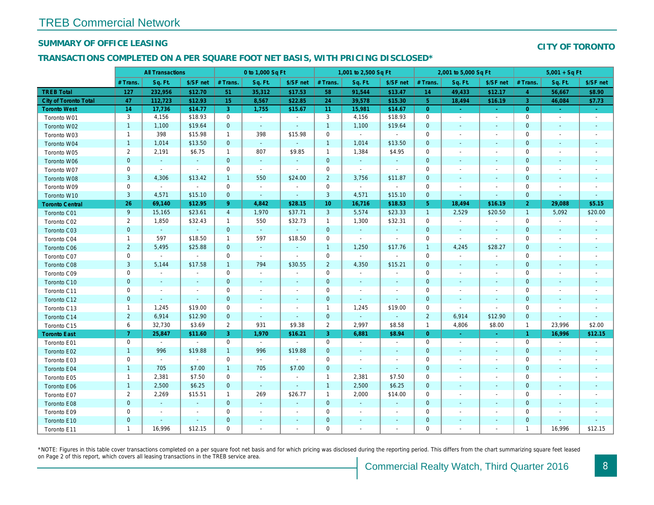## SUMMARY OF OFFICE LEASING

#### TRANSACTIONS COMPLETED ON A PER SQUARE FOOT NET BASIS, WITH PRICING DISCLOSED\*

|                              |                | <b>All Transactions</b>  |                |                 | 0 to 1,000 Sq Ft      |                          |                 | 1,001 to 2,500 Sq Ft |                          |                | 2,001 to 5,000 Sq Ft     |                          |
|------------------------------|----------------|--------------------------|----------------|-----------------|-----------------------|--------------------------|-----------------|----------------------|--------------------------|----------------|--------------------------|--------------------------|
|                              | # Trans.       | Sq. Ft.                  | \$/SF net      | # Trans.        | Sq. Ft.               | \$/SF net                | # Trans.        | Sq. Ft.              | \$/SF net                | # Trans.       | Sq. Ft.                  | \$/SF ne                 |
| <b>TREB Total</b>            | 127            | 232,956                  | \$12.70        | 51              | 35,312                | \$17.53                  | 58              | 91,544               | \$13.47                  | 14             | 49,433                   | \$12.17                  |
| <b>City of Toronto Total</b> | 47             | 112,723                  | \$12.93        | 15 <sub>1</sub> | 8,567                 | \$22.85                  | 24              | 39,578               | \$15.30                  | $5\phantom{.}$ | 18,494                   | \$16.19                  |
| <b>Toronto West</b>          | 14             | 17,736                   | \$14.77        | 3               | 1,755                 | \$15.67                  | 11 <sub>1</sub> | 15,981               | \$14.67                  | $\overline{0}$ | $\sim$                   | $\bullet$                |
| Toronto W01                  | 3              | 4,156                    | \$18.93        | $\mathbf 0$     | $\sim$                | $\sim$                   | 3               | 4,156                | \$18.93                  | $\mathbf 0$    | $\sim$                   | $\sim$                   |
| Toronto W02                  | $\mathbf{1}$   | 1,100                    | \$19.64        | $\mathbf{0}$    | $\omega$              | $\sim$                   | $\mathbf{1}$    | 1,100                | \$19.64                  | $\mathbf 0$    | $\sim$                   | $\sim$                   |
| Toronto W03                  | $\mathbf{1}$   | 398                      | \$15.98        | $\mathbf{1}$    | 398                   | \$15.98                  | $\mathbf 0$     | $\sim$               | $\blacksquare$           | $\mathbf 0$    | $\overline{\phantom{a}}$ | $\blacksquare$           |
| Toronto W04                  | $\mathbf{1}$   | 1,014                    | \$13.50        | $\mathbf{0}$    | $\omega$              | $\omega$                 | $\mathbf{1}$    | 1,014                | \$13.50                  | $\mathbf 0$    | $\sim$                   | $\sim$                   |
| Toronto W05                  | $\overline{2}$ | 2,191                    | \$6.75         | $\mathbf{1}$    | 807                   | \$9.85                   | $\overline{1}$  | 1,384                | \$4.95                   | 0              |                          | $\overline{\phantom{a}}$ |
| Toronto W06                  | $\pmb{0}$      | $\bullet$                | $\blacksquare$ | $\mathbf 0$     | $\blacksquare$        | $\blacksquare$           | $\mathbf 0$     | $\blacksquare$       | $\blacksquare$           | $\mathbf 0$    |                          | $\sim$                   |
| Toronto W07                  | 0              | $\sim$                   | $\sim$         | $\mathbf 0$     | $\sim$                | $\blacksquare$           | 0               | $\blacksquare$       | $\blacksquare$           | 0              |                          |                          |
| Toronto W08                  | $\sqrt{3}$     | 4,306                    | \$13.42        | $\overline{1}$  | 550                   | \$24.00                  | $\overline{2}$  | 3,756                | \$11.87                  | $\mathbf 0$    | $\sim$                   |                          |
| Toronto W09                  | $\mathbf 0$    | $\blacksquare$           | $\sim$         | $\mathbf 0$     | $\tilde{\phantom{a}}$ | $\blacksquare$           | $\mathbf 0$     | $\omega$             | $\blacksquare$           | 0              |                          |                          |
| Toronto W10                  | $\mathbf{3}$   | 4,571                    | \$15.10        | $\mathbf{0}$    | $\omega$              | $\blacksquare$           | 3               | 4,571                | \$15.10                  | $\mathbf 0$    | $\overline{\phantom{a}}$ | $\blacksquare$           |
| <b>Toronto Central</b>       | 26             | 69,140                   | \$12.95        | 9 <sup>°</sup>  | 4,842                 | \$28.15                  | 10 <sub>1</sub> | 16,716               | \$18.53                  | 5 <sup>5</sup> | 18,494                   | \$16.19                  |
| Toronto C01                  | 9              | 15,165                   | \$23.61        | $\overline{4}$  | 1,970                 | \$37.71                  | $\mathbf{3}$    | 5,574                | \$23.33                  | $\mathbf{1}$   | 2,529                    | \$20.50                  |
| Toronto C02                  | $\overline{2}$ | 1,850                    | \$32.43        | $\mathbf{1}$    | 550                   | \$32.73                  | $\overline{1}$  | 1,300                | \$32.31                  | $\mathbf 0$    | $\sim$                   | $\overline{\phantom{a}}$ |
| Toronto C03                  | $\mathbf 0$    | $\sim$                   | $\blacksquare$ | $\mathbf{0}$    | $\omega$              | $\blacksquare$           | $\mathbf{0}$    | $\blacksquare$       | $\blacksquare$           | $\mathbf{0}$   | $\blacksquare$           | $\blacksquare$           |
| Toronto C04                  | $\mathbf{1}$   | 597                      | \$18.50        | $\mathbf{1}$    | 597                   | \$18.50                  | $\mathbf 0$     | $\blacksquare$       | $\blacksquare$           | $\mathbf 0$    | $\sim$                   |                          |
| Toronto C06                  | $\overline{2}$ | 5,495                    | \$25.88        | $\mathbf{0}$    | $\omega$              | $\blacksquare$           | $\mathbf{1}$    | 1,250                | \$17.76                  | $\mathbf{1}$   | 4,245                    | \$28.27                  |
| Toronto C07                  | $\pmb{0}$      | $\blacksquare$           | $\sim$         | $\mathbf 0$     | $\tilde{\phantom{a}}$ | $\blacksquare$           | $\mathbf 0$     | $\blacksquare$       | $\blacksquare$           | $\mathbf 0$    | $\sim$                   | $\sim$                   |
| Toronto C08                  | $\mathbf{3}$   | 5,144                    | \$17.58        | $\mathbf{1}$    | 794                   | \$30.55                  | $\overline{2}$  | 4,350                | \$15.21                  | $\mathbf 0$    | $\blacksquare$           | $\blacksquare$           |
| Toronto C09                  | $\pmb{0}$      | $\blacksquare$           | $\blacksquare$ | $\mathbf 0$     | $\sim$                | $\overline{a}$           | $\mathbf 0$     | $\blacksquare$       | $\overline{\phantom{a}}$ | $\mathbf 0$    |                          |                          |
| Toronto C10                  | $\mathbf 0$    | $\sim$                   | $\blacksquare$ | $\mathbf{0}$    | $\blacksquare$        | $\blacksquare$           | $\mathbf{0}$    | $\sim$               | $\blacksquare$           | $\mathbf 0$    | $\blacksquare$           | $\sim$                   |
| Toronto C11                  | $\mathbf 0$    | $\blacksquare$           | $\blacksquare$ | $\mathbf 0$     | ä,                    | $\blacksquare$           | $\mathbf 0$     | $\blacksquare$       | $\blacksquare$           | $\mathbf 0$    |                          | $\overline{\phantom{a}}$ |
| Toronto C12                  | $\mathbf 0$    | $\blacksquare$           | $\blacksquare$ | $\mathbf{0}$    | ä,                    | $\blacksquare$           | $\mathbf 0$     | $\blacksquare$       | $\blacksquare$           | $\mathbf 0$    | $\blacksquare$           | $\sim$                   |
| Toronto C13                  | $\mathbf{1}$   | 1,245                    | \$19.00        | $\mathbf 0$     | $\sim$                | $\blacksquare$           | $\mathbf{1}$    | 1,245                | \$19.00                  | 0              | $\sim$                   |                          |
| Toronto C14                  | $\overline{2}$ | 6,914                    | \$12.90        | $\mathbf{0}$    | $\omega$              | $\blacksquare$           | $\mathbf 0$     | $\omega$             | $\omega$                 | $\overline{2}$ | 6,914                    | \$12.90                  |
| Toronto C15                  | 6              | 32,730                   | \$3.69         | $\overline{2}$  | 931                   | \$9.38                   | $\overline{2}$  | 2,997                | \$8.58                   | $\mathbf{1}$   | 4,806                    | \$8.00                   |
| <b>Toronto East</b>          | 7 <sup>1</sup> | 25,847                   | \$11.60        | $\overline{3}$  | 1,970                 | \$16.21                  | 3               | 6,881                | \$8.94                   | $\overline{0}$ | $\sim$                   | $\sim$                   |
| Toronto E01                  | $\mathbf 0$    | $\sim$                   | $\sim$         | $\mathbf 0$     | $\sim$                | $\sim$                   | $\mathbf 0$     | $\blacksquare$       | $\blacksquare$           | $\mathbf 0$    | $\sim$                   | $\sim$                   |
| Toronto E02                  | $\mathbf{1}$   | 996                      | \$19.88        | $\mathbf{1}$    | 996                   | \$19.88                  | $\mathbf 0$     | $\sim$               | $\sim$                   | $\mathbf 0$    | $\sim$                   | $\sim$                   |
| Toronto E03                  | $\mathbf 0$    | $\sim$                   | $\sim$         | $\mathbf 0$     | $\sim$                | $\blacksquare$           | 0               | $\blacksquare$       | $\blacksquare$           | 0              | $\overline{\phantom{a}}$ | $\sim$                   |
| Toronto E04                  | $\mathbf{1}$   | 705                      | \$7.00         | $\mathbf{1}$    | 705                   | \$7.00                   | $\mathbf 0$     | $\blacksquare$       | $\blacksquare$           | $\mathbf 0$    | $\sim$                   | $\sim$                   |
| Toronto E05                  | $\mathbf{1}$   | 2,381                    | \$7.50         | 0               | $\blacksquare$        | $\overline{\phantom{a}}$ | $\mathbf{1}$    | 2,381                | \$7.50                   | 0              |                          | $\overline{\phantom{a}}$ |
| Toronto E06                  | $\mathbf{1}$   | 2,500                    | \$6.25         | $\mathbf{0}$    | $\omega$              | $\blacksquare$           | $\overline{1}$  | 2,500                | \$6.25                   | $\mathbf{0}$   | $\sim$                   | $\sim$                   |
| Toronto E07                  | $\overline{2}$ | 2,269                    | \$15.51        | $\mathbf{1}$    | 269                   | \$26.77                  | $\mathbf{1}$    | 2,000                | \$14.00                  | 0              |                          | $\sim$                   |
| Toronto E08                  | $\pmb{0}$      | $\sim$                   | $\sim$         | $\mathbf{0}$    | $\omega$              | $\blacksquare$           | $\mathbf 0$     | $\omega$             | $\sim$                   | $\mathbf 0$    | $\sim$                   | $\overline{\phantom{a}}$ |
| Toronto E09                  | 0              | $\blacksquare$           | $\blacksquare$ | 0               | $\blacksquare$        | $\blacksquare$           | 0               | $\blacksquare$       | $\blacksquare$           | 0              | $\overline{\phantom{a}}$ | $\overline{\phantom{a}}$ |
| Toronto E10                  | $\pmb{0}$      | $\overline{\phantom{a}}$ | $\sim$         | $\mathbf 0$     | $\sim$                | $\overline{\phantom{a}}$ | $\mathbf 0$     | $\blacksquare$       | $\sim$                   | $\pmb{0}$      | $\sim$                   |                          |
| Toronto E11                  | $\mathbf{1}$   | 16,996                   | \$12.15        | $\mathbf 0$     | $\blacksquare$        | $\blacksquare$           | 0               | $\blacksquare$       | $\blacksquare$           | $\mathbf 0$    |                          | $\overline{\phantom{a}}$ |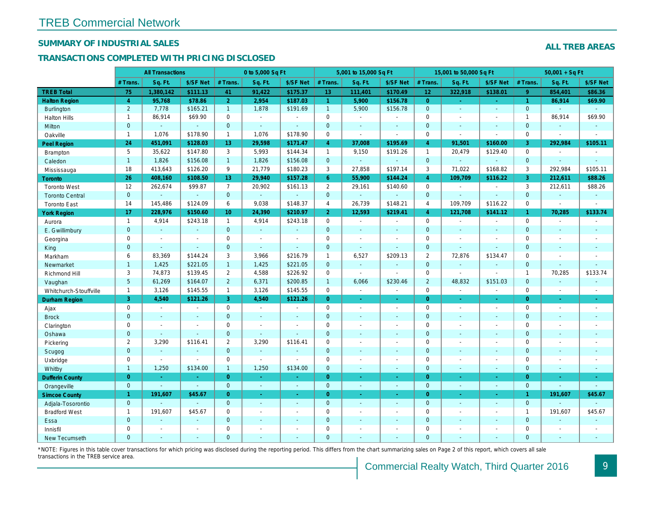## SUMMARY OF INDUSTRIAL SALES

## TRANSACTIONS COMPLETED WITH PRICING DISCLOSED

|                        |                | <b>All Transactions</b>  |                |                | 0 to 5,000 Sq Ft |                |                     | 5,001 to 15,000 Sq Ft    |                  |                 | 15,001 to 50,000 Sq Ft   |                          |
|------------------------|----------------|--------------------------|----------------|----------------|------------------|----------------|---------------------|--------------------------|------------------|-----------------|--------------------------|--------------------------|
|                        | # Trans.       | Sq. Ft.                  | \$/SF Net      | # Trans.       | Sq. Ft.          | \$/SF Net      | # Trans.            | Sq. Ft.                  | \$/SF Net        | # Trans.        | Sq. Ft.                  | \$/SF Ne                 |
| <b>TREB Total</b>      | 75             | 1,380,142                | \$111.13       | 41             | 91,422           | \$175.37       | 13                  | 111,401                  | \$170.49         | 12 <sup>°</sup> | 322,918                  | \$138.0                  |
| <b>Halton Region</b>   | $\overline{4}$ | 95,768                   | \$78.86        | 2 <sup>1</sup> | 2,954            | \$187.03       | $\mathbf{1}$        | 5,900                    | \$156.78         | $\overline{0}$  | $\blacksquare$           | $\sim$                   |
| <b>Burlington</b>      | $\overline{2}$ | 7,778                    | \$165.21       | 1              | 1,878            | \$191.69       | $\mathbf{1}$        | 5,900                    | \$156.78         | $\overline{0}$  | $\blacksquare$           | $\blacksquare$           |
| <b>Halton Hills</b>    | $\mathbf{1}$   | 86,914                   | \$69.90        | $\mathbf 0$    | $\sim$           |                | $\mathsf{O}$        | $\blacksquare$           | $\blacksquare$   | $\Omega$        | $\sim$                   | $\blacksquare$           |
| Milton                 | $\mathbf{0}$   | $\omega$                 | $\sim$         | $\mathbf 0$    | $\omega$         | $\blacksquare$ | $\mathbf 0$         | $\blacksquare$           | $\blacksquare$   | $\mathbf{0}$    | $\blacksquare$           | $\blacksquare$           |
| Oakville               | $\mathbf{1}$   | 1,076                    | \$178.90       | $\mathbf{1}$   | 1,076            | \$178.90       | $\mathbf 0$         | $\overline{\phantom{a}}$ | $\sim$           | $\mathbf 0$     | $\tilde{\phantom{a}}$    | $\blacksquare$           |
| <b>Peel Region</b>     | 24             | 451,091                  | \$128.03       | 13             | 29,598           | \$171.47       | $\overline{4}$      | 37,008                   | \$195.69         | $\overline{4}$  | 91,501                   | \$160.00                 |
| <b>Brampton</b>        | 5              | 35,622                   | \$147.80       | 3              | 5,993            | \$144.34       | $\mathbf{1}$        | 9,150                    | \$191.26         | $\mathbf{1}$    | 20,479                   | \$129.40                 |
| Caledon                | $\mathbf{1}$   | 1,826                    | \$156.08       | $\mathbf{1}$   | 1,826            | \$156.08       | $\mathbf{0}$        | $\blacksquare$           | $\omega$         | $\mathbf 0$     | $\blacksquare$           | $\blacksquare$           |
| Mississauga            | 18             | 413,643                  | \$126.20       | 9              | 21,779           | \$180.23       | 3                   | 27,858                   | \$197.14         | 3               | 71,022                   | \$168.82                 |
| <b>Toronto</b>         | 26             | 408,160                  | \$108.50       | 13             | 29,940           | \$157.28       | 6 <sup>°</sup>      | 55,900                   | \$144.24         | $\overline{4}$  | 109,709                  | \$116.22                 |
| <b>Toronto West</b>    | 12             | 262,674                  | \$99.87        | $\overline{7}$ | 20,902           | \$161.13       | $\overline{2}$      | 29,161                   | \$140.60         | $\mathbf 0$     | $\blacksquare$           | $\sim$                   |
| <b>Toronto Central</b> | $\mathbf{0}$   |                          | $\mathbf{r}$   | $\mathbf 0$    | $\omega$         | $\blacksquare$ | $\mathbf{0}$        | $\omega$                 | ä,               | $\mathbf{0}$    |                          | $\mathbf{r}$             |
| <b>Toronto East</b>    | 14             | 145,486                  | \$124.09       | 6              | 9,038            | \$148.37       | 4                   | 26,739                   | \$148.21         | $\overline{4}$  | 109,709                  | \$116.22                 |
| <b>York Region</b>     | 17             | 228,976                  | \$150.60       | 10             | 24,390           | \$210.97       | 2 <sup>1</sup>      | 12,593                   | \$219.41         | $\overline{4}$  | 121,708                  | \$141.12                 |
| Aurora                 | $\overline{1}$ | 4,914                    | \$243.18       | $\mathbf{1}$   | 4,914            | \$243.18       | $\mathsf{O}$        | $\sim$                   | $\sim$           | $\mathbf 0$     | $\blacksquare$           | $\blacksquare$           |
| E. Gwillimbury         | $\mathbf{0}$   | $\omega$                 | $\omega$       | $\overline{0}$ | $\omega$         | $\blacksquare$ | $\mathbf{0}$        | $\blacksquare$           | $\blacksquare$   | $\mathbf{0}$    | $\omega$                 | $\blacksquare$           |
| Georgina               | 0              | $\sim$                   | $\blacksquare$ | 0              | $\blacksquare$   | $\blacksquare$ | $\mathbf 0$         | $\blacksquare$           | $\blacksquare$   | $\mathbf 0$     | $\blacksquare$           | $\blacksquare$           |
| King                   | $\mathbf{0}$   | $\sim$                   | $\sim$         | $\mathbf 0$    | $\mathbf{r}$     | $\sim$         | $\mathbf 0$         | $\blacksquare$           | $\blacksquare$   | $\mathbf{0}$    | $\omega$                 | $\sim$                   |
| Markham                | 6              | 83,369                   | \$144.24       | 3              | 3,966            | \$216.79       | $\mathbf{1}$        | 6,527                    | \$209.13         | 2               | 72,876                   | \$134.47                 |
| Newmarket              | $\mathbf{1}$   | 1,425                    | \$221.05       | $\mathbf{1}$   | 1,425            | \$221.05       | $\mathbf{0}$        | $\omega$                 | ä,               | $\mathbf{0}$    | $\omega$                 | $\sim$                   |
| Richmond Hill          | 3              | 74,873                   | \$139.45       | $\overline{2}$ | 4,588            | \$226.92       | $\mathbf 0$         | $\blacksquare$           | $\blacksquare$   | 0               | $\blacksquare$           | $\blacksquare$           |
| Vaughan                | 5 <sup>5</sup> | 61,269                   | \$164.07       | $\overline{2}$ | 6,371            | \$200.85       | $\mathbf{1}$        | 6,066                    | \$230.46         | $\overline{2}$  | 48,832                   | \$151.03                 |
| Whitchurch-Stouffville | $\mathbf{1}$   | 3,126                    | \$145.55       | $\mathbf{1}$   | 3,126            | \$145.55       | $\mathsf 0$         | $\blacksquare$           | $\blacksquare$   | $\mathbf 0$     | $\overline{\phantom{a}}$ | $\sim$                   |
| <b>Durham Region</b>   | 3              | 4,540                    | \$121.26       | 3              | 4,540            | \$121.26       | $\overline{0}$      | $\frac{1}{\sqrt{2}}$     | ÷                | $\overline{0}$  | $\bullet$                | $\sigma_{\rm c}$         |
| Ajax                   | 0              | $\blacksquare$           | $\sim$         | $\mathbf 0$    | $\sim$           | $\blacksquare$ | $\mathsf{O}$        | $\blacksquare$           | $\blacksquare$   | $\mathbf 0$     | $\blacksquare$           | $\sim$                   |
| <b>Brock</b>           | $\overline{0}$ | $\mathbf{r}$             | $\sim$         | $\overline{0}$ | $\mathbf{r}$     | $\blacksquare$ | $\mathbf{0}$        | $\blacksquare$           | $\blacksquare$   | $\mathbf{0}$    | $\Delta$                 | $\sim$                   |
| Clarington             | 0              | $\blacksquare$           | $\blacksquare$ | 0              | $\sim$           |                | $\mathsf{O}\xspace$ | ÷,                       | ÷,               | $\mathbf 0$     | ÷,                       | $\overline{\phantom{a}}$ |
| Oshawa                 | $\mathbf{0}$   | $\blacksquare$           | $\sim$         | $\mathbf{0}$   | $\blacksquare$   | $\blacksquare$ | $\mathbf{0}$        | ٠                        | $\blacksquare$   | $\mathbf{0}$    | $\blacksquare$           | $\blacksquare$           |
| Pickering              | $\overline{2}$ | 3,290                    | \$116.41       | $\overline{2}$ | 3,290            | \$116.41       | $\mathbf 0$         | $\blacksquare$           | $\blacksquare$   | $\mathbf 0$     | $\sim$                   | $\blacksquare$           |
| Scugog                 | $\mathbf{0}$   | $\blacksquare$           |                | $\mathbf{0}$   | $\omega$         | ä,             | $\mathbf{0}$        | $\blacksquare$           | $\omega$         | $\mathbf{0}$    | $\omega$                 | $\blacksquare$           |
| Uxbridge               | 0              | $\overline{\phantom{a}}$ | $\blacksquare$ | $\mathbf 0$    | $\sim$           |                | $\mathbf 0$         | $\overline{a}$           | $\overline{a}$   | $\mathbf 0$     | $\sim$                   | $\blacksquare$           |
| Whitby                 | $\mathbf{1}$   | 1,250                    | \$134.00       | $\mathbf{1}$   | 1,250            | \$134.00       | $\mathbf{0}$        | $\blacksquare$           | $\sim$           | $\mathbf{0}$    | $\blacksquare$           | $\sim$                   |
| <b>Dufferin County</b> | $\overline{0}$ | $\sim$                   | $\sim$         | $\overline{0}$ | ÷.               | ×.             | $\overline{0}$      | ÷.                       | $\sim$           | $\overline{0}$  | $\sim$                   | $\sim$                   |
| Orangeville            | $\mathbf 0$    | $\omega$                 | $\omega$       | $\overline{0}$ | $\omega$         | $\omega$       | $\overline{0}$      | $\omega$                 | $\omega_{\rm c}$ | $\mathbf{0}$    | $\omega$                 | $\omega_{\rm c}$         |
| <b>Simcoe County</b>   | $\mathbf{1}$   | 191,607                  | \$45.67        | $\overline{0}$ | $\omega$         | $\omega$       | $\overline{0}$      | $\omega$                 | $\omega_{\rm c}$ | $\overline{0}$  | $\omega$                 | $\sim$                   |
| Adjala-Tosorontio      | $\mathbf{0}$   |                          | $\sim$         | $\overline{0}$ | $\omega$         | $\blacksquare$ | $\mathbf{0}$        | $\blacksquare$           | $\blacksquare$   | $\mathbf{0}$    | $\Delta$                 | $\sim$                   |
| <b>Bradford West</b>   | $\mathbf{1}$   | 191,607                  | \$45.67        | 0              | $\sim$           | $\sim$         | $\mathsf{O}\xspace$ | $\blacksquare$           | $\blacksquare$   | $\mathbf 0$     | $\blacksquare$           | $\blacksquare$           |
| Essa                   | $\mathbf{0}$   |                          | $\sim$         | $\mathbf 0$    | $\blacksquare$   | $\blacksquare$ | $\mathbf 0$         | ä,                       | ä,               | $\mathbf 0$     | $\sim$                   |                          |
| Innisfil               | 0              | $\sim$                   | $\sim$         | 0              | $\blacksquare$   | $\blacksquare$ | $\mathbf 0$         | ä,                       | $\blacksquare$   | $\mathbf 0$     | $\sim$                   | $\blacksquare$           |
| <b>New Tecumseth</b>   | $\Omega$       |                          |                | $\Omega$       |                  |                | $\mathbf{0}$        |                          |                  | $\Omega$        |                          |                          |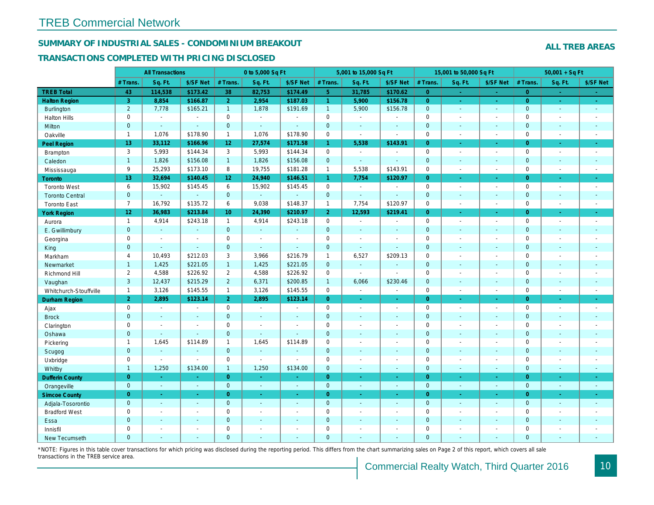## SUMMARY OF INDUSTRIAL SALES - CONDOMINIUM BREAKOUT

#### TRANSACTIONS COMPLETED WITH PRICING DISCLOSED

|                        |                     | <b>All Transactions</b> |                       |                 | 0 to 5,000 Sq Ft |                |                | 5,001 to 15,000 Sq Ft    |                          |                | 15,001 to 50,000 Sq Ft |                  |
|------------------------|---------------------|-------------------------|-----------------------|-----------------|------------------|----------------|----------------|--------------------------|--------------------------|----------------|------------------------|------------------|
|                        | # Trans.            | Sq. Ft.                 | \$/SF Net             | # Trans.        | Sq. Ft.          | \$/SF Net      | # Trans.       | Sq. Ft.                  | \$/SF Net                | # Trans.       | Sq. Ft.                | \$/SF Ne         |
| <b>TREB Total</b>      | 43                  | 114,538                 | \$173.42              | 38              | 82,753           | \$174.49       | 5 <sup>°</sup> | 31,785                   | \$170.62                 | $\overline{0}$ | $\sim$                 | $\sim$           |
| <b>Halton Region</b>   | 3                   | 8,854                   | \$166.87              | 2 <sup>1</sup>  | 2,954            | \$187.03       | $\mathbf{1}$   | 5,900                    | \$156.78                 | $\overline{0}$ | $\bullet$              | $\sim$           |
| <b>Burlington</b>      | $\overline{2}$      | 7,778                   | \$165.21              | $\mathbf{1}$    | 1,878            | \$191.69       | 1              | 5,900                    | \$156.78                 | $\mathbf 0$    | $\blacksquare$         | $\bullet$        |
| <b>Halton Hills</b>    | $\mathbf 0$         | $\sim$                  | $\blacksquare$        | $\mathbf 0$     | $\sim$           |                | $\mathbf 0$    | $\blacksquare$           | $\blacksquare$           | $\mathbf 0$    | L,                     | $\blacksquare$   |
| Milton                 | $\mathbf{0}$        | $\blacksquare$          | $\sim$                | $\mathbf 0$     | $\omega$         | $\blacksquare$ | $\pmb{0}$      | $\blacksquare$           | $\blacksquare$           | $\mathbf 0$    | $\blacksquare$         | $\sim$           |
| Oakville               | $\mathbf{1}$        | 1,076                   | \$178.90              | $\mathbf{1}$    | 1,076            | \$178.90       | 0              | $\tilde{\phantom{a}}$    | $\sim$                   | $\mathbf 0$    | $\blacksquare$         | $\sim$           |
| Peel Region            | 13 <sub>1</sub>     | 33,112                  | \$166.96              | 12 <sub>2</sub> | 27,574           | \$171.58       | $\mathbf{1}$   | 5,538                    | \$143.91                 | $\overline{0}$ | ×.                     | $\bullet$ .      |
| Brampton               | 3                   | 5,993                   | \$144.34              | 3               | 5,993            | \$144.34       | 0              | $\blacksquare$           | $\blacksquare$           | $\mathbf 0$    | $\blacksquare$         | $\sim$           |
| Caledon                | $\mathbf{1}$        | 1,826                   | \$156.08              | 1               | 1,826            | \$156.08       | $\mathbf 0$    | $\omega$                 | $\blacksquare$           | $\mathbf 0$    | $\blacksquare$         | $\sim$           |
| Mississauga            | 9                   | 25,293                  | \$173.10              | 8               | 19,755           | \$181.28       | $\mathbf{1}$   | 5,538                    | \$143.91                 | $\mathbf 0$    | $\sim$                 | $\sim$           |
| <b>Toronto</b>         | 13                  | 32,694                  | \$140.45              | 12 <sup>°</sup> | 24,940           | \$146.51       | $\mathbf{1}$   | 7,754                    | \$120.97                 | $\Omega$       | ÷.                     | $\sim$           |
| <b>Toronto West</b>    | 6                   | 15,902                  | \$145.45              | 6               | 15,902           | \$145.45       | 0              | $\blacksquare$           | $\sim$                   | $\mathbf 0$    | $\blacksquare$         | $\sim$           |
| <b>Toronto Central</b> | $\mathbf{0}$        | $\Delta$                | $\sim$                | $\overline{0}$  | $\omega$         |                | $\mathbf 0$    | $\blacksquare$           | $\sim$                   | $\mathbf{0}$   | $\blacksquare$         | $\blacksquare$   |
| <b>Toronto East</b>    | $\overline{7}$      | 16,792                  | \$135.72              | 6               | 9,038            | \$148.37       | $\mathbf{1}$   | 7,754                    | \$120.97                 | $\mathbf 0$    | $\sim$                 | $\sim$           |
| <b>York Region</b>     | $12\,$              | 36,983                  | \$213.84              | 10 <sup>°</sup> | 24,390           | \$210.97       | 2 <sup>1</sup> | 12,593                   | \$219.41                 | $\overline{0}$ | $\blacksquare$         | $\bullet$ .      |
| Aurora                 | $\mathbf{1}$        | 4,914                   | \$243.18              | $\mathbf{1}$    | 4,914            | \$243.18       | 0              | $\sim$                   | $\sim$                   | $\mathbf 0$    | $\blacksquare$         | $\sim$           |
| E. Gwillimbury         | $\mathbf{0}$        | $\omega$                | $\omega$              | $\overline{0}$  | $\omega$         | $\sim$         | $\mathbf{0}$   | $\blacksquare$           | $\blacksquare$           | $\mathbf{0}$   | $\blacksquare$         | $\blacksquare$   |
| Georgina               | $\mathbf 0$         | $\blacksquare$          | $\blacksquare$        | $\mathbf 0$     | $\blacksquare$   | $\sim$         | $\pmb{0}$      | $\overline{\phantom{a}}$ | $\blacksquare$           | $\mathbf 0$    | $\blacksquare$         | $\blacksquare$   |
| King                   | $\overline{0}$      | $\blacksquare$          | $\blacksquare$        | $\mathbf{0}$    | $\sim$           | $\sim$         | $\mathbf 0$    | $\blacksquare$           | $\blacksquare$           | $\mathbf 0$    | $\blacksquare$         | $\sim$           |
| Markham                | $\overline{4}$      | 10,493                  | \$212.03              | 3               | 3,966            | \$216.79       | $\mathbf{1}$   | 6,527                    | \$209.13                 | $\mathbf 0$    | $\blacksquare$         | $\blacksquare$   |
| Newmarket              | $\mathbf{1}$        | 1,425                   | \$221.05              | $\mathbf{1}$    | 1,425            | \$221.05       | $\mathbf{0}$   | $\omega$                 | $\sim$                   | $\mathbf{0}$   | ÷.                     | $\sim$           |
| Richmond Hill          | $\overline{2}$      | 4,588                   | \$226.92              | $\overline{2}$  | 4,588            | \$226.92       | $\mathbf 0$    | $\sim$                   | $\sim$                   | $\mathbf 0$    | $\sim$                 | $\blacksquare$   |
| Vaughan                | 3                   | 12,437                  | \$215.29              | $\overline{2}$  | 6,371            | \$200.85       | $\mathbf{1}$   | 6,066                    | \$230.46                 | $\mathbf{0}$   | ä,                     | $\sim$           |
| Whitchurch-Stouffville | $\mathbf{1}$        | 3,126                   | \$145.55              | $\mathbf{1}$    | 3,126            | \$145.55       | $\mathbf 0$    | $\blacksquare$           | $\blacksquare$           | $\mathbf 0$    | ÷,                     | $\sim$           |
| Durham Region          | $\overline{2}$      | 2,895                   | \$123.14              | 2 <sup>1</sup>  | 2,895            | \$123.14       | $\overline{0}$ | $\frac{1}{\sqrt{2}}$     | ÷                        | $\overline{0}$ | $\blacksquare$         | $\sigma_{\rm c}$ |
| Ajax                   | $\mathbf 0$         | $\blacksquare$          | $\blacksquare$        | $\mathbf 0$     | $\sim$           |                | $\pmb{0}$      | $\blacksquare$           | $\blacksquare$           | $\mathbf 0$    | $\blacksquare$         | $\sim$           |
| <b>Brock</b>           | $\mathbf{0}$        | $\blacksquare$          | $\sim$                | $\mathbf{0}$    | $\Delta$         | $\sim$         | $\mathbf 0$    | $\omega$                 | $\blacksquare$           | $\mathbf 0$    | $\blacksquare$         | $\blacksquare$   |
| Clarington             | $\mathsf{O}\xspace$ | $\tilde{\phantom{a}}$   | $\tilde{\phantom{a}}$ | $\mathbf 0$     | $\blacksquare$   |                | $\pmb{0}$      | $\overline{a}$           | $\overline{a}$           | $\mathbf 0$    | ÷,                     | $\blacksquare$   |
| Oshawa                 | $\mathbf{0}$        | $\blacksquare$          | $\blacksquare$        | $\mathbf{0}$    | $\omega$         | $\blacksquare$ | $\mathbf 0$    | $\blacksquare$           | $\blacksquare$           | $\mathbf{0}$   | $\blacksquare$         | $\blacksquare$   |
| Pickering              | $\mathbf{1}$        | 1,645                   | \$114.89              | $\mathbf{1}$    | 1,645            | \$114.89       | $\pmb{0}$      | $\blacksquare$           | $\blacksquare$           | $\mathbf 0$    | L,                     | $\blacksquare$   |
| Scugog                 | $\overline{0}$      | $\blacksquare$          | $\sim$                | $\mathbf{0}$    | $\Delta$         | $\sim$         | $\mathbf 0$    | $\omega$                 | $\blacksquare$           | $\mathbf{0}$   | $\omega$               | $\blacksquare$   |
| Uxbridge               | $\mathbf 0$         | $\blacksquare$          | $\omega$              | $\mathbf 0$     | $\blacksquare$   |                | 0              | $\blacksquare$           | $\overline{\phantom{a}}$ | $\mathbf 0$    | L,                     | $\blacksquare$   |
| Whitby                 | $\mathbf{1}$        | 1,250                   | \$134.00              | $\mathbf{1}$    | 1,250            | \$134.00       | $\mathbf{0}$   | $\blacksquare$           | $\blacksquare$           | $\mathbf{0}$   | $\blacksquare$         | $\sim$           |
| <b>Dufferin County</b> | $\overline{0}$      | $\sim$                  | $\sim$                | $\overline{0}$  | i.               | $\sim$         | $\overline{0}$ | $\blacksquare$           | ×.                       | $\overline{0}$ | ×.                     | $\sim$           |
| Orangeville            | $\mathbf{0}$        | $\omega$                | $\omega$              | $\mathbf 0$     | $\omega$         | $\omega$       | $\mathbf{0}$   | $\omega$                 | $\omega$                 | $\mathbf 0$    | $\omega$               | $\omega_{\rm c}$ |
| <b>Simcoe County</b>   | $\overline{0}$      | $\omega$                | $\omega$              | $\overline{0}$  | $\omega$         | $\omega$       | $\overline{0}$ | ä,                       | $\omega$                 | $\overline{0}$ | $\blacksquare$         | $\sigma_{\rm c}$ |
| Adjala-Tosorontio      | $\mathbf{0}$        | $\sim$                  | $\sim$                | $\mathbf{0}$    | $\sim$           | $\sim$         | $\mathbf 0$    | $\mathbf{r}$             | $\blacksquare$           | $\mathbf 0$    | $\blacksquare$         | $\sim$           |
| <b>Bradford West</b>   | $\mathbf 0$         | $\blacksquare$          | $\omega$              | $\mathbf 0$     | $\sim$           | $\sim$         | $\pmb{0}$      | $\blacksquare$           | $\blacksquare$           | $\mathbf 0$    | $\overline{a}$         | $\blacksquare$   |
| Essa                   | $\mathbf{0}$        | $\sim$                  | $\sim$                | $\mathbf{0}$    |                  | $\sim$         | $\pmb{0}$      | $\blacksquare$           | $\blacksquare$           | $\mathbf 0$    | $\blacksquare$         |                  |
| Innisfil               | $\mathbf 0$         | $\blacksquare$          | $\blacksquare$        | $\mathbf 0$     | $\blacksquare$   | $\blacksquare$ | $\pmb{0}$      | $\blacksquare$           | $\blacksquare$           | $\mathbf 0$    | $\blacksquare$         | $\blacksquare$   |
| <b>New Tecumseth</b>   | $\Omega$            |                         |                       | $\Omega$        |                  |                | $\Omega$       |                          |                          | $\Omega$       |                        |                  |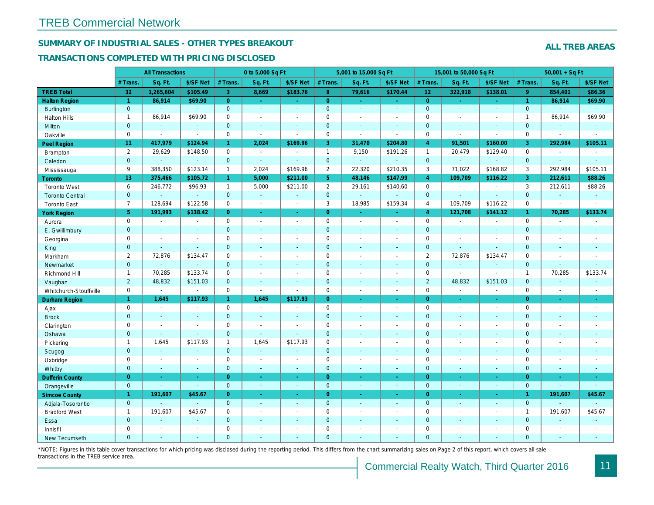## SUMMARY OF INDUSTRIAL SALES - OTHER TYPES BREAKOUT

#### TRANSACTIONS COMPLETED WITH PRICING DISCLOSED

|                        |                 | <b>All Transactions</b> |                       |                | 0 to 5,000 Sq Ft         |                          |                | 5,001 to 15,000 Sq Ft    |                          |                 | 15,001 to 50,000 Sq Ft |                          |
|------------------------|-----------------|-------------------------|-----------------------|----------------|--------------------------|--------------------------|----------------|--------------------------|--------------------------|-----------------|------------------------|--------------------------|
|                        | # Trans         | Sq. Ft.                 | \$/SF Net             | # Trans.       | Sq. Ft.                  | \$/SF Net                | # Trans.       | Sq. Ft.                  | \$/SF Net                | # Trans.        | Sq. Ft.                | \$/SF Ne                 |
| <b>TREB Total</b>      | 32              | 1,265,604               | \$105.49              | 3              | 8,669                    | \$183.76                 | 8 <sup>°</sup> | 79,616                   | \$170.44                 | 12 <sub>2</sub> | 322,918                | \$138.0'                 |
| <b>Halton Region</b>   | $\overline{1}$  | 86,914                  | \$69.90               | $\overline{0}$ | $\sim$                   | $\omega_{\rm c}$         | $\overline{0}$ | $\sim$                   | $\sim$ .                 | $\overline{0}$  | $\omega$               | $\omega_{\rm c}$         |
| <b>Burlington</b>      | $\mathbf{0}$    | $\omega$                | $\omega$              | $\mathbf{0}$   | $\blacksquare$           | $\sim$                   | $\mathbf{0}$   | $\omega$                 | $\omega$                 | $\mathbf 0$     | $\omega$               | $\sim$                   |
| <b>Halton Hills</b>    | $\mathbf{1}$    | 86,914                  | \$69.90               | $\Omega$       | $\overline{\phantom{a}}$ |                          | $\pmb{0}$      | $\blacksquare$           | $\blacksquare$           | $\mathbf 0$     | ÷,                     | $\sim$                   |
| Milton                 | $\mathbf{0}$    | $\blacksquare$          | $\blacksquare$        | $\mathbf{0}$   | $\sim$                   | $\blacksquare$           | $\mathbf 0$    | $\blacksquare$           | $\blacksquare$           | $\mathbf 0$     | $\blacksquare$         | $\blacksquare$           |
| Oakville               | $\mathbf 0$     | $\blacksquare$          | $\blacksquare$        | $\mathbf 0$    | $\blacksquare$           | $\sim$                   | 0              | $\blacksquare$           | $\sim$                   | $\mathbf 0$     | $\sim$                 | $\blacksquare$           |
| <b>Peel Region</b>     | 11              | 417,979                 | \$124.94              | $\mathbf{1}$   | 2,024                    | \$169.96                 | 3              | 31,470                   | \$204.80                 | $\overline{4}$  | 91,501                 | \$160.00                 |
| Brampton               | $\overline{2}$  | 29,629                  | \$148.50              | $\mathbf 0$    | $\sim$                   | $\overline{\phantom{a}}$ | $\mathbf{1}$   | 9,150                    | \$191.26                 | $\mathbf{1}$    | 20,479                 | \$129.40                 |
| Caledon                | $\mathbf{0}$    | $\blacksquare$          | $\blacksquare$        | $\mathbf{0}$   | $\sim$                   | $\sim$                   | $\mathbf{0}$   | $\omega_{\rm c}$         | $\omega$                 | $\mathbf 0$     | $\omega$               | $\omega$                 |
| Mississauga            | 9               | 388,350                 | \$123.14              | $\mathbf{1}$   | 2,024                    | \$169.96                 | $\overline{2}$ | 22,320                   | \$210.35                 | 3               | 71,022                 | \$168.82                 |
| Toronto                | 13 <sup>°</sup> | 375,466                 | \$105.72              | $\mathbf{1}$   | 5,000                    | \$211.00                 | 5 <sup>5</sup> | 48,146                   | \$147.99                 | $\overline{4}$  | 109,709                | \$116.22                 |
| <b>Toronto West</b>    | 6               | 246,772                 | \$96.93               | $\mathbf{1}$   | 5,000                    | \$211.00                 | $\overline{2}$ | 29,161                   | \$140.60                 | $\mathbf 0$     | $\blacksquare$         | $\sim$                   |
| <b>Toronto Central</b> | $\mathbf{0}$    | ÷.                      | $\omega$              | $\mathbf{0}$   | $\omega$                 | $\sim$                   | $\mathbf{0}$   | ä,                       | $\blacksquare$           | $\mathbf{0}$    | $\blacksquare$         | $\sim$                   |
| <b>Toronto East</b>    | $\overline{7}$  | 128,694                 | \$122.58              | $\mathbf 0$    | $\blacksquare$           | $\blacksquare$           | 3              | 18,985                   | \$159.34                 | 4               | 109,709                | \$116.22                 |
| <b>York Region</b>     | 5 <sup>5</sup>  | 191,993                 | \$138.42              | $\overline{0}$ | $\omega$                 | $\sim$                   | $\overline{0}$ | $\blacksquare$           | Ξ                        | $\overline{4}$  | 121,708                | \$141.12                 |
| Aurora                 | $\mathbf 0$     | $\blacksquare$          | $\sim$                | $\Omega$       | $\sim$                   | $\sim$                   | $\mathbf 0$    | $\blacksquare$           | $\sim$                   | $\mathbf 0$     | $\blacksquare$         | $\sim$                   |
| E. Gwillimbury         | $\mathbf{0}$    | $\blacksquare$          | $\blacksquare$        | $\mathbf 0$    | $\sim$                   | $\blacksquare$           | $\pmb{0}$      | $\blacksquare$           | $\blacksquare$           | $\mathbf 0$     | ÷,                     | $\blacksquare$           |
| Georgina               | $\mathbf 0$     | $\blacksquare$          | $\blacksquare$        | $\mathbf 0$    | $\sim$                   | $\sim$                   | $\pmb{0}$      | $\blacksquare$           | $\blacksquare$           | $\mathbf 0$     | $\sim$                 | $\blacksquare$           |
| King                   | $\overline{0}$  | $\sim$                  | $\sim$                | $\mathbf{0}$   | $\sim$                   | $\sim$                   | $\mathbf 0$    | $\omega$                 | $\blacksquare$           | $\mathbf{0}$    | $\blacksquare$         | $\sim$                   |
| Markham                | 2               | 72,876                  | \$134.47              | $\mathbf 0$    | $\sim$                   | $\overline{\phantom{a}}$ | $\pmb{0}$      | $\overline{\phantom{a}}$ | $\overline{\phantom{a}}$ | $\overline{2}$  | 72,876                 | \$134.47                 |
| Newmarket              | $\overline{0}$  | $\blacksquare$          | $\sim$                | $\mathbf{0}$   | $\sim$                   | $\sim$                   | $\mathbf 0$    | $\blacksquare$           | $\blacksquare$           | $\mathbf{0}$    | $\blacksquare$         | $\sim$                   |
| Richmond Hill          | $\mathbf{1}$    | 70,285                  | \$133.74              | $\mathbf 0$    | $\sim$                   | $\overline{a}$           | $\mathbf 0$    | $\blacksquare$           | $\blacksquare$           | $\mathbf 0$     | $\blacksquare$         | $\sim$                   |
| Vaughan                | $\overline{2}$  | 48,832                  | \$151.03              | $\mathbf{0}$   | $\sim$                   | $\sim$                   | $\mathbf 0$    | $\mathbf{r}$             | $\sim$                   | $\overline{2}$  | 48,832                 | \$151.03                 |
| Whitchurch-Stouffville | $\mathbf 0$     | $\blacksquare$          | $\blacksquare$        | $\mathbf 0$    | $\sim$                   | $\sim$                   | 0              | $\sim$                   | $\blacksquare$           | $\mathbf 0$     | $\blacksquare$         | $\blacksquare$           |
| <b>Durham Region</b>   | $\mathbf{1}$    | 1,645                   | \$117.93              | $\mathbf{1}$   | 1,645                    | \$117.93                 | $\overline{0}$ | $\omega$                 | ÷.                       | $\overline{0}$  | $\omega$               | $\omega$                 |
| Ajax                   | $\mathsf 0$     | $\blacksquare$          | $\omega$              | $\mathsf 0$    | $\blacksquare$           | $\blacksquare$           | $\pmb{0}$      | $\blacksquare$           | $\blacksquare$           | $\mathbf 0$     | $\blacksquare$         | $\sim$                   |
| <b>Brock</b>           | $\mathbf{0}$    | $\sim$                  | $\blacksquare$        | $\mathbf{0}$   | $\sim$                   | $\sim$                   | $\mathbf 0$    | $\blacksquare$           | $\blacksquare$           | $\mathbf{0}$    | $\blacksquare$         | $\sim$                   |
| Clarington             | $\mathbf 0$     | $\blacksquare$          | $\tilde{\phantom{a}}$ | $\mathbf 0$    | $\blacksquare$           |                          | $\pmb{0}$      | $\blacksquare$           | $\blacksquare$           | $\mathbf 0$     | $\blacksquare$         | $\blacksquare$           |
| Oshawa                 | $\overline{0}$  | $\omega$                | $\omega$              | $\mathbf{0}$   | $\omega$                 | $\blacksquare$           | $\mathbf 0$    | $\blacksquare$           | $\blacksquare$           | $\mathbf{0}$    | $\blacksquare$         | $\blacksquare$           |
| Pickering              | $\mathbf{1}$    | 1,645                   | \$117.93              | $\mathbf{1}$   | 1,645                    | \$117.93                 | $\mathbf 0$    | $\blacksquare$           | $\blacksquare$           | $\mathbf 0$     | $\blacksquare$         | $\blacksquare$           |
| Scugog                 | $\mathbf{0}$    | $\blacksquare$          | $\blacksquare$        | $\mathbf{0}$   | $\omega$                 | $\sim$                   | $\mathbf 0$    | $\blacksquare$           | $\blacksquare$           | $\mathbf{0}$    | $\blacksquare$         | $\blacksquare$           |
| Uxbridge               | $\mathbf 0$     | $\blacksquare$          | $\blacksquare$        | 0              | $\sim$                   |                          | $\pmb{0}$      | $\overline{a}$           | $\blacksquare$           | $\mathbf 0$     | $\overline{a}$         | $\overline{\phantom{a}}$ |
| Whitby                 | $\mathbf{0}$    | $\sim$                  | $\sim$                | $\mathbf{0}$   | $\sim$                   | $\sim$                   | $\mathbf 0$    | $\blacksquare$           | $\blacksquare$           | $\mathbf{0}$    | $\blacksquare$         | $\sim$                   |
| <b>Dufferin County</b> | $\overline{0}$  | $\sim$                  | $\sim$                | $\overline{0}$ | a.                       | a.                       | $\overline{0}$ | $\blacksquare$           | $\blacksquare$           | $\overline{0}$  | ×.                     | $\sim$                   |
| Orangeville            | $\mathbf{0}$    | $\Delta$                | $\omega$              | $\mathbf 0$    | $\omega$                 | $\omega$                 | $\mathbf{0}$   | $\omega$                 | $\omega$                 | $\mathbf 0$     | $\omega$               | $\sim$                   |
| <b>Simcoe County</b>   | $\mathbf{1}$    | 191,607                 | \$45.67               | $\overline{0}$ | $\omega$                 | $\omega$                 | $\overline{0}$ | Ξ                        | $\omega$                 | $\overline{0}$  | $\blacksquare$         | $\sigma_{\rm c}$         |
| Adjala-Tosorontio      | $\mathbf{0}$    |                         | $\Delta$              | $\mathbf{0}$   | $\sim$                   | $\sim$                   | $\mathbf 0$    | $\omega$                 | $\blacksquare$           | $\mathbf 0$     | $\omega$               | $\sim$                   |
| <b>Bradford West</b>   | $\mathbf{1}$    | 191,607                 | \$45.67               | $\mathbf 0$    | $\sim$                   | $\sim$                   | $\pmb{0}$      | $\blacksquare$           | $\blacksquare$           | $\mathbf 0$     | $\blacksquare$         | $\blacksquare$           |
| Essa                   | $\mathbf{0}$    | $\blacksquare$          | $\blacksquare$        | $\mathbf{0}$   |                          | $\sim$                   | $\pmb{0}$      | $\blacksquare$           | $\blacksquare$           | $\mathbf 0$     | $\blacksquare$         |                          |
| Innisfil               | $\mathbf 0$     | $\blacksquare$          | $\blacksquare$        | $\mathbf 0$    | $\sim$                   | $\blacksquare$           | $\pmb{0}$      | $\blacksquare$           | $\blacksquare$           | $\mathbf 0$     | $\blacksquare$         | $\blacksquare$           |
| <b>New Tecumseth</b>   | $\Omega$        |                         |                       | $\Omega$       |                          |                          | $\Omega$       |                          |                          | $\Omega$        |                        |                          |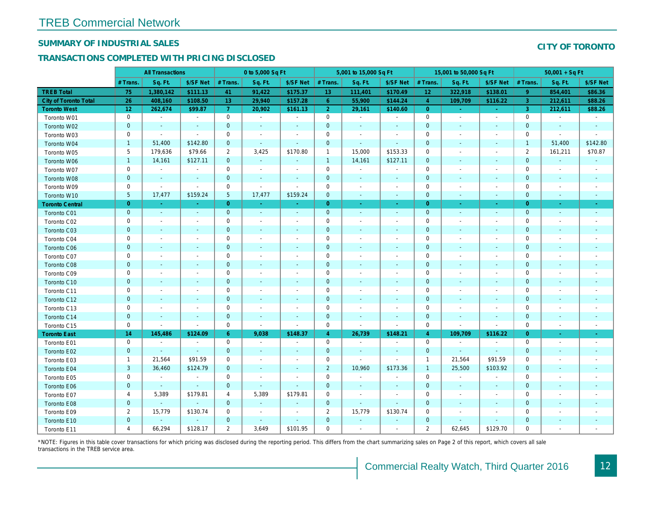## SUMMARY OF INDUSTRIAL SALES

## TRANSACTIONS COMPLETED WITH PRICING DISCLOSED

|                              |                | <b>All Transactions</b>  |                          |                | 0 to 5,000 Sq Ft         |                          |                | 5,001 to 15,000 Sq Ft    |                          |                 | 15,001 to 50,000 Sq Ft   |                          |
|------------------------------|----------------|--------------------------|--------------------------|----------------|--------------------------|--------------------------|----------------|--------------------------|--------------------------|-----------------|--------------------------|--------------------------|
|                              | # Trans.       | Sq. Ft.                  | \$/SF Net                | # Trans.       | Sq. Ft.                  | \$/SF Net                | # Trans.       | Sq. Ft.                  | \$/SF Net                | # Trans.        | Sq. Ft.                  | \$/SF Ne                 |
| <b>TREB Total</b>            | 75             | 1,380,142                | \$111.13                 | 41             | 91,422                   | \$175.37                 | 13             | 111,401                  | \$170.49                 | 12 <sub>2</sub> | 322,918                  | \$138.0                  |
| <b>City of Toronto Total</b> | 26             | 408,160                  | \$108.50                 | 13             | 29,940                   | \$157.28                 | $6^{\circ}$    | 55,900                   | \$144.24                 | $\overline{4}$  | 109,709                  | \$116.22                 |
| <b>Toronto West</b>          | 12             | 262,674                  | \$99.87                  | $\overline{7}$ | 20,902                   | \$161.13                 | 2 <sup>1</sup> | 29,161                   | \$140.60                 | $\overline{0}$  | $\omega$                 | $\omega$                 |
| Toronto W01                  | 0              | $\blacksquare$           | $\sim$                   | $\mathbf 0$    | $\sim$                   | $\blacksquare$           | $\mathbf 0$    | $\blacksquare$           | $\blacksquare$           | $\mathbf 0$     | $\blacksquare$           | $\blacksquare$           |
| Toronto W02                  | $\mathbf 0$    | $\sim$                   | $\sim$                   | $\mathbf 0$    | $\blacksquare$           | $\blacksquare$           | $\mathbf 0$    | $\blacksquare$           | $\blacksquare$           | $\mathbf 0$     | $\blacksquare$           | ٠.                       |
| Toronto W03                  | 0              | $\sim$                   | $\sim$                   | 0              | $\blacksquare$           | $\overline{\phantom{a}}$ | 0              | $\sim$                   | $\sim$                   | $\mathbf 0$     | $\sim$                   | $\blacksquare$           |
| Toronto W04                  | $\mathbf{1}$   | 51,400                   | \$142.80                 | $\mathbf 0$    | $\omega$                 | $\sim$                   | $\mathbf 0$    | $\blacksquare$           | $\Delta$                 | $\mathbf{0}$    | $\blacksquare$           | $\blacksquare$           |
| Toronto W05                  | 5              | 179,636                  | \$79.66                  | $\overline{2}$ | 3,425                    | \$170.80                 | $\mathbf{1}$   | 15,000                   | \$153.33                 | $\mathbf 0$     | $\blacksquare$           | $\overline{\phantom{a}}$ |
| Toronto W06                  | $\mathbf{1}$   | 14,161                   | \$127.11                 | $\mathbf 0$    | $\blacksquare$           | $\blacksquare$           | $\mathbf{1}$   | 14,161                   | \$127.11                 | $\mathbf 0$     | $\blacksquare$           | $\blacksquare$           |
| Toronto W07                  | $\mathbf 0$    | $\sim$                   | $\blacksquare$           | $\mathbf 0$    | $\blacksquare$           | $\blacksquare$           | $\mathbf 0$    | $\blacksquare$           | $\blacksquare$           | $\mathbf 0$     | ÷                        | $\overline{\phantom{a}}$ |
| Toronto W08                  | $\pmb{0}$      | $\blacksquare$           | $\sim$                   | $\mathbf 0$    | $\blacksquare$           | $\blacksquare$           | $\mathbf 0$    | $\blacksquare$           | $\blacksquare$           | $\mathbf{0}$    | $\blacksquare$           | $\blacksquare$           |
| Toronto W09                  | 0              | $\blacksquare$           | $\blacksquare$           | $\mathbf 0$    | $\tilde{\phantom{a}}$    | $\blacksquare$           | $\mathbf 0$    | $\blacksquare$           | $\blacksquare$           | $\mathbf 0$     | $\blacksquare$           | $\overline{\phantom{a}}$ |
| Toronto W10                  | $\sqrt{5}$     | 17,477                   | \$159.24                 | $\sqrt{5}$     | 17,477                   | \$159.24                 | $\mathbf 0$    | $\blacksquare$           | $\blacksquare$           | $\mathbf 0$     | $\blacksquare$           | $\blacksquare$           |
| <b>Toronto Central</b>       | $\overline{0}$ | $\sim$                   |                          | $\overline{0}$ | ÷.                       | Ξ                        | $\overline{0}$ | $\omega$                 | ÷.                       | $\overline{0}$  | $\omega$                 | $\sim$                   |
| Toronto C01                  | $\mathbf{0}$   | $\sim$                   | $\sim$                   | $\mathbf 0$    | $\sim$                   | $\blacksquare$           | $\mathbf 0$    | $\blacksquare$           | $\sim$                   | $\mathbf{0}$    | $\blacksquare$           | $\blacksquare$           |
| Toronto C02                  | 0              | $\blacksquare$           |                          | $\mathbf 0$    | $\blacksquare$           | $\blacksquare$           | $\mathbf 0$    | $\overline{\phantom{a}}$ | $\overline{\phantom{a}}$ | $\mathbf 0$     | $\overline{\phantom{a}}$ | $\blacksquare$           |
| Toronto C03                  | $\mathbf 0$    | $\sim$                   | $\sim$                   | $\mathbf 0$    | $\blacksquare$           | $\blacksquare$           | $\mathbf 0$    | $\blacksquare$           | $\blacksquare$           | $\mathbf 0$     | $\overline{\phantom{a}}$ | $\sim$                   |
| Toronto C04                  | 0              | $\sim$                   | $\overline{\phantom{a}}$ | $\mathbf 0$    | $\sim$                   | $\blacksquare$           | $\mathbf 0$    | $\sim$                   | $\sim$                   | 0               | $\blacksquare$           | $\overline{\phantom{a}}$ |
| Toronto C06                  | $\mathbf{0}$   | $\sim$                   | $\sim$                   | $\overline{0}$ | $\sim$                   | $\sim$                   | $\mathbf 0$    | $\sim$                   | $\sim$                   | $\mathbf 0$     | $\sim$                   | $\sim$                   |
| Toronto C07                  | 0              | $\overline{\phantom{a}}$ | $\overline{\phantom{a}}$ | $\mathbf 0$    | $\blacksquare$           | $\overline{\phantom{a}}$ | $\pmb{0}$      | $\overline{\phantom{a}}$ | $\sim$                   | 0               | $\blacksquare$           | $\overline{\phantom{a}}$ |
| Toronto C08                  | $\mathbf{0}$   | $\overline{\phantom{a}}$ | $\sim$                   | $\mathbf{0}$   | $\blacksquare$           | $\overline{\phantom{a}}$ | $\mathbf{0}$   | $\blacksquare$           | $\overline{\phantom{a}}$ | $\mathbf{0}$    | $\blacksquare$           | $\blacksquare$           |
| Toronto C09                  | 0              | $\overline{\phantom{a}}$ | $\sim$                   | $\mathbf 0$    | $\blacksquare$           | $\blacksquare$           | $\mathbf 0$    | $\blacksquare$           | $\overline{\phantom{a}}$ | $\mathbf 0$     | $\blacksquare$           | $\blacksquare$           |
| Toronto C10                  | $\mathbf 0$    | $\overline{\phantom{a}}$ | $\overline{a}$           | $\mathbf 0$    | $\overline{\phantom{a}}$ | $\blacksquare$           | $\mathbf 0$    | $\sim$                   | $\sim$                   | $\mathbf 0$     | $\sim$                   | $\sim$                   |
| Toronto C11                  | 0              | $\blacksquare$           | $\overline{\phantom{a}}$ | $\mathbf 0$    | $\blacksquare$           | $\overline{\phantom{a}}$ | $\pmb{0}$      | $\blacksquare$           | $\blacksquare$           | 0               | $\blacksquare$           | $\blacksquare$           |
| Toronto C12                  | $\mathbf{0}$   | $\sim$                   | $\sim$                   | $\mathbf{0}$   | $\sim$                   | $\blacksquare$           | $\mathbf 0$    | $\sim$                   | $\sim$                   | $\mathbf{0}$    | $\sim$                   | $\sim$                   |
| Toronto C13                  | 0              | $\blacksquare$           | $\overline{\phantom{a}}$ | $\mathbf 0$    | $\blacksquare$           | $\blacksquare$           | $\mathbf 0$    | $\blacksquare$           | $\blacksquare$           | $\mathbf 0$     | $\blacksquare$           | $\blacksquare$           |
| Toronto C14                  | $\mathbf 0$    |                          | $\sim$                   | $\mathbf 0$    | $\blacksquare$           | $\blacksquare$           | $\mathbf 0$    | ÷,                       | $\blacksquare$           | $\mathbf{0}$    | $\blacksquare$           | $\blacksquare$           |
| Toronto C15                  | 0              | $\blacksquare$           | $\blacksquare$           | $\mathbf 0$    | $\blacksquare$           | $\blacksquare$           | $\mathbf 0$    | $\blacksquare$           | $\blacksquare$           | $\mathbf 0$     | $\blacksquare$           | $\blacksquare$           |
| <b>Toronto East</b>          | 14             | 145,486                  | \$124.09                 | $6^{\circ}$    | 9,038                    | \$148.37                 | $\overline{4}$ | 26,739                   | \$148.21                 | $\overline{4}$  | 109,709                  | \$116.22                 |
| Toronto E01                  | $\mathbf 0$    | $\blacksquare$           | $\omega$                 | $\mathbf 0$    | $\sim$                   | $\sim$                   | $\mathbf 0$    | $\blacksquare$           | $\omega$                 | $\mathbf 0$     | $\omega$                 | $\sim$                   |
| Toronto E02                  | $\mathbf 0$    | $\sim$                   | $\sim$                   | $\mathbf 0$    | $\sim$                   | $\blacksquare$           | $\mathbf 0$    | $\blacksquare$           | $\sim$                   | $\mathbf 0$     | $\blacksquare$           | $\blacksquare$           |
| Toronto E03                  | $\mathbf{1}$   | 21,564                   | \$91.59                  | 0              | $\blacksquare$           | $\overline{\phantom{a}}$ | $\mathbf 0$    | $\omega$                 | $\blacksquare$           | $\overline{1}$  | 21,564                   | \$91.59                  |
| Toronto E04                  | 3              | 36,460                   | \$124.79                 | $\mathbf{0}$   | $\sim$                   | $\blacksquare$           | $\overline{2}$ | 10,960                   | \$173.36                 | $\mathbf{1}$    | 25,500                   | \$103.92                 |
| Toronto E05                  | 0              | $\blacksquare$           | $\sim$                   | 0              | $\tilde{\phantom{a}}$    | $\sim$                   | $\mathbf 0$    | $\blacksquare$           | $\omega$                 | 0               | $\blacksquare$           | $\blacksquare$           |
| Toronto E06                  | $\mathbf{0}$   | $\sim$                   | $\sim$                   | $\mathbf 0$    | $\omega$                 | $\sim$                   | $\mathbf 0$    | $\blacksquare$           | $\sim$                   | $\mathbf 0$     | $\blacksquare$           | $\blacksquare$           |
| Toronto E07                  | 4              | 5,389                    | \$179.81                 | 4              | 5,389                    | \$179.81                 | 0              | $\blacksquare$           | $\overline{\phantom{a}}$ | 0               | $\blacksquare$           | $\overline{\phantom{a}}$ |
| Toronto E08                  | $\mathbf{0}$   | $\omega$                 | $\sim$                   | $\overline{0}$ | $\omega$                 | $\blacksquare$           | $\mathbf 0$    | $\omega$                 | $\blacksquare$           | $\mathbf{0}$    | $\sim$                   | $\sim$                   |
| Toronto E09                  | $\overline{2}$ | 15,779                   | \$130.74                 | 0              | $\blacksquare$           | $\overline{\phantom{a}}$ | $\overline{2}$ | 15,779                   | \$130.74                 | $\mathbf 0$     |                          | $\overline{\phantom{a}}$ |
| Toronto E10                  | $\mathbf{0}$   |                          | $\sim$                   | $\mathbf 0$    | $\frac{1}{2}$            | $\blacksquare$           | $\mathbf 0$    | $\blacksquare$           | ٠                        | $\mathbf 0$     | $\blacksquare$           |                          |
| Toronto E11                  | $\overline{4}$ | 66,294                   | \$128.17                 | $\overline{2}$ | 3,649                    | \$101.95                 | $\mathbf 0$    | $\blacksquare$           | ٠                        | $\overline{2}$  | 62,645                   | \$129.70                 |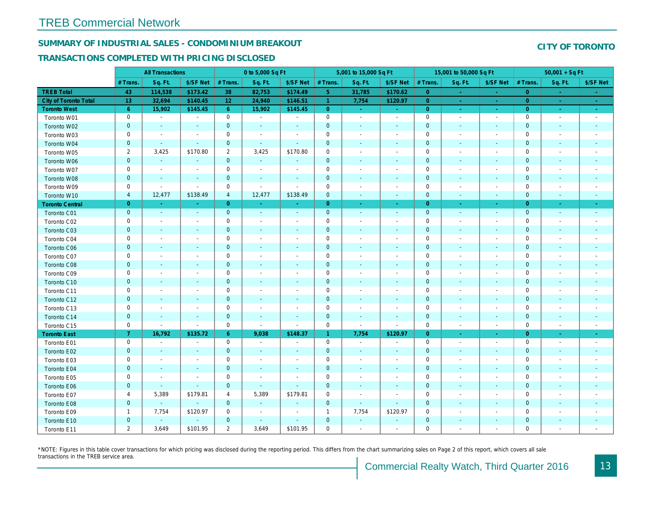## SUMMARY OF INDUSTRIAL SALES - CONDOMINIUM BREAKOUT

#### TRANSACTIONS COMPLETED WITH PRICING DISCLOSED

|                        |                | <b>All Transactions</b>  |                          |                | 0 to 5,000 Sq Ft         |                          |                | 5,001 to 15,000 Sq Ft    |                          |                | 15,001 to 50,000 Sq Ft   |                          |
|------------------------|----------------|--------------------------|--------------------------|----------------|--------------------------|--------------------------|----------------|--------------------------|--------------------------|----------------|--------------------------|--------------------------|
|                        | # Trans.       | Sq. Ft.                  | \$/SF Net                | # Trans.       | Sq. Ft.                  | \$/SF Net                | # Trans.       | Sq. Ft.                  | \$/SF Net                | # Trans.       | Sq. Ft.                  | \$/SF Ne                 |
| <b>TREB Total</b>      | 43             | 114,538                  | \$173.42                 | 38             | 82,753                   | \$174.49                 | 5 <sup>1</sup> | 31,785                   | \$170.62                 | $\overline{0}$ | $\sim$                   | $\sim$                   |
| City of Toronto Total  | 13             | 32,694                   | \$140.45                 | 12             | 24,940                   | \$146.51                 | $\overline{1}$ | 7,754                    | \$120.97                 | $\overline{0}$ |                          | $\omega_{\rm c}$         |
| <b>Toronto West</b>    | $6^{\circ}$    | 15,902                   | \$145.45                 | $6^{\circ}$    | 15,902                   | \$145.45                 | $\overline{0}$ | $\sim$                   | $\sim$                   | $\overline{0}$ | $\sim$                   | $\sim$                   |
| Toronto W01            | 0              | $\blacksquare$           | $\blacksquare$           | $\mathbf 0$    | $\sim$                   | $\blacksquare$           | $\mathbf 0$    | $\blacksquare$           | $\blacksquare$           | $\mathbf 0$    | $\blacksquare$           | $\sim$                   |
| Toronto W02            | $\mathbf{0}$   | $\sim$                   | $\sim$                   | $\mathbf 0$    | $\sim$                   | $\sim$                   | $\mathbf 0$    | $\sim$                   | $\blacksquare$           | $\mathbf{0}$   | $\sim$                   | $\sim$                   |
| Toronto W03            | 0              | $\overline{\phantom{a}}$ | $\overline{\phantom{a}}$ | $\mathbf 0$    | $\blacksquare$           | $\blacksquare$           | $\mathbf 0$    | $\blacksquare$           | $\blacksquare$           | $\mathbf 0$    | $\blacksquare$           | $\blacksquare$           |
| Toronto W04            | $\mathbf 0$    | $\blacksquare$           | $\sim$                   | $\mathbf 0$    | $\sim$                   | $\blacksquare$           | $\mathbf 0$    | $\blacksquare$           | $\blacksquare$           | $\mathbf 0$    | $\blacksquare$           | $\blacksquare$           |
| Toronto W05            | $\overline{2}$ | 3,425                    | \$170.80                 | $\overline{2}$ | 3,425                    | \$170.80                 | $\mathbf 0$    | $\blacksquare$           | $\blacksquare$           | 0              | $\blacksquare$           | $\overline{\phantom{a}}$ |
| Toronto W06            | $\mathbf{0}$   | $\blacksquare$           | $\sim$                   | $\mathbf 0$    | $\sim$                   |                          | $\mathbf 0$    | $\sim$                   | $\sim$                   | $\mathbf 0$    | $\sim$                   | $\blacksquare$           |
| Toronto W07            | 0              | $\blacksquare$           | $\overline{\phantom{a}}$ | $\mathbf 0$    | $\blacksquare$           | $\overline{\phantom{a}}$ | $\mathbf 0$    | $\blacksquare$           | $\blacksquare$           | $\mathbf 0$    | $\blacksquare$           | $\blacksquare$           |
| Toronto W08            | $\mathbf{0}$   | $\blacksquare$           |                          | $\mathbf 0$    | $\blacksquare$           | $\blacksquare$           | $\mathbf 0$    | $\overline{\phantom{a}}$ | $\overline{\phantom{a}}$ | $\mathbf 0$    | $\blacksquare$           |                          |
| Toronto W09            | 0              | $\blacksquare$           | $\sim$                   | $\mathbf 0$    | $\blacksquare$           | $\sim$                   | $\mathbf 0$    | $\blacksquare$           | $\blacksquare$           | $\mathbf 0$    | $\blacksquare$           | $\blacksquare$           |
| Toronto W10            | 4              | 12,477                   | \$138.49                 | 4              | 12,477                   | \$138.49                 | $\mathbf 0$    | $\blacksquare$           | $\blacksquare$           | $\mathbf 0$    | $\blacksquare$           | ٠                        |
| <b>Toronto Central</b> | $\overline{0}$ | $\sim$                   | $\sim$                   | $\overline{0}$ | $\sim$                   | $\sim$                   | $\overline{0}$ | ◆                        | $\bullet$ .              | $\overline{0}$ | $\bullet$                | $\sim$                   |
| Toronto C01            | $\mathbf{0}$   | $\omega$                 | $\sim$                   | $\mathbf 0$    | $\sim$                   | $\blacksquare$           | $\mathbf 0$    | $\omega$                 | $\mathbf{r}$             | $\mathbf 0$    | $\omega$                 | $\sim$                   |
| Toronto C02            | 0              | $\overline{\phantom{a}}$ | $\overline{\phantom{a}}$ | $\mathbf 0$    | $\blacksquare$           | $\blacksquare$           | $\mathbf 0$    | $\blacksquare$           | $\blacksquare$           | $\mathbf 0$    | $\sim$                   | $\blacksquare$           |
| Toronto C03            | $\mathbf 0$    | $\sim$                   |                          | $\mathbf 0$    | $\blacksquare$           | $\overline{\phantom{a}}$ | $\mathbf 0$    | $\blacksquare$           | ٠                        | $\mathbf 0$    | $\sim$                   | ٠                        |
| Toronto C04            | 0              | $\overline{\phantom{a}}$ |                          | $\mathbf 0$    | $\sim$                   | $\blacksquare$           | $\mathbf 0$    | $\blacksquare$           | $\blacksquare$           | $\mathbf 0$    | $\overline{\phantom{a}}$ | $\blacksquare$           |
| Toronto C06            | $\mathbf 0$    | $\sim$                   | $\blacksquare$           | $\mathbf 0$    | $\blacksquare$           | $\blacksquare$           | $\mathbf 0$    | $\blacksquare$           | $\blacksquare$           | $\mathbf 0$    | $\blacksquare$           | $\blacksquare$           |
| Toronto C07            | 0              | $\overline{\phantom{a}}$ |                          | $\mathbf 0$    | $\blacksquare$           | ٠                        | $\mathbf 0$    | $\overline{a}$           | $\overline{a}$           | $\mathbf 0$    | $\overline{\phantom{a}}$ | $\blacksquare$           |
| Toronto C08            | $\mathbf{0}$   | $\sim$                   | $\sim$                   | $\mathbf{0}$   | $\blacksquare$           | $\blacksquare$           | $\mathbf 0$    | $\blacksquare$           | $\blacksquare$           | $\mathbf 0$    | $\blacksquare$           | $\blacksquare$           |
| Toronto C09            | 0              | $\overline{\phantom{a}}$ |                          | $\mathsf 0$    | $\sim$                   | $\blacksquare$           | $\mathbf 0$    | $\blacksquare$           | $\blacksquare$           | $\mathbf 0$    | $\overline{\phantom{a}}$ |                          |
| Toronto C10            | $\mathbf 0$    | $\blacksquare$           | $\blacksquare$           | $\mathbf 0$    | $\blacksquare$           | $\blacksquare$           | $\mathbf 0$    | $\blacksquare$           | $\blacksquare$           | $\mathbf{0}$   | $\blacksquare$           | $\blacksquare$           |
| Toronto C11            | 0              | $\overline{\phantom{a}}$ |                          | $\mathbf 0$    | $\blacksquare$           |                          | $\mathbf 0$    | $\overline{a}$           | $\overline{a}$           | $\mathbf 0$    | $\overline{a}$           | $\overline{\phantom{a}}$ |
| Toronto C12            | $\mathbf{0}$   | $\sim$                   | $\sim$                   | $\mathbf 0$    | $\blacksquare$           | $\blacksquare$           | $\mathbf 0$    | $\blacksquare$           | $\blacksquare$           | $\mathbf{0}$   | $\blacksquare$           | $\blacksquare$           |
| Toronto C13            | 0              | $\blacksquare$           | $\overline{\phantom{a}}$ | $\mathbf 0$    | $\blacksquare$           | $\blacksquare$           | $\mathbf 0$    | $\overline{\phantom{a}}$ | $\blacksquare$           | $\mathbf 0$    | $\blacksquare$           | $\blacksquare$           |
| Toronto C14            | $\mathbf 0$    | $\sim$                   | $\sim$                   | $\pmb{0}$      | $\blacksquare$           | $\blacksquare$           | $\mathbf 0$    | $\sim$                   | $\blacksquare$           | $\mathbf 0$    | $\blacksquare$           | $\sim$                   |
| Toronto C15            | 0              | $\blacksquare$           | $\sim$                   | $\mathsf 0$    | $\mathbf{r}$             | $\blacksquare$           | $\mathsf 0$    | $\sim$                   | $\blacksquare$           | $\mathbf 0$    | $\blacksquare$           | $\sim$                   |
| <b>Toronto East</b>    | $\mathbf{7}$   | 16,792                   | \$135.72                 | 6              | 9,038                    | \$148.37                 | $\mathbf{1}$   | 7,754                    | \$120.97                 | $\overline{0}$ | $\bullet$                | $\sigma_{\rm c}$         |
| Toronto E01            | 0              | $\sim$                   | $\overline{\phantom{a}}$ | $\mathbf 0$    | $\blacksquare$           | $\overline{\phantom{a}}$ | $\mathbf 0$    | $\blacksquare$           | $\overline{\phantom{a}}$ | $\mathbf 0$    | $\overline{\phantom{a}}$ | $\sim$                   |
| Toronto E02            | $\mathbf{0}$   | $\sim$                   | $\sim$                   | $\mathbf 0$    | $\sim$                   | $\sim$                   | $\mathbf 0$    | $\blacksquare$           | $\sim$                   | $\mathbf 0$    | $\sim$                   | $\sim$                   |
| Toronto E03            | 0              | $\overline{\phantom{a}}$ | $\overline{\phantom{a}}$ | $\mathbf 0$    | $\sim$                   | $\overline{\phantom{a}}$ | $\mathbf 0$    | $\blacksquare$           | $\blacksquare$           | 0              | $\blacksquare$           | $\blacksquare$           |
| Toronto E04            | $\mathbf 0$    | $\blacksquare$           | $\sim$                   | $\mathbf 0$    | $\sim$                   | $\blacksquare$           | $\mathbf 0$    | $\blacksquare$           | $\blacksquare$           | $\mathbf 0$    | $\sim$                   | $\overline{\phantom{a}}$ |
| Toronto E05            | 0              | $\overline{\phantom{a}}$ | $\overline{\phantom{a}}$ | $\mathbf 0$    | $\overline{\phantom{a}}$ | $\overline{\phantom{a}}$ | $\mathbf 0$    | $\blacksquare$           | $\blacksquare$           | $\mathbf 0$    | $\overline{\phantom{a}}$ | $\overline{\phantom{a}}$ |
| Toronto E06            | $\mathbf{0}$   | $\blacksquare$           | $\sim$                   | $\mathbf 0$    | $\sim$                   | $\blacksquare$           | $\mathbf 0$    | $\sim$                   | $\sim$                   | $\mathbf 0$    | $\sim$                   | $\blacksquare$           |
| Toronto E07            | 4              | 5,389                    | \$179.81                 | 4              | 5,389                    | \$179.81                 | $\mathbf 0$    | $\blacksquare$           | $\blacksquare$           | $\mathbf 0$    | $\blacksquare$           | $\blacksquare$           |
| Toronto E08            | $\mathbf{0}$   | $\blacksquare$           | $\sim$                   | $\mathbf 0$    | $\omega$                 | $\frac{1}{2}$            | $\mathbf{0}$   | $\blacksquare$           | $\blacksquare$           | $\mathbf 0$    | $\blacksquare$           |                          |
| Toronto E09            | $\mathbf{1}$   | 7,754                    | \$120.97                 | 0              | $\blacksquare$           | $\blacksquare$           | $\mathbf{1}$   | 7,754                    | \$120.97                 | $\mathbf 0$    | $\sim$                   | $\blacksquare$           |
| Toronto E10            | $\mathbf 0$    | $\sim$                   |                          | $\mathbf 0$    | $\sim$                   | $\blacksquare$           | $\pmb{0}$      | $\blacksquare$           |                          | $\mathbf 0$    |                          |                          |
| Toronto E11            | $\mathbf{2}$   | 3,649                    | \$101.95                 | $\mathbf{2}$   | 3,649                    | \$101.95                 | $\mathbf 0$    | $\blacksquare$           | $\blacksquare$           | $\mathbf 0$    | $\blacksquare$           | $\blacksquare$           |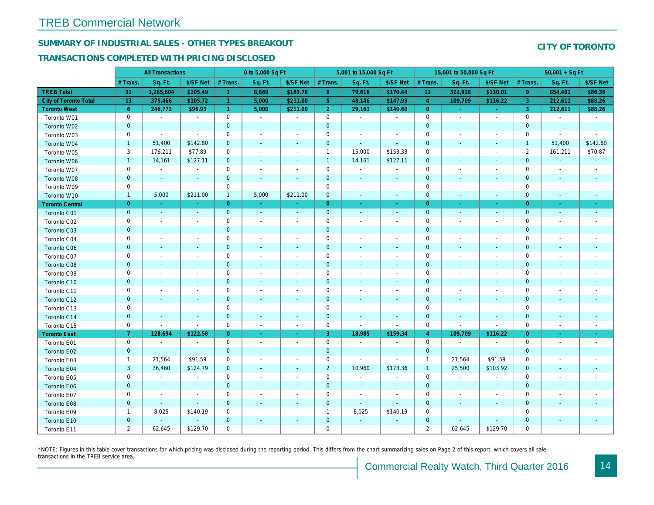## SUMMARY OF INDUSTRIAL SALES - OTHER TYPES BREAKOUT

#### TRANSACTIONS COMPLETED WITH PRICING DISCLOSED

|                              |                | <b>All Transactions</b>  |                          |                      | 0 to 5,000 Sq Ft         |                          |                     | 5,001 to 15,000 Sq Ft    |                          |                 | 15,001 to 50,000 Sq Ft   |                          |
|------------------------------|----------------|--------------------------|--------------------------|----------------------|--------------------------|--------------------------|---------------------|--------------------------|--------------------------|-----------------|--------------------------|--------------------------|
|                              | # Trans        | Sq. Ft.                  | \$/SF Net                | # Trans.             | Sq. Ft.                  | \$/SF Net                | # Trans.            | Sq. Ft.                  | \$/SF Net                | # Trans.        | Sq. Ft.                  | \$/SF Ne                 |
| <b>TREB Total</b>            | 32             | 1,265,604                | \$105.49                 | 3                    | 8,669                    | \$183.76                 | 8 <sup>°</sup>      | 79,616                   | \$170.44                 | 12 <sub>2</sub> | 322,918                  | \$138.0                  |
| <b>City of Toronto Total</b> | 13             | 375,466                  | \$105.72                 |                      | 5,000                    | \$211.00                 | 5 <sup>1</sup>      | 48,146                   | \$147.99                 | $\overline{4}$  | 109,709                  | \$116.22                 |
| <b>Toronto West</b>          | 6 <sup>°</sup> | 246,772                  | \$96.93                  | $\blacktriangleleft$ | 5,000                    | \$211.00                 | 2 <sup>1</sup>      | 29,161                   | \$140.60                 | $\overline{0}$  | $\bullet$                | $\omega_{\rm{eff}}$      |
| Toronto W01                  | 0              | $\blacksquare$           | $\blacksquare$           | $\mathbf 0$          | $\sim$                   | $\blacksquare$           | $\mathsf{O}$        | $\blacksquare$           | $\sim$                   | $\mathbf 0$     | $\blacksquare$           | $\sim$                   |
| Toronto W02                  | $\mathbf 0$    | $\blacksquare$           | $\sim$                   | $\mathbf 0$          | $\blacksquare$           | $\frac{1}{2}$            | $\mathbf 0$         | $\blacksquare$           | $\sim$                   | $\mathbf 0$     | $\blacksquare$           | $\blacksquare$           |
| Toronto W03                  | 0              | $\blacksquare$           | $\sim$                   | $\mathbf 0$          | $\sim$                   | $\blacksquare$           | $\mathbf 0$         | $\blacksquare$           | $\sim$                   | $\mathbf 0$     | $\blacksquare$           | $\blacksquare$           |
| Toronto W04                  | $\mathbf{1}$   | 51,400                   | \$142.80                 | $\mathbf 0$          | $\sim$                   | $\blacksquare$           | $\mathbf 0$         | $\blacksquare$           | ä,                       | $\mathbf 0$     | $\blacksquare$           | $\blacksquare$           |
| Toronto W05                  | 3              | 176,211                  | \$77.89                  | 0                    | $\blacksquare$           | $\blacksquare$           | $\mathbf{1}$        | 15,000                   | \$153.33                 | $\mathbf 0$     | $\blacksquare$           | $\blacksquare$           |
| Toronto W06                  | $\mathbf{1}$   | 14,161                   | \$127.11                 | 0                    | $\blacksquare$           | $\blacksquare$           | $\mathbf{1}$        | 14,161                   | \$127.11                 | $\mathbf 0$     | $\blacksquare$           | ٠                        |
| Toronto W07                  | 0              | $\sim$                   | $\sim$                   | 0                    | $\blacksquare$           | $\sim$                   | $\mathsf 0$         | $\blacksquare$           | $\sim$                   | $\mathbf 0$     | $\sim$                   | $\overline{\phantom{a}}$ |
| Toronto W08                  | $\mathbf{0}$   | $\blacksquare$           | $\sim$                   | $\mathbf 0$          | $\sim$                   | $\blacksquare$           | $\pmb{0}$           | $\sim$                   | $\blacksquare$           | $\mathbf 0$     | $\blacksquare$           | $\blacksquare$           |
| Toronto W09                  | 0              | $\blacksquare$           | $\blacksquare$           | $\mathbf 0$          | $\blacksquare$           | $\sim$                   | $\mathbf 0$         | $\overline{\phantom{a}}$ | $\overline{\phantom{a}}$ | $\mathbf 0$     | $\blacksquare$           | $\blacksquare$           |
| Toronto W10                  | $\mathbf{1}$   | 5,000                    | \$211.00                 | $\mathbf{1}$         | 5,000                    | \$211.00                 | $\mathbf 0$         | $\blacksquare$           | $\blacksquare$           | $\mathbf 0$     | $\blacksquare$           | ٠                        |
| <b>Toronto Central</b>       | $\overline{0}$ | $\sim$                   | $\sim$                   | $\overline{0}$       | $\sim$                   | $\blacksquare$           | $\overline{0}$      | $\omega$                 | $\blacksquare$           | $\overline{0}$  | $\sim$                   | $\sim$                   |
| Toronto C01                  | $\mathbf 0$    | $\sim$                   | $\sim$                   | $\mathbf 0$          | $\sim$                   | $\blacksquare$           | $\mathbf 0$         | $\omega$                 | $\sim$                   | $\mathbf 0$     | $\omega$                 | $\sim$                   |
| Toronto C02                  | 0              | $\overline{\phantom{a}}$ | $\overline{a}$           | $\mathbf 0$          | $\sim$                   | $\blacksquare$           | $\mathbf 0$         | $\blacksquare$           | $\blacksquare$           | $\mathbf 0$     | $\overline{\phantom{a}}$ | $\blacksquare$           |
| Toronto C03                  | $\mathbf 0$    | $\overline{\phantom{a}}$ |                          | $\mathbf 0$          | $\blacksquare$           | $\blacksquare$           | $\mathbf 0$         | $\blacksquare$           | $\blacksquare$           | 0               | $\blacksquare$           | ٠                        |
| Toronto C04                  | 0              | $\overline{\phantom{a}}$ |                          | $\mathbf 0$          | $\sim$                   | $\blacksquare$           | $\mathbf 0$         | $\overline{a}$           | $\blacksquare$           | $\mathbf 0$     | $\overline{\phantom{a}}$ | $\blacksquare$           |
| Toronto C06                  | $\mathbf 0$    | $\blacksquare$           | $\blacksquare$           | $\mathbf 0$          | $\blacksquare$           | $\blacksquare$           | $\mathbf 0$         | $\blacksquare$           | $\blacksquare$           | $\mathbf 0$     | $\blacksquare$           | $\blacksquare$           |
| Toronto C07                  | 0              | $\overline{\phantom{a}}$ | $\overline{\phantom{a}}$ | $\mathbf 0$          | $\blacksquare$           | $\frac{1}{2}$            | $\mathbf 0$         | $\overline{a}$           | $\overline{a}$           | $\mathbf 0$     | $\ddot{\phantom{0}}$     | $\blacksquare$           |
| Toronto C08                  | $\mathbf{0}$   | $\blacksquare$           |                          | $\mathbf{0}$         | ٠                        | $\blacksquare$           | $\mathbf{0}$        | ÷,                       | $\overline{\phantom{a}}$ | $\mathbf{0}$    | $\blacksquare$           | ٠                        |
| Toronto C09                  | 0              | $\sim$                   |                          | $\mathsf 0$          | $\sim$                   | $\blacksquare$           | $\mathbf 0$         | $\blacksquare$           | $\blacksquare$           | $\mathbf 0$     | ÷,                       |                          |
| Toronto C10                  | $\mathbf 0$    | $\sim$                   | $\sim$                   | $\mathbf 0$          | $\blacksquare$           | $\blacksquare$           | $\mathbf 0$         | $\blacksquare$           | $\blacksquare$           | $\mathbf 0$     | $\blacksquare$           | $\blacksquare$           |
| Toronto C11                  | 0              | $\overline{\phantom{a}}$ | $\overline{\phantom{a}}$ | $\mathbf 0$          | $\blacksquare$           | $\overline{\phantom{a}}$ | $\mathbf 0$         | $\overline{a}$           | $\overline{a}$           | $\mathbf 0$     | $\overline{\phantom{a}}$ | $\blacksquare$           |
| Toronto C12                  | $\mathbf 0$    | $\sim$                   | $\sim$                   | $\mathbf{0}$         | $\blacksquare$           | $\blacksquare$           | $\mathbf 0$         | $\blacksquare$           | $\blacksquare$           | $\mathbf 0$     | $\sim$                   | ٠                        |
| Toronto C13                  | 0              | $\overline{\phantom{a}}$ | $\overline{\phantom{a}}$ | $\mathbf 0$          | $\blacksquare$           | $\overline{\phantom{a}}$ | $\mathbf 0$         | $\blacksquare$           | $\blacksquare$           | $\mathbf 0$     | $\sim$                   | $\blacksquare$           |
| Toronto C14                  | $\mathbf 0$    | $\sim$                   | $\sim$                   | $\mathbf 0$          | $\sim$                   | $\sim$                   | $\mathbf 0$         | $\blacksquare$           | $\sim$                   | $\mathbf 0$     | $\omega$                 | $\sim$                   |
| Toronto C15                  | 0              | $\blacksquare$           | $\sim$                   | $\mathsf 0$          | $\blacksquare$           | $\blacksquare$           | $\mathsf{O}\xspace$ | $\blacksquare$           | $\sim$                   | $\mathbf 0$     |                          | $\blacksquare$           |
| <b>Toronto East</b>          | $\overline{7}$ | 128,694                  | \$122.58                 | $\overline{0}$       | $\omega$                 | $\sim$                   | 3 <sup>°</sup>      | 18,985                   | \$159.34                 | $\overline{4}$  | 109,709                  | \$116.22                 |
| Toronto E01                  | 0              | $\blacksquare$           | $\blacksquare$           | $\mathbf 0$          | $\sim$                   | $\blacksquare$           | $\mathbf 0$         | $\sim$                   | $\blacksquare$           | $\mathbf 0$     | $\blacksquare$           | $\sim$                   |
| Toronto E02                  | $\mathbf 0$    | $\blacksquare$           | $\sim$                   | $\mathbf 0$          | $\sim$                   | $\sim$                   | $\mathbf 0$         | $\blacksquare$           | $\sim$                   | $\mathbf{0}$    | $\sim$                   | $\sim$                   |
| Toronto E03                  | $\mathbf{1}$   | 21,564                   | \$91.59                  | 0                    | $\overline{\phantom{a}}$ | $\overline{\phantom{a}}$ | $\mathbf 0$         | $\blacksquare$           | $\blacksquare$           | $\mathbf{1}$    | 21,564                   | \$91.59                  |
| Toronto E04                  | 3              | 36,460                   | \$124.79                 | $\mathbf{0}$         | $\sim$                   | $\sim$                   | $\overline{2}$      | 10,960                   | \$173.36                 | $\overline{1}$  | 25,500                   | \$103.92                 |
| Toronto E05                  | 0              | $\blacksquare$           | $\blacksquare$           | $\mathbf 0$          | $\blacksquare$           | $\blacksquare$           | $\mathbf 0$         | $\blacksquare$           | $\blacksquare$           | $\mathbf 0$     | $\blacksquare$           | $\blacksquare$           |
| Toronto E06                  | $\mathbf 0$    |                          |                          | $\mathbf 0$          | $\blacksquare$           |                          | $\mathbf 0$         | $\blacksquare$           | $\overline{\phantom{a}}$ | $\mathbf{0}$    | $\blacksquare$           | $\blacksquare$           |
| Toronto E07                  | 0              | $\overline{\phantom{a}}$ | $\overline{\phantom{a}}$ | $\mathbf 0$          | $\blacksquare$           | $\overline{\phantom{a}}$ | $\mathbf 0$         | $\overline{\phantom{a}}$ | $\overline{\phantom{a}}$ | 0               | $\blacksquare$           | $\blacksquare$           |
| Toronto E08                  | $\mathbf{0}$   | $\sim$                   | $\omega$                 | $\mathbf 0$          | $\blacksquare$           | $\blacksquare$           | $\mathbf 0$         | $\mathbf{r}$             | $\mathbf{r}$             | $\mathbf 0$     | $\sim$                   |                          |
| Toronto E09                  | $\mathbf{1}$   | 8,025                    | \$140.19                 | 0                    | $\blacksquare$           | $\blacksquare$           | $\mathbf{1}$        | 8,025                    | \$140.19                 | $\mathbf 0$     | $\sim$                   | $\blacksquare$           |
| Toronto E10                  | $\mathbf 0$    |                          |                          | $\mathbf 0$          | $\blacksquare$           | $\blacksquare$           | $\pmb{0}$           | $\blacksquare$           |                          | $\mathbf 0$     | $\sim$                   |                          |
| Toronto E11                  | $\overline{2}$ | 62,645                   | \$129.70                 | $\mathbf 0$          | $\blacksquare$           | $\blacksquare$           | $\mathbf 0$         | $\blacksquare$           | $\blacksquare$           | 2               | 62,645                   | \$129.70                 |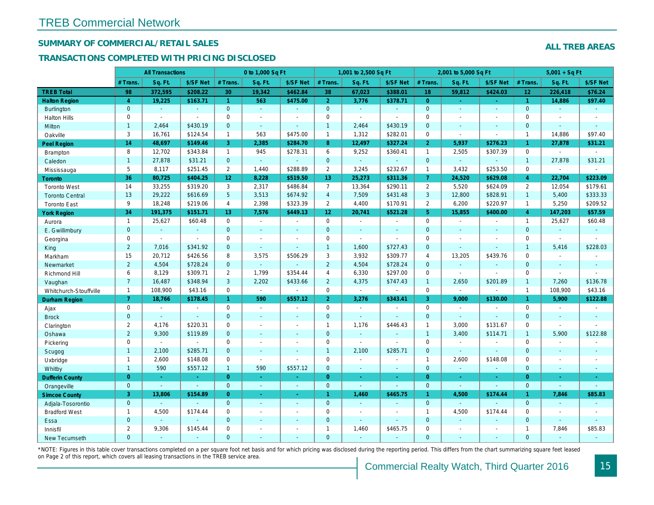## SUMMARY OF COMMERCIAL/RETAIL SALES

#### TRANSACTIONS COMPLETED WITH PRICING DISCLOSED

|                        |                | <b>All Transactions</b> |                |                 | 0 to 1,000 Sq Ft |                |                     | 1,001 to 2,500 Sq Ft |                |                | 2,001 to 5,000 Sq Ft |                  |
|------------------------|----------------|-------------------------|----------------|-----------------|------------------|----------------|---------------------|----------------------|----------------|----------------|----------------------|------------------|
|                        | # Trans.       | Sq. Ft.                 | \$/SF Net      | # Trans.        | Sq. Ft.          | \$/SF Net      | # Trans.            | Sq. Ft.              | \$/SF Net      | # Trans.       | Sq. Ft.              | \$/SF Ne         |
| <b>TREB Total</b>      | 98             | 372,595                 | \$208.22       | 30              | 19,342           | \$462.84       | 38                  | 67,023               | \$388.01       | 18             | 59,812               | \$424.0          |
| <b>Halton Region</b>   | $\overline{4}$ | 19,225                  | \$163.71       | $\mathbf{1}$    | 563              | \$475.00       | 2 <sup>1</sup>      | 3,776                | \$378.71       | $\overline{0}$ | $\blacksquare$       | $\omega_{\rm c}$ |
| <b>Burlington</b>      | $\overline{0}$ | $\omega$                | $\omega$       | $\mathbf{0}$    | $\omega$         | $\blacksquare$ | $\mathbf{0}$        | $\omega$             | $\sim$         | $\mathbf{0}$   | $\blacksquare$       | $\blacksquare$   |
| <b>Halton Hills</b>    | 0              | $\sim$                  | $\sim$         | 0               | $\blacksquare$   |                | $\mathsf{O}$        | $\blacksquare$       | $\overline{a}$ | $\Omega$       | $\sim$               | $\blacksquare$   |
| Milton                 | $\mathbf{1}$   | 2,464                   | \$430.19       | $\mathbf 0$     | $\omega$         | $\blacksquare$ | $\mathbf{1}$        | 2,464                | \$430.19       | $\mathbf{0}$   | $\blacksquare$       | $\blacksquare$   |
| Oakville               | 3              | 16,761                  | \$124.54       | $\mathbf{1}$    | 563              | \$475.00       | $\mathbf{1}$        | 1,312                | \$282.01       | $\mathbf 0$    | $\blacksquare$       | $\blacksquare$   |
| <b>Peel Region</b>     | 14             | 48,697                  | \$149.46       | 3               | 2,385            | \$284.70       | 8                   | 12,497               | \$327.24       | $\overline{2}$ | 5,937                | \$276.23         |
| <b>Brampton</b>        | 8              | 12,702                  | \$343.84       | $\mathbf{1}$    | 945              | \$278.31       | 6                   | 9,252                | \$360.41       | $\mathbf{1}$   | 2,505                | \$307.39         |
| Caledon                | $\mathbf{1}$   | 27,878                  | \$31.21        | $\mathbf 0$     | $\omega$         | $\blacksquare$ | $\mathbf{0}$        | $\omega_{\rm c}$     | $\omega$       | $\mathbf{0}$   | $\omega$             | $\blacksquare$   |
| Mississauga            | 5              | 8,117                   | \$251.45       | $\overline{2}$  | 1,440            | \$288.89       | $\overline{2}$      | 3,245                | \$232.67       | $\overline{1}$ | 3,432                | \$253.50         |
| <b>Toronto</b>         | 36             | 80,725                  | \$404.25       | 12 <sup>2</sup> | 8,228            | \$519.50       | 13 <sub>1</sub>     | 25,273               | \$311.36       | $\mathbf{7}$   | 24,520               | \$629.0          |
| <b>Toronto West</b>    | 14             | 33,255                  | \$319.20       | 3               | 2,317            | \$486.84       | $\overline{7}$      | 13,364               | \$290.11       | 2              | 5,520                | \$624.09         |
| <b>Toronto Central</b> | 13             | 29,222                  | \$616.69       | 5               | 3,513            | \$674.92       | $\overline{4}$      | 7,509                | \$431.48       | $\mathbf{3}$   | 12,800               | \$828.91         |
| <b>Toronto East</b>    | 9              | 18,248                  | \$219.06       | $\overline{4}$  | 2,398            | \$323.39       | $\overline{2}$      | 4,400                | \$170.91       | $\overline{2}$ | 6,200                | \$220.97         |
| <b>York Region</b>     | 34             | 191,375                 | \$151.71       | 13              | 7,576            | \$449.13       | 12 <sub>1</sub>     | 20,741               | \$521.28       | 5 <sup>5</sup> | 15,855               | \$400.00         |
| Aurora                 | $\overline{1}$ | 25,627                  | \$60.48        | $\mathbf 0$     | $\sim$           | $\blacksquare$ | $\mathsf{O}$        | $\blacksquare$       | $\sim$         | $\mathbf 0$    | $\omega$             | $\blacksquare$   |
| E. Gwillimbury         | $\mathbf{0}$   | $\omega$                | $\omega$       | $\overline{0}$  | $\sim$           | $\blacksquare$ | $\mathbf{0}$        | $\blacksquare$       | ä,             | $\mathbf{0}$   | $\omega$             | $\blacksquare$   |
| Georgina               | 0              | $\sim$                  | $\sim$         | 0               | $\blacksquare$   | $\blacksquare$ | $\mathbf 0$         | $\blacksquare$       | $\blacksquare$ | $\mathbf 0$    | $\blacksquare$       | $\blacksquare$   |
| King                   | $\overline{2}$ | 7,016                   | \$341.92       | $\mathbf{0}$    | $\mathbf{r}$     | $\blacksquare$ | $\mathbf{1}$        | 1,600                | \$727.43       | $\mathbf{0}$   | $\omega$             | $\blacksquare$   |
| Markham                | 15             | 20,712                  | \$426.56       | 8               | 3,575            | \$506.29       | 3                   | 3,932                | \$309.77       | $\overline{4}$ | 13,205               | \$439.76         |
| Newmarket              | $\overline{2}$ | 4,504                   | \$728.24       | $\overline{0}$  | $\Delta$         |                | $\overline{2}$      | 4,504                | \$728.24       | $\mathbf{0}$   | $\omega$             | $\sim$           |
| Richmond Hill          | 6              | 8,129                   | \$309.71       | $\overline{2}$  | 1,799            | \$354.44       | 4                   | 6,330                | \$297.00       | $\mathbf 0$    | $\sim$               | $\blacksquare$   |
| Vaughan                | $\overline{7}$ | 16,487                  | \$348.94       | 3               | 2,202            | \$433.66       | $\overline{2}$      | 4,375                | \$747.43       | $\overline{1}$ | 2,650                | \$201.89         |
| Whitchurch-Stouffville | $\overline{1}$ | 108,900                 | \$43.16        | $\mathbf 0$     | $\omega$         | $\sim$         | $\mathsf{O}$        | $\omega$             | $\sim$         | $\mathbf 0$    | $\omega$             | $\blacksquare$   |
| <b>Durham Region</b>   | $\mathbf{7}$   | 18,766                  | \$178.45       | $\mathbf{1}$    | 590              | \$557.12       | 2 <sup>1</sup>      | 3,276                | \$343.41       | $\overline{3}$ | 9,000                | \$130.00         |
| Ajax                   | 0              | $\sim$                  | $\blacksquare$ | $\mathbf 0$     | $\sim$           | $\blacksquare$ | $\mathsf{O}$        | $\blacksquare$       | $\blacksquare$ | $\mathbf 0$    | $\blacksquare$       | $\blacksquare$   |
| <b>Brock</b>           | $\overline{0}$ | $\mathbf{r}$            | $\mathbf{r}$   | $\overline{0}$  | $\mathbf{r}$     | $\blacksquare$ | $\mathbf{0}$        | $\Box$               | $\blacksquare$ | $\mathbf{0}$   | ÷.                   | $\blacksquare$   |
| Clarington             | $\overline{2}$ | 4,176                   | \$220.31       | 0               | $\sim$           | $\blacksquare$ | $\mathbf{1}$        | 1,176                | \$446.43       | $\mathbf{1}$   | 3,000                | \$131.67         |
| Oshawa                 | $\overline{2}$ | 9,300                   | \$119.89       | $\mathbf{0}$    | $\blacksquare$   | ٠              | $\mathbf{0}$        | $\blacksquare$       | $\blacksquare$ | $\overline{1}$ | 3,400                | \$114.7'         |
| Pickering              | 0              | $\sim$                  | $\sim$         | 0               | $\sim$           | $\blacksquare$ | $\mathbf 0$         | $\blacksquare$       | $\blacksquare$ | $\mathbf 0$    | $\blacksquare$       |                  |
| Scugog                 | $\mathbf{1}$   | 2,100                   | \$285.71       | $\mathbf{0}$    | $\omega$         | $\blacksquare$ | $\overline{1}$      | 2,100                | \$285.71       | $\mathbf{0}$   | $\omega$             | $\blacksquare$   |
| Uxbridge               | $\mathbf{1}$   | 2,600                   | \$148.08       | $\mathbf 0$     | $\blacksquare$   |                | $\mathbf 0$         | $\blacksquare$       | $\overline{a}$ | $\mathbf{1}$   | 2,600                | \$148.08         |
| Whitby                 | $\mathbf{1}$   | 590                     | \$557.12       | $\mathbf{1}$    | 590              | \$557.12       | $\mathbf{0}$        | $\blacksquare$       | $\blacksquare$ | $\mathbf{0}$   | $\omega$             | $\blacksquare$   |
| <b>Dufferin County</b> | $\overline{0}$ | ÷.                      | $\sim$         | $\overline{0}$  | $\sim$           | $\sim$         | $\overline{0}$      | $\omega$             | ×.             | $\overline{0}$ | ÷.                   | $\sim$           |
| Orangeville            | $\mathbf 0$    | $\omega$                | $\omega$       | $\overline{0}$  | $\omega$         | $\omega$       | $\mathbf{0}$        | $\omega$             | $\omega$       | $\mathbf{0}$   | $\omega$             | $\omega$         |
| <b>Simcoe County</b>   | 3              | 13,806                  | \$154.89       | $\overline{0}$  | $\omega$         | $\omega$       | $\overline{1}$      | 1,460                | \$465.75       | $\mathbf{1}$   | 4,500                | \$174.44         |
| Adjala-Tosorontio      | $\mathbf{0}$   |                         |                | $\mathbf{0}$    | $\omega$         | $\blacksquare$ | $\mathbf{0}$        | $\blacksquare$       | ä,             | $\mathbf{0}$   | ÷.                   |                  |
| <b>Bradford West</b>   | $\mathbf{1}$   | 4,500                   | \$174.44       | 0               | $\sim$           | $\sim$         | $\mathsf{O}\xspace$ | $\blacksquare$       | $\blacksquare$ | $\mathbf{1}$   | 4,500                | \$174.44         |
| Essa                   | $\mathbf{0}$   | $\sim$                  |                | $\mathbf{0}$    | $\blacksquare$   | $\blacksquare$ | $\mathbf{0}$        | $\blacksquare$       | $\blacksquare$ | $\mathbf{0}$   | $\omega$             |                  |
| Innisfil               | $\mathbf{2}$   | 9,306                   | \$145.44       | $\mathbf 0$     | $\blacksquare$   | $\blacksquare$ | $\mathbf{1}$        | 1,460                | \$465.75       | $\mathbf 0$    | $\blacksquare$       | $\blacksquare$   |
| <b>New Tecumseth</b>   | $\Omega$       |                         |                | $\Omega$        |                  |                | $\Omega$            |                      |                | $\Omega$       |                      |                  |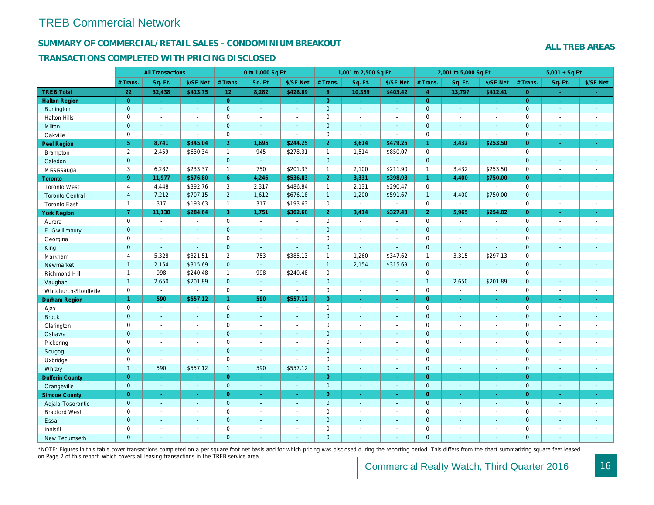#### SUMMARY OF COMMERCIAL/RETAIL SALES - CONDOMINIUM BREAKOUT

#### TRANSACTIONS COMPLETED WITH PRICING DISCLOSED

|                        |                | <b>All Transactions</b> |                       |                 | 0 to 1,000 Sq Ft |                          |                | 1,001 to 2,500 Sq Ft  |                          |                | 2,001 to 5,000 Sq Ft |                          |
|------------------------|----------------|-------------------------|-----------------------|-----------------|------------------|--------------------------|----------------|-----------------------|--------------------------|----------------|----------------------|--------------------------|
|                        | # Trans        | Sq. Ft.                 | \$/SF Net             | # Trans.        | Sq. Ft.          | \$/SF Net                | # Trans.       | Sq. Ft.               | \$/SF Net                | # Trans.       | Sq. Ft.              | \$/SF Ne                 |
| <b>TREB Total</b>      | 22             | 32,438                  | \$413.75              | 12 <sub>2</sub> | 8,282            | \$428.89                 | 6 <sup>1</sup> | 10,359                | \$403.42                 | $\overline{4}$ | 13,797               | \$412.4'                 |
| <b>Halton Region</b>   | $\overline{0}$ | $\omega$                | $\omega$              | $\overline{0}$  | $\sim$           | $\omega$                 | $\overline{0}$ | ÷.                    | ÷.                       | $\overline{0}$ | $\omega$             | $\sim$                   |
| Burlington             | $\mathbf{0}$   | $\omega$                | $\Delta$              | $\mathbf{0}$    | $\omega$         | $\sim$                   | $\mathbf{0}$   | $\Box$                | $\blacksquare$           | $\mathbf{0}$   | $\mathbf{r}$         | $\sim$                   |
| <b>Halton Hills</b>    | $\mathbf 0$    | $\omega$                | $\tilde{\phantom{a}}$ | $\mathbf 0$     | $\sim$           | $\overline{\phantom{a}}$ | $\pmb{0}$      | $\blacksquare$        | $\blacksquare$           | $\mathbf 0$    | $\overline{a}$       | $\blacksquare$           |
| Milton                 | $\mathbf{0}$   | $\sim$                  | $\blacksquare$        | $\mathbf{0}$    | $\sim$           | $\sim$                   | $\mathbf 0$    | $\omega$              | $\blacksquare$           | $\mathbf 0$    | $\omega$             | $\sim$                   |
| Oakville               | $\mathbf 0$    | $\blacksquare$          | $\sim$                | $\mathbf 0$     | $\mathbf{r}$     | $\sim$                   | $\pmb{0}$      | $\sim$                | $\sim$                   | $\mathbf 0$    | $\sim$               | $\blacksquare$           |
| Peel Region            | 5 <sub>5</sub> | 8,741                   | \$345.04              | $\overline{2}$  | 1,695            | \$244.25                 | $\overline{2}$ | 3,614                 | \$479.25                 | $\mathbf{1}$   | 3,432                | \$253.50                 |
| Brampton               | $\overline{2}$ | 2,459                   | \$630.34              | $\mathbf{1}$    | 945              | \$278.31                 | $\mathbf{1}$   | 1,514                 | \$850.07                 | $\mathbf 0$    | $\blacksquare$       | $\overline{\phantom{a}}$ |
| Caledon                | $\mathbf{0}$   | $\omega$                | $\omega$              | $\mathbf{0}$    | $\omega$         | $\sim$                   | $\mathbf{0}$   | $\omega_{\rm c}$      | $\omega$                 | $\mathbf{0}$   | $\omega$             | $\blacksquare$           |
| Mississauga            | 3              | 6,282                   | \$233.37              | $\mathbf{1}$    | 750              | \$201.33                 | $\mathbf{1}$   | 2,100                 | \$211.90                 | $\mathbf{1}$   | 3,432                | \$253.50                 |
| Toronto                | 9 <sup>°</sup> | 11,977                  | \$576.80              | 6               | 4,246            | \$536.83                 | $\overline{2}$ | 3,331                 | \$398.98                 | 1.             | 4,400                | \$750.00                 |
| <b>Toronto West</b>    | $\overline{4}$ | 4,448                   | \$392.76              | 3               | 2,317            | \$486.84                 | $\mathbf{1}$   | 2,131                 | \$290.47                 | $\mathbf 0$    | $\sim$               | $\sim$                   |
| <b>Toronto Central</b> | $\overline{4}$ | 7,212                   | \$707.15              | $\overline{2}$  | 1,612            | \$676.18                 | $\mathbf{1}$   | 1,200                 | \$591.67                 | $\mathbf{1}$   | 4,400                | \$750.00                 |
| <b>Toronto East</b>    | $\mathbf{1}$   | 317                     | \$193.63              | $\mathbf{1}$    | 317              | \$193.63                 | 0              | $\sim$                | $\blacksquare$           | $\mathbf 0$    | $\omega$             | $\blacksquare$           |
| <b>York Region</b>     | $\overline{7}$ | 11,130                  | \$284.64              | 3 <sup>1</sup>  | 1,751            | \$302.68                 | 2 <sup>1</sup> | 3,414                 | \$327.48                 | $\overline{2}$ | 5,965                | \$254.82                 |
| Aurora                 | $\mathbf 0$    | $\sim$                  | $\blacksquare$        | $\mathbf 0$     | $\sim$           | $\blacksquare$           | 0              | $\sim$                | $\blacksquare$           | $\mathbf 0$    | $\sim$               | $\sim$                   |
| E. Gwillimbury         | $\mathbf{0}$   | $\sim$                  | $\sim$                | $\mathbf{0}$    | $\mathbf{r}$     |                          | $\mathbf 0$    | $\blacksquare$        | $\blacksquare$           | $\mathbf 0$    | $\blacksquare$       | $\blacksquare$           |
| Georgina               | $\mathbf 0$    | $\blacksquare$          | $\blacksquare$        | $\Omega$        | $\sim$           | $\sim$                   | $\mathbf 0$    | $\blacksquare$        | $\sim$                   | $\mathbf 0$    | $\blacksquare$       | $\blacksquare$           |
| King                   | $\mathbf{0}$   | $\blacksquare$          | $\blacksquare$        | $\mathbf{0}$    | $\sim$           |                          | $\mathbf 0$    | $\blacksquare$        | $\blacksquare$           | $\mathbf{0}$   | $\blacksquare$       | $\blacksquare$           |
| Markham                | $\overline{4}$ | 5,328                   | \$321.51              | 2               | 753              | \$385.13                 | $\mathbf{1}$   | 1,260                 | \$347.62                 | $\mathbf{1}$   | 3,315                | \$297.13                 |
| Newmarket              | $\mathbf{1}$   | 2,154                   | \$315.69              | $\mathbf{0}$    | $\omega$         |                          | $\overline{1}$ | 2,154                 | \$315.69                 | $\mathbf 0$    | $\omega$             | $\sim$                   |
| Richmond Hill          | $\mathbf{1}$   | 998                     | \$240.48              | $\mathbf{1}$    | 998              | \$240.48                 | $\mathbf 0$    | $\blacksquare$        | $\blacksquare$           | $\mathbf 0$    | $\blacksquare$       | $\blacksquare$           |
| Vaughan                | $\mathbf{1}$   | 2,650                   | \$201.89              | $\overline{0}$  | $\omega$         | $\sim$                   | $\mathbf{0}$   | $\sim$                | $\overline{\phantom{a}}$ | $\overline{1}$ | 2,650                | \$201.89                 |
| Whitchurch-Stouffville | $\mathbf 0$    | $\blacksquare$          | $\blacksquare$        | $\mathbf 0$     | $\bullet$        | $\sim$                   | $\mathbf 0$    | $\blacksquare$        | $\blacksquare$           | $\mathsf 0$    | $\blacksquare$       | $\blacksquare$           |
| <b>Durham Region</b>   | $\mathbf{1}$   | 590                     | \$557.12              | $\mathbf{1}$    | 590              | \$557.12                 | $\overline{0}$ | $\omega$              | ÷.                       | $\overline{0}$ | $\sim$               | $\omega$                 |
| Ajax                   | $\mathbf 0$    | $\sim$                  | $\blacksquare$        | $\mathbf 0$     | $\sim$           | ÷.                       | $\pmb{0}$      | $\sim$                | $\blacksquare$           | $\mathbf 0$    | $\blacksquare$       | $\sim$                   |
| <b>Brock</b>           | $\mathbf 0$    | $\omega$                | $\omega$              | $\mathbf 0$     | $\omega$         | $\sim$                   | $\pmb{0}$      | $\Box$                | $\omega$                 | $\mathbf 0$    | $\omega$             | $\sim$                   |
| Clarington             | $\mathbf 0$    | $\blacksquare$          | $\blacksquare$        | $\mathbf 0$     | $\sim$           | $\blacksquare$           | $\pmb{0}$      | $\blacksquare$        | $\blacksquare$           | $\mathbf 0$    | ÷,                   | $\blacksquare$           |
| Oshawa                 | $\overline{0}$ | $\blacksquare$          | $\sim$                | $\mathbf{0}$    | $\sim$           |                          | $\mathbf 0$    | $\blacksquare$        | $\blacksquare$           | $\mathbf{0}$   | $\blacksquare$       | $\blacksquare$           |
| Pickering              | $\mathbf 0$    | $\blacksquare$          | $\blacksquare$        | $\mathbf 0$     | $\sim$           |                          | $\pmb{0}$      | $\tilde{\phantom{a}}$ | $\blacksquare$           | $\mathbf 0$    | ÷,                   | $\blacksquare$           |
| Scugog                 | $\mathbf{0}$   | $\blacksquare$          | $\blacksquare$        | $\mathbf{0}$    | $\omega$         | $\blacksquare$           | $\mathbf 0$    | $\blacksquare$        | $\blacksquare$           | $\mathbf 0$    | $\blacksquare$       | $\blacksquare$           |
| Uxbridge               | $\mathbf 0$    | $\blacksquare$          | $\omega$              | $\mathbf 0$     | $\mathbf{r}$     |                          | $\pmb{0}$      | $\blacksquare$        | $\blacksquare$           | $\mathbf 0$    | ÷,                   | $\blacksquare$           |
| Whitby                 | $\mathbf{1}$   | 590                     | \$557.12              | $\mathbf{1}$    | 590              | \$557.12                 | $\mathbf 0$    | $\blacksquare$        | $\blacksquare$           | $\mathbf{0}$   | $\blacksquare$       | $\sim$                   |
| <b>Dufferin County</b> | $\overline{0}$ | $\sim$                  | $\sim$                | $\overline{0}$  | a.               | $\sim$                   | $\overline{0}$ | $\blacksquare$        | $\blacksquare$           | $\overline{0}$ | ×.                   | $\sim$                   |
| Orangeville            | $\overline{0}$ | $\omega$                | $\blacksquare$        | $\mathbf{0}$    | $\omega$         | $\sim$                   | $\mathbf{0}$   | $\omega$              | $\sim$                   | $\mathbf{0}$   | $\omega$             | $\sim$                   |
| <b>Simcoe County</b>   | $\overline{0}$ | $\sim$                  | $\omega$              | $\overline{0}$  | $\omega$         | $\omega$                 | $\overline{0}$ | $\blacksquare$        | $\blacksquare$           | $\overline{0}$ | $\blacksquare$       | $\sigma_{\rm c}$         |
| Adjala-Tosorontio      | $\mathbf{0}$   | $\sim$                  | $\sim$                | $\mathbf 0$     | $\sim$           | $\sim$                   | $\mathbf 0$    | $\omega$              | $\blacksquare$           | $\mathbf 0$    | $\omega$             | $\sim$                   |
| <b>Bradford West</b>   | $\mathbf 0$    | $\sim$                  | $\blacksquare$        | $\mathbf 0$     | $\sim$           | $\sim$                   | $\pmb{0}$      | $\blacksquare$        | $\blacksquare$           | $\mathbf 0$    | $\blacksquare$       | $\blacksquare$           |
| Essa                   | $\mathbf{0}$   | $\sim$                  | $\blacksquare$        | $\mathbf{0}$    |                  | $\sim$                   | $\pmb{0}$      | $\blacksquare$        | $\blacksquare$           | $\mathbf 0$    | $\blacksquare$       |                          |
| Innisfil               | $\mathbf 0$    | $\blacksquare$          | $\blacksquare$        | $\mathbf 0$     | $\blacksquare$   | $\blacksquare$           | $\pmb{0}$      | $\blacksquare$        | $\blacksquare$           | $\mathbf 0$    | $\blacksquare$       | $\blacksquare$           |
| <b>New Tecumseth</b>   | $\Omega$       |                         |                       | $\Omega$        |                  |                          | $\Omega$       |                       |                          | $\overline{0}$ |                      |                          |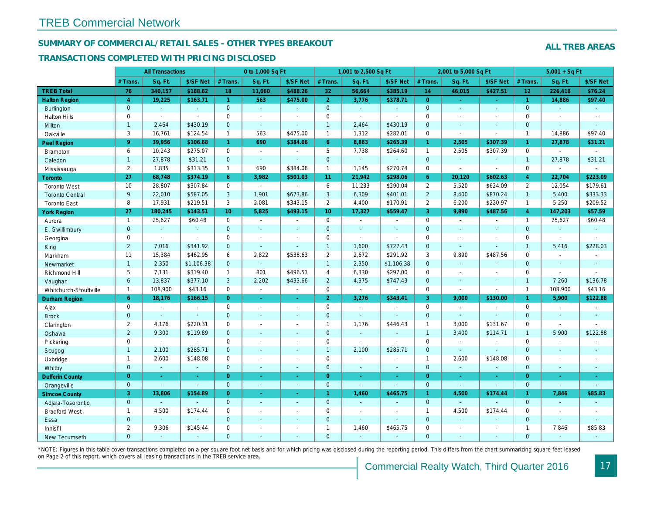#### SUMMARY OF COMMERCIAL/RETAIL SALES - OTHER TYPES BREAKOUT

#### TRANSACTIONS COMPLETED WITH PRICING DISCLOSED

|                        |                | <b>All Transactions</b> |                |                 | 0 to 1,000 Sq Ft |                          |                     | 1,001 to 2,500 Sq Ft     |                |                | 2,001 to 5,000 Sq Ft |                |
|------------------------|----------------|-------------------------|----------------|-----------------|------------------|--------------------------|---------------------|--------------------------|----------------|----------------|----------------------|----------------|
|                        | # Trans.       | Sq. Ft.                 | \$/SF Net      | # Trans.        | Sq. Ft.          | \$/SF Net                | # Trans.            | Sq. Ft.                  | \$/SF Net      | # Trans.       | Sq. Ft.              | \$/SF Ne       |
| <b>TREB Total</b>      | 76             | 340,157                 | \$188.62       | 18              | 11,060           | \$488.26                 | 32                  | 56,664                   | \$385.19       | 14             | 46,015               | \$427.5'       |
| <b>Halton Region</b>   | $\overline{4}$ | 19,225                  | \$163.71       | $\mathbf{1}$    | 563              | \$475.00                 | 2 <sup>1</sup>      | 3,776                    | \$378.71       | $\overline{0}$ | $\omega$             | $\omega$       |
| <b>Burlington</b>      | $\overline{0}$ | $\omega$                | $\omega$       | $\mathbf{0}$    | $\omega$         | $\blacksquare$           | $\mathbf{0}$        | $\omega_{\rm c}$         | $\omega$       | $\overline{0}$ | $\omega$             | $\omega$       |
| <b>Halton Hills</b>    | 0              | $\sim$                  | $\blacksquare$ | 0               | $\sim$           |                          | $\mathbf 0$         | $\blacksquare$           | ä,             | $\mathbf 0$    | ÷,                   | $\blacksquare$ |
| Milton                 | $\mathbf{1}$   | 2,464                   | \$430.19       | $\mathbf{0}$    | $\omega$         | $\blacksquare$           | $\mathbf{1}$        | 2,464                    | \$430.19       | $\mathbf{0}$   | $\blacksquare$       | $\blacksquare$ |
| Oakville               | 3              | 16,761                  | \$124.54       | $\mathbf{1}$    | 563              | \$475.00                 | $\mathbf{1}$        | 1,312                    | \$282.01       | $\mathbf 0$    | $\blacksquare$       | $\blacksquare$ |
| Peel Region            | 9 <sup>°</sup> | 39,956                  | \$106.68       | 1 <sup>1</sup>  | 690              | \$384.06                 | 6 <sup>°</sup>      | 8,883                    | \$265.39       | $\mathbf{1}$   | 2,505                | \$307.39       |
| <b>Brampton</b>        | 6              | 10,243                  | \$275.07       | $\mathbf 0$     | $\sim$           | $\overline{\phantom{a}}$ | 5                   | 7,738                    | \$264.60       | $\mathbf{1}$   | 2,505                | \$307.39       |
| Caledon                | $\mathbf{1}$   | 27,878                  | \$31.21        | $\mathbf{0}$    | $\sim$           | ÷.                       | $\overline{0}$      | $\omega_{\rm c}$         | ÷.             | $\mathbf{0}$   | $\omega$             | $\blacksquare$ |
| Mississauga            | $\overline{2}$ | 1,835                   | \$313.35       | $\mathbf{1}$    | 690              | \$384.06                 | $\mathbf{1}$        | 1,145                    | \$270.74       | $\mathbf 0$    | $\sim$               | $\blacksquare$ |
| Toronto                | 27             | 68,748                  | \$374.19       | 6               | 3,982            | \$501.03                 | 11                  | 21,942                   | \$298.06       | 6              | 20,120               | \$602.63       |
| <b>Toronto West</b>    | 10             | 28,807                  | \$307.84       | $\mathbf 0$     | $\sim$           | $\overline{a}$           | 6                   | 11,233                   | \$290.04       | $\overline{2}$ | 5,520                | \$624.09       |
| <b>Toronto Central</b> | 9              | 22,010                  | \$587.05       | 3               | 1,901            | \$673.86                 | $\mathbf{3}$        | 6,309                    | \$401.01       | $\overline{2}$ | 8,400                | \$870.24       |
| <b>Toronto East</b>    | 8              | 17,931                  | \$219.51       | 3               | 2,081            | \$343.15                 | $\overline{2}$      | 4,400                    | \$170.91       | $\overline{2}$ | 6,200                | \$220.97       |
| <b>York Region</b>     | 27             | 180,245                 | \$143.51       | 10 <sup>°</sup> | 5,825            | \$493.15                 | 10 <sup>°</sup>     | 17,327                   | \$559.47       | $\overline{3}$ | 9,890                | \$487.56       |
| Aurora                 | $\overline{1}$ | 25,627                  | \$60.48        | $\mathbf 0$     | $\sim$           | $\blacksquare$           | $\mathsf{O}$        | $\blacksquare$           | $\sim$         | $\mathbf 0$    | $\blacksquare$       | $\blacksquare$ |
| E. Gwillimbury         | $\mathbf{0}$   | $\blacksquare$          | $\sim$         | $\mathbf{0}$    | $\sim$           | $\blacksquare$           | $\mathbf{0}$        | $\blacksquare$           | $\sim$         | $\mathbf{0}$   | $\omega$             | $\blacksquare$ |
| Georgina               | 0              | $\sim$                  | $\sim$         | $\mathbf 0$     | $\sim$           | $\sim$                   | $\mathbf 0$         | $\blacksquare$           | $\blacksquare$ | $\mathbf 0$    | $\blacksquare$       | $\blacksquare$ |
| King                   | $\overline{2}$ | 7,016                   | \$341.92       | $\mathbf 0$     | $\mathbf{r}$     | $\blacksquare$           | $\mathbf{1}$        | 1,600                    | \$727.43       | $\mathbf{0}$   | $\omega$             | $\blacksquare$ |
| Markham                | 11             | 15,384                  | \$462.95       | 6               | 2,822            | \$538.63                 | $\overline{2}$      | 2,672                    | \$291.92       | 3              | 9,890                | \$487.56       |
| Newmarket              | $\mathbf{1}$   | 2,350                   | \$1,106.38     | $\mathbf 0$     | $\omega$         |                          | $\mathbf{1}$        | 2,350                    | \$1,106.38     | $\mathbf{0}$   | $\omega$             | $\sim$         |
| Richmond Hill          | 5              | 7,131                   | \$319.40       | $\mathbf{1}$    | 801              | \$496.51                 | 4                   | 6,330                    | \$297.00       | $\mathbf 0$    | $\blacksquare$       | $\blacksquare$ |
| Vaughan                | 6              | 13,837                  | \$377.10       | 3               | 2,202            | \$433.66                 | $\overline{2}$      | 4,375                    | \$747.43       | $\mathbf{0}$   | $\sim$               | $\sim$         |
| Whitchurch-Stouffville | $\mathbf{1}$   | 108,900                 | \$43.16        | 0               | $\blacksquare$   | $\sim$                   | $\mathsf{O}\xspace$ | $\blacksquare$           | ÷,             | $\mathbf 0$    | $\sim$               | $\blacksquare$ |
| Durham Region          | 6              | 18,176                  | \$166.15       | $\overline{0}$  | $\sim$           | $\bullet$                | 2 <sup>1</sup>      | 3,276                    | \$343.41       | $\mathbf{3}$   | 9,000                | \$130.00       |
| Ajax                   | 0              | $\sim$                  | $\sim$         | $\mathbf 0$     | $\blacksquare$   | $\sim$                   | $\mathbf 0$         | $\sim$                   | $\blacksquare$ | $\mathbf 0$    | $\sim$               | $\blacksquare$ |
| <b>Brock</b>           | $\mathbf{0}$   | $\omega$                | $\omega$       | $\mathbf 0$     | $\omega$         | $\blacksquare$           | $\overline{0}$      | $\Box$                   | $\omega$       | $\mathbf{0}$   | $\omega$             | $\blacksquare$ |
| Clarington             | $\overline{2}$ | 4,176                   | \$220.31       | $\mathbf 0$     | $\blacksquare$   | $\blacksquare$           | $\mathbf{1}$        | 1,176                    | \$446.43       | $\mathbf{1}$   | 3,000                | \$131.67       |
| Oshawa                 | $\overline{2}$ | 9,300                   | \$119.89       | $\mathbf{0}$    | $\blacksquare$   | ٠                        | $\mathbf{0}$        | $\blacksquare$           | $\blacksquare$ | $\mathbf{1}$   | 3,400                | \$114.7'       |
| Pickering              | 0              | $\sim$                  | $\sim$         | 0               | $\blacksquare$   | $\blacksquare$           | $\mathbf 0$         | $\blacksquare$           | $\blacksquare$ | $\mathbf 0$    | $\sim$               | $\blacksquare$ |
| Scugog                 | $\mathbf{1}$   | 2,100                   | \$285.71       | $\mathbf{0}$    | $\omega$         | $\sim$                   | $\mathbf{1}$        | 2,100                    | \$285.71       | $\mathbf{0}$   | $\omega$             | $\blacksquare$ |
| Uxbridge               | $\mathbf{1}$   | 2,600                   | \$148.08       | $\mathbf 0$     | $\overline{a}$   | $\sim$                   | $\mathsf 0$         | $\overline{\phantom{a}}$ | ä,             | $\mathbf{1}$   | 2,600                | \$148.08       |
| Whitby                 | $\mathbf{0}$   | $\blacksquare$          | $\blacksquare$ | $\mathbf 0$     | $\sim$           | $\sim$                   | $\mathbf{0}$        | $\sim$                   | $\blacksquare$ | $\mathbf{0}$   | $\blacksquare$       | ٠.             |
| <b>Dufferin County</b> | $\overline{0}$ | $\omega$                | $\sim$         | $\overline{0}$  | ÷.               | $\sim$                   | $\overline{0}$      | $\omega$                 | $\omega$       | $\overline{0}$ | $\omega$             | $\sim$         |
| Orangeville            | $\overline{0}$ | $\omega$                | $\omega$       | $\overline{0}$  | $\Delta$         | $\omega$                 | $\overline{0}$      | $\sim$                   | $\mathbf{r}$   | $\mathbf{0}$   | $\omega$             | $\blacksquare$ |
| <b>Simcoe County</b>   | 3              | 13,806                  | \$154.89       | $\overline{0}$  | $\bullet$        | $\omega$                 | $\mathbf{1}$        | 1,460                    | \$465.75       | $\mathbf{1}$   | 4,500                | \$174.44       |
| Adjala-Tosorontio      | $\mathbf{0}$   |                         |                | $\mathbf{0}$    | $\sim$           | $\blacksquare$           | $\mathbf{0}$        | $\omega$                 |                | $\mathbf{0}$   | $\Delta$             |                |
| <b>Bradford West</b>   | $\mathbf{1}$   | 4,500                   | \$174.44       | 0               | $\blacksquare$   | $\sim$                   | $\mathbf 0$         | $\blacksquare$           | $\blacksquare$ | $\overline{1}$ | 4,500                | \$174.44       |
| Essa                   | $\mathbf{0}$   | $\blacksquare$          | $\blacksquare$ | $\mathbf{0}$    | $\blacksquare$   | $\blacksquare$           | $\mathbf 0$         | $\blacksquare$           | $\blacksquare$ | $\mathbf{0}$   | $\blacksquare$       |                |
| Innisfil               | $\overline{2}$ | 9,306                   | \$145.44       | $\mathbf 0$     | $\blacksquare$   | $\overline{\phantom{a}}$ | $\mathbf{1}$        | 1,460                    | \$465.75       | $\mathbf 0$    | $\blacksquare$       | $\blacksquare$ |
| <b>New Tecumseth</b>   | $\Omega$       | $\sim$                  |                | $\mathbf{0}$    | ÷.               | ÷                        | $\mathbf{0}$        | ÷.                       | ÷.             | $\Omega$       | $\sim$               | $\blacksquare$ |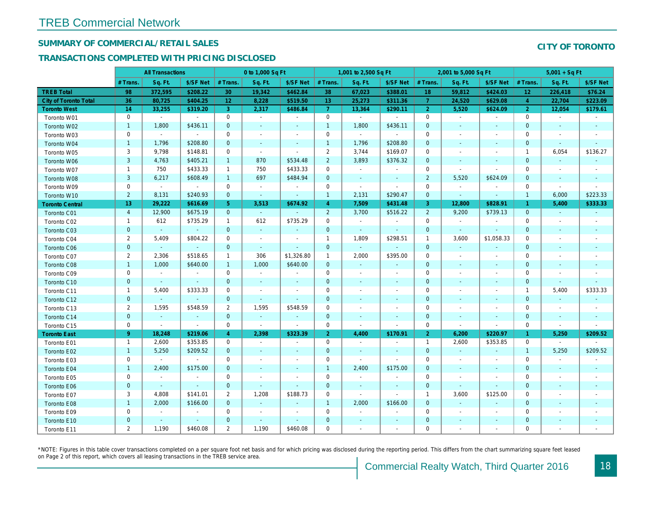## SUMMARY OF COMMERCIAL/RETAIL SALES

#### TRANSACTIONS COMPLETED WITH PRICING DISCLOSED

|                              |                 | <b>All Transactions</b>  |                |                | 0 to 1,000 Sq Ft |                          |                | 1,001 to 2,500 Sq Ft     |                          |                | 2,001 to 5,000 Sq Ft     |                          |
|------------------------------|-----------------|--------------------------|----------------|----------------|------------------|--------------------------|----------------|--------------------------|--------------------------|----------------|--------------------------|--------------------------|
|                              | # Trans         | Sq. Ft.                  | \$/SF Net      | # Trans.       | Sq. Ft.          | \$/SF Net                | # Trans.       | Sq. Ft.                  | \$/SF Net                | # Trans.       | Sq. Ft.                  | \$/SF Ne                 |
| <b>TREB Total</b>            | 98              | 372,595                  | \$208.22       | 30             | 19,342           | \$462.84                 | 38             | 67,023                   | \$388.01                 | 18             | 59,812                   | \$424.03                 |
| <b>City of Toronto Total</b> | 36              | 80,725                   | \$404.25       | 12             | 8,228            | \$519.50                 | 13             | 25,273                   | \$311.36                 | $\overline{7}$ | 24,520                   | \$629.0                  |
| <b>Toronto West</b>          | 14              | 33,255                   | \$319.20       | 3              | 2,317            | \$486.84                 | $\overline{7}$ | 13,364                   | \$290.11                 | $\overline{2}$ | 5,520                    | \$624.09                 |
| Toronto W01                  | 0               | $\blacksquare$           | $\blacksquare$ | $\mathbf 0$    | $\sim$           | $\blacksquare$           | $\mathbf 0$    | $\blacksquare$           | $\blacksquare$           | $\mathbf 0$    | $\blacksquare$           | $\blacksquare$           |
| Toronto W02                  | $\mathbf{1}$    | 1,800                    | \$436.11       | $\mathbf{0}$   | $\blacksquare$   | $\blacksquare$           | $\mathbf{1}$   | 1,800                    | \$436.11                 | $\mathbf{0}$   | $\blacksquare$           | $\blacksquare$           |
| Toronto W03                  | $\mathbf 0$     | $\blacksquare$           | $\sim$         | $\mathbf 0$    | $\blacksquare$   | $\blacksquare$           | $\mathbf 0$    | $\blacksquare$           | $\sim$                   | $\mathbf 0$    | $\blacksquare$           | $\blacksquare$           |
| Toronto W04                  | $\mathbf{1}$    | 1,796                    | \$208.80       | $\mathbf 0$    | $\blacksquare$   | $\blacksquare$           | $\mathbf{1}$   | 1,796                    | \$208.80                 | $\mathbf 0$    | $\blacksquare$           | $\blacksquare$           |
| Toronto W05                  | 3               | 9,798                    | \$148.81       | 0              | $\sim$           | $\blacksquare$           | $\overline{2}$ | 3,744                    | \$169.07                 | 0              | $\blacksquare$           | $\blacksquare$           |
| Toronto W06                  | 3               | 4,763                    | \$405.21       | $\mathbf{1}$   | 870              | \$534.48                 | $\overline{2}$ | 3,893                    | \$376.32                 | $\mathbf{0}$   | $\sim$                   | $\sim$                   |
| Toronto W07                  | $\mathbf{1}$    | 750                      | \$433.33       | $\mathbf{1}$   | 750              | \$433.33                 | $\mathbf 0$    | $\omega$                 | $\sim$                   | $\mathbf 0$    | $\blacksquare$           | $\sim$                   |
| Toronto W08                  | $\mathbf{3}$    | 6,217                    | \$608.49       | $\mathbf{1}$   | 697              | \$484.94                 | $\mathbf 0$    | $\blacksquare$           | $\blacksquare$           | $\overline{2}$ | 5,520                    | \$624.09                 |
| Toronto W09                  | $\mathbf 0$     | $\blacksquare$           | $\blacksquare$ | 0              | $\blacksquare$   | $\blacksquare$           | $\mathbf 0$    | $\blacksquare$           | $\overline{\phantom{a}}$ | $\mathbf 0$    | $\blacksquare$           | $\overline{\phantom{a}}$ |
| Toronto W10                  | $\overline{2}$  | 8,131                    | \$240.93       | $\mathbf{0}$   | $\sim$           | $\blacksquare$           | $\mathbf{1}$   | 2,131                    | \$290.47                 | $\mathbf 0$    | $\blacksquare$           | $\sim$                   |
| <b>Toronto Central</b>       | 13 <sup>°</sup> | 29,222                   | \$616.69       | 5 <sup>5</sup> | 3,513            | \$674.92                 | $\overline{4}$ | 7,509                    | \$431.48                 | 3              | 12,800                   | \$828.9                  |
| Toronto C01                  | $\overline{4}$  | 12,900                   | \$675.19       | $\mathbf{0}$   | $\sim$           | $\blacksquare$           | $\overline{2}$ | 3,700                    | \$516.22                 | $\overline{2}$ | 9,200                    | \$739.13                 |
| Toronto C02                  | $\mathbf{1}$    | 612                      | \$735.29       | $\mathbf{1}$   | 612              | \$735.29                 | $\mathbf 0$    | $\sim$                   | $\sim$                   | $\mathbf 0$    | $\blacksquare$           | $\blacksquare$           |
| Toronto C03                  | $\mathbf{0}$    | $\sim$                   | $\omega$       | $\mathbf{0}$   | $\omega$         | $\blacksquare$           | $\mathbf 0$    | $\sim$                   | $\blacksquare$           | $\mathbf{0}$   | $\blacksquare$           | $\blacksquare$           |
| Toronto C04                  | $\overline{2}$  | 5,409                    | \$804.22       | 0              | $\blacksquare$   | $\overline{\phantom{a}}$ | $\mathbf{1}$   | 1,809                    | \$298.51                 | $\overline{1}$ | 3,600                    | \$1,058.3                |
| <b>Toronto C06</b>           | $\mathbf 0$     | $\omega$                 | $\omega$       | $\mathbf 0$    | $\omega$         | $\blacksquare$           | $\mathbf 0$    | $\omega$                 | $\omega$                 | $\mathbf{0}$   | $\blacksquare$           | $\blacksquare$           |
| Toronto C07                  | 2               | 2,306                    | \$518.65       | $\mathbf{1}$   | 306              | \$1,326.80               | $\mathbf{1}$   | 2,000                    | \$395.00                 | $\mathbf 0$    | $\blacksquare$           | $\blacksquare$           |
| Toronto C08                  | $\mathbf{1}$    | 1,000                    | \$640.00       | $\mathbf{1}$   | 1,000            | \$640.00                 | $\mathbf 0$    | $\omega$                 | $\blacksquare$           | $\mathbf{0}$   | $\blacksquare$           | $\blacksquare$           |
| Toronto C09                  | 0               | $\blacksquare$           | $\sim$         | 0              | $\blacksquare$   | $\blacksquare$           | $\mathbf 0$    | $\blacksquare$           | $\sim$                   | 0              | $\blacksquare$           | $\blacksquare$           |
| Toronto C10                  | $\mathbf{0}$    | $\omega$                 | $\sim$         | $\mathbf{0}$   | $\sim$           | $\sim$                   | $\mathbf{0}$   | $\sim$                   | $\sim$                   | $\mathbf{0}$   | $\sim$                   | $\sim$                   |
| Toronto C11                  | $\mathbf{1}$    | 5,400                    | \$333.33       | 0              | $\sim$           | $\overline{\phantom{a}}$ | $\mathbf 0$    | $\blacksquare$           | $\blacksquare$           | $\mathbf 0$    | $\blacksquare$           | $\overline{\phantom{a}}$ |
| Toronto C12                  | $\mathbf{0}$    | $\omega$                 | $\blacksquare$ | $\mathbf{0}$   | $\mathbf{u}$     | $\blacksquare$           | $\mathbf 0$    | $\sim$                   | $\sim$                   | $\mathbf 0$    | $\blacksquare$           | $\blacksquare$           |
| Toronto C13                  | $\overline{2}$  | 1,595                    | \$548.59       | 2              | 1,595            | \$548.59                 | 0              | $\overline{\phantom{a}}$ | $\overline{\phantom{a}}$ | 0              | $\overline{\phantom{a}}$ | $\overline{\phantom{a}}$ |
| Toronto C14                  | $\mathbf{0}$    | $\sim$                   | $\sim$         | $\mathbf{0}$   | $\blacksquare$   | $\blacksquare$           | $\mathbf 0$    | $\sim$                   | $\sim$                   | $\mathbf{0}$   | $\sim$                   | $\sim$                   |
| Toronto C15                  | 0               | $\blacksquare$           | $\blacksquare$ | $\mathbf 0$    | $\blacksquare$   | $\blacksquare$           | $\mathbf 0$    | $\blacksquare$           | $\blacksquare$           | $\mathbf 0$    | $\blacksquare$           | $\blacksquare$           |
| <b>Toronto East</b>          | $9^{\circ}$     | 18,248                   | \$219.06       | $\overline{4}$ | 2,398            | \$323.39                 | 2 <sup>1</sup> | 4,400                    | \$170.91                 | $\overline{2}$ | 6,200                    | \$220.97                 |
| Toronto E01                  | $\mathbf{1}$    | 2,600                    | \$353.85       | 0              | $\sim$           | $\sim$                   | $\mathbf 0$    | $\blacksquare$           | $\sim$                   | $\overline{1}$ | 2,600                    | \$353.85                 |
| Toronto E02                  | $\mathbf{1}$    | 5,250                    | \$209.52       | $\mathbf{0}$   | $\sim$           | ٠                        | $\mathbf 0$    | $\blacksquare$           | $\sim$                   | $\mathbf{0}$   | $\sim$                   | $\sim$                   |
| Toronto E03                  | 0               | $\blacksquare$           | $\sim$         | $\mathbf 0$    | $\blacksquare$   | $\blacksquare$           | $\pmb{0}$      | $\omega$                 | $\blacksquare$           | $\mathbf 0$    | $\blacksquare$           | $\blacksquare$           |
| Toronto E04                  | $\mathbf{1}$    | 2,400                    | \$175.00       | $\mathbf{0}$   | $\blacksquare$   | $\blacksquare$           | $\mathbf{1}$   | 2,400                    | \$175.00                 | $\mathbf{0}$   | $\blacksquare$           |                          |
| Toronto E05                  | $\mathbf 0$     | $\blacksquare$           | $\blacksquare$ | $\mathbf 0$    | $\sim$           | $\blacksquare$           | $\mathbf 0$    | $\sim$                   | $\sim$                   | $\mathbf 0$    | $\blacksquare$           | $\blacksquare$           |
| Toronto E06                  | $\mathbf{0}$    | $\sim$                   | $\sim$         | $\mathbf 0$    | $\sim$           | e                        | $\mathbf 0$    | $\blacksquare$           | $\sim$                   | $\mathbf 0$    | $\sim$                   |                          |
| Toronto E07                  | 3               | 4,808                    | \$141.01       | $\overline{2}$ | 1,208            | \$188.73                 | 0              | $\blacksquare$           | $\blacksquare$           | $\mathbf{1}$   | 3,600                    | \$125.00                 |
| Toronto E08                  | $\mathbf{1}$    | 2,000                    | \$166.00       | $\mathbf{0}$   | $\sim$           | $\blacksquare$           | $\mathbf{1}$   | 2,000                    | \$166.00                 | $\mathbf 0$    | $\blacksquare$           | $\blacksquare$           |
| Toronto E09                  | 0               | $\blacksquare$           | $\sim$         | 0              | $\blacksquare$   | $\blacksquare$           | $\mathbf 0$    | $\blacksquare$           | $\blacksquare$           | $\mathbf 0$    | $\blacksquare$           | $\blacksquare$           |
| Toronto E10                  | $\mathbf{0}$    | $\overline{\phantom{a}}$ | $\sim$         | $\mathbf 0$    | $\sim$           | $\sim$                   | $\mathbf 0$    | ٠                        | $\blacksquare$           | $\mathbf 0$    | $\sim$                   |                          |
| Toronto E11                  | $\overline{2}$  | 1,190                    | \$460.08       | 2              | 1,190            | \$460.08                 | $\mathbf 0$    | ä,                       | $\blacksquare$           | 0              | ÷.                       | $\overline{\phantom{a}}$ |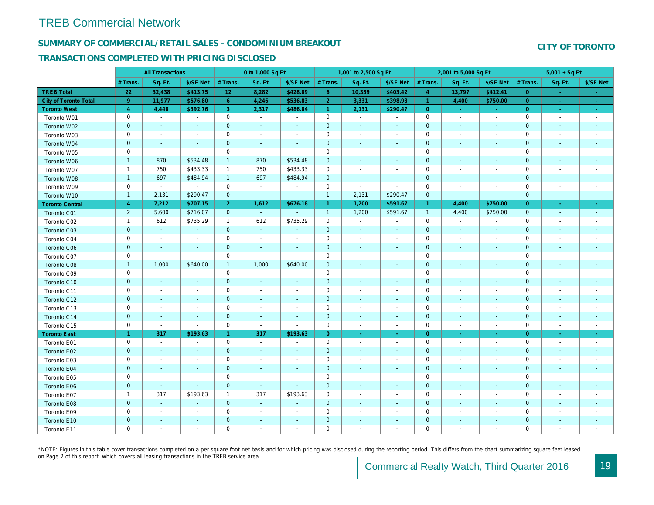#### SUMMARY OF COMMERCIAL/RETAIL SALES - CONDOMINIUM BREAKOUT

#### TRANSACTIONS COMPLETED WITH PRICING DISCLOSED

|                              |                | <b>All Transactions</b>  |                          |                      | 0 to 1,000 Sq Ft         |                          |                | 1,001 to 2,500 Sq Ft     |                          |                      | 2,001 to 5,000 Sq Ft     |                          |
|------------------------------|----------------|--------------------------|--------------------------|----------------------|--------------------------|--------------------------|----------------|--------------------------|--------------------------|----------------------|--------------------------|--------------------------|
|                              | # Trans        | Sq. Ft.                  | \$/SF Net                | # Trans.             | Sq. Ft.                  | \$/SF Net                | # Trans.       | Sq. Ft.                  | \$/SF Net                | # Trans.             | Sq. Ft.                  | \$/SF Ne                 |
| <b>TREB Total</b>            | 22             | 32,438                   | \$413.75                 | 12                   | 8,282                    | \$428.89                 | $6^{\circ}$    | 10,359                   | \$403.42                 | $\overline{4}$       | 13,797                   | \$412.4                  |
| <b>City of Toronto Total</b> | 9 <sup>°</sup> | 11,977                   | \$576.80                 | 6 <sup>°</sup>       | 4,246                    | \$536.83                 | $\overline{2}$ | 3,331                    | \$398.98                 | $\blacktriangleleft$ | 4,400                    | \$750.00                 |
| <b>Toronto West</b>          | $\overline{4}$ | 4,448                    | \$392.76                 | 3                    | 2,317                    | \$486.84                 | $\mathbf{1}$   | 2,131                    | \$290.47                 | $\overline{0}$       | $\omega$                 | $\sim$                   |
| Toronto W01                  | 0              | $\sim$                   | $\blacksquare$           | 0                    | $\sim$                   | $\blacksquare$           | $\mathsf 0$    | $\blacksquare$           | $\blacksquare$           | $\mathbf 0$          | $\blacksquare$           | $\sim$                   |
| Toronto W02                  | $\mathbf{0}$   | $\blacksquare$           |                          | $\mathbf 0$          | $\blacksquare$           | $\blacksquare$           | $\mathbf{0}$   | ÷,                       | ÷,                       | $\mathbf{0}$         | $\blacksquare$           | $\blacksquare$           |
| Toronto W03                  | $\mathbf 0$    | $\blacksquare$           |                          | $\mathbf 0$          | $\blacksquare$           | $\blacksquare$           | $\mathbf 0$    | $\blacksquare$           | $\blacksquare$           | $\mathbf 0$          | $\blacksquare$           | $\blacksquare$           |
| Toronto W04                  | $\pmb{0}$      | $\sim$                   |                          | $\mathbf 0$          | $\blacksquare$           | $\blacksquare$           | $\mathbf 0$    | $\blacksquare$           | $\blacksquare$           | $\mathbf{0}$         | $\blacksquare$           | $\overline{\phantom{a}}$ |
| Toronto W05                  | 0              | $\blacksquare$           | $\blacksquare$           | $\mathbf 0$          | $\sim$                   | $\blacksquare$           | $\mathbf 0$    | $\blacksquare$           | $\blacksquare$           | 0                    | $\blacksquare$           | $\blacksquare$           |
| Toronto W06                  | $\mathbf{1}$   | 870                      | \$534.48                 | $\mathbf{1}$         | 870                      | \$534.48                 | $\mathbf 0$    | $\sim$                   | ٠                        | $\mathbf 0$          | $\sim$                   | $\sim$                   |
| Toronto W07                  | $\mathbf{1}$   | 750                      | \$433.33                 | $\mathbf{1}$         | 750                      | \$433.33                 | $\mathbf 0$    | $\sim$                   | $\blacksquare$           | 0                    | $\sim$                   | $\overline{\phantom{a}}$ |
| Toronto W08                  | $\mathbf{1}$   | 697                      | \$484.94                 | $\mathbf{1}$         | 697                      | \$484.94                 | $\mathbf 0$    | $\blacksquare$           | $\sim$                   | $\mathbf{0}$         | $\blacksquare$           |                          |
| Toronto W09                  | $\mathbf 0$    | $\blacksquare$           | $\blacksquare$           | $\mathbf 0$          | $\blacksquare$           | $\blacksquare$           | $\mathbf 0$    | $\blacksquare$           | $\blacksquare$           | $\mathbf 0$          | ÷                        | $\overline{\phantom{a}}$ |
| Toronto W10                  | $\mathbf{1}$   | 2,131                    | \$290.47                 | $\mathbf{0}$         | $\sim$                   | $\blacksquare$           | $\mathbf{1}$   | 2,131                    | \$290.47                 | $\mathbf{0}$         | $\blacksquare$           | $\blacksquare$           |
| <b>Toronto Central</b>       | $\overline{4}$ | 7,212                    | \$707.15                 | 2 <sup>1</sup>       | 1,612                    | \$676.18                 | $\mathbf{1}$   | 1,200                    | \$591.67                 | $\mathbf{1}$         | 4,400                    | \$750.00                 |
| Toronto C01                  | $\overline{2}$ | 5,600                    | \$716.07                 | $\mathbf{0}$         | $\sim$                   | $\blacksquare$           | $\mathbf{1}$   | 1,200                    | \$591.67                 | $\overline{1}$       | 4,400                    | \$750.00                 |
| Toronto C02                  | $\mathbf{1}$   | 612                      | \$735.29                 | $\mathbf{1}$         | 612                      | \$735.29                 | $\mathbf 0$    | $\omega$                 | $\blacksquare$           | $\mathbf 0$          | $\blacksquare$           | $\blacksquare$           |
| Toronto C03                  | $\mathbf{0}$   | $\blacksquare$           | $\sim$                   | $\mathbf{0}$         | $\omega$                 | $\blacksquare$           | $\mathbf 0$    | $\blacksquare$           | $\blacksquare$           | $\mathbf{0}$         | $\blacksquare$           | $\blacksquare$           |
| Toronto C04                  | 0              | $\blacksquare$           |                          | $\mathbf 0$          | $\blacksquare$           | $\overline{\phantom{a}}$ | $\mathbf 0$    | $\overline{\phantom{a}}$ | $\overline{\phantom{a}}$ | $\mathbf 0$          | ÷,                       | $\blacksquare$           |
| <b>Toronto C06</b>           | $\mathbf 0$    | $\blacksquare$           | $\blacksquare$           | $\mathbf 0$          | $\blacksquare$           | $\blacksquare$           | $\mathbf 0$    | $\blacksquare$           | $\blacksquare$           | $\mathbf 0$          | $\blacksquare$           | $\blacksquare$           |
| Toronto C07                  | $\mathbf 0$    | $\sim$                   | $\sim$                   | $\mathbf 0$          | $\blacksquare$           | $\sim$                   | $\mathsf 0$    | ä,                       | $\sim$                   | $\mathbf 0$          | $\blacksquare$           | $\blacksquare$           |
| Toronto C08                  | $\mathbf{1}$   | 1,000                    | \$640.00                 | $\mathbf{1}$         | 1,000                    | \$640.00                 | $\mathbf 0$    | ٠                        | $\blacksquare$           | $\mathbf{0}$         | $\blacksquare$           | $\blacksquare$           |
| Toronto C09                  | 0              | $\blacksquare$           | $\overline{\phantom{a}}$ | $\mathbf 0$          | $\blacksquare$           | $\blacksquare$           | $\mathbf 0$    | $\blacksquare$           | $\sim$                   | 0                    | $\overline{\phantom{a}}$ | $\overline{\phantom{a}}$ |
| Toronto C10                  | $\mathbf{0}$   | $\sim$                   | $\sim$                   | $\mathbf{0}$         | $\sim$                   | $\blacksquare$           | $\mathbf{0}$   | $\sim$                   | $\sim$                   | $\mathbf 0$          | $\sim$                   | $\sim$                   |
| Toronto C11                  | 0              | $\blacksquare$           | $\overline{\phantom{a}}$ | $\mathbf 0$          | $\sim$                   | $\blacksquare$           | $\mathbf 0$    | $\blacksquare$           | $\blacksquare$           | $\mathbf 0$          | $\overline{\phantom{a}}$ | $\overline{\phantom{a}}$ |
| Toronto C12                  | $\mathbf{0}$   | $\sim$                   | $\sim$                   | $\mathbf 0$          | $\blacksquare$           | $\blacksquare$           | $\mathbf 0$    | $\sim$                   | $\sim$                   | $\mathbf 0$          | $\blacksquare$           | $\blacksquare$           |
| Toronto C13                  | 0              | $\overline{\phantom{a}}$ | $\overline{\phantom{a}}$ | 0                    | $\overline{\phantom{a}}$ | $\overline{\phantom{a}}$ | 0              | $\overline{\phantom{a}}$ | $\blacksquare$           | 0                    | $\overline{\phantom{a}}$ | $\overline{\phantom{a}}$ |
| Toronto C14                  | $\pmb{0}$      | $\sim$                   | $\sim$                   | $\mathbf{0}$         | $\sim$                   | $\blacksquare$           | $\mathbf 0$    | $\sim$                   | $\sim$                   | $\mathbf{0}$         | $\sim$                   | $\sim$                   |
| Toronto C15                  | 0              | $\sim$                   | $\blacksquare$           | $\mathbf 0$          | $\blacksquare$           | $\blacksquare$           | $\mathbf 0$    | $\blacksquare$           | $\blacksquare$           | $\mathbf 0$          | $\overline{\phantom{a}}$ | $\sim$                   |
| <b>Toronto East</b>          | $\mathbf{1}$   | 317                      | \$193.63                 | $\blacktriangleleft$ | 317                      | \$193.63                 | $\overline{0}$ | $\blacksquare$           | $\bullet$                | $\overline{0}$       | $\blacksquare$           | $\sim$                   |
| Toronto E01                  | 0              | $\sim$                   | $\sim$                   | $\mathbf 0$          | $\sim$                   | $\overline{\phantom{a}}$ | $\mathbf 0$    | $\sim$                   | $\sim$                   | $\mathbf 0$          | $\blacksquare$           | $\sim$                   |
| Toronto E02                  | $\mathbf{0}$   | $\sim$                   |                          | $\mathbf{0}$         | $\sim$                   | ٠                        | $\mathbf 0$    | $\blacksquare$           | $\sim$                   | $\mathbf{0}$         | $\sim$                   | $\blacksquare$           |
| Toronto E03                  | 0              | $\blacksquare$           | $\overline{\phantom{a}}$ | $\mathbf 0$          | $\blacksquare$           | $\blacksquare$           | $\pmb{0}$      | $\blacksquare$           | $\blacksquare$           | $\mathbf 0$          | $\blacksquare$           | $\blacksquare$           |
| Toronto E04                  | $\mathbf 0$    | $\blacksquare$           | $\sim$                   | $\mathbf 0$          | $\blacksquare$           | $\blacksquare$           | $\mathbf 0$    | ÷,                       | ٠                        | $\mathbf{0}$         | $\blacksquare$           |                          |
| Toronto E05                  | $\mathbf 0$    | $\blacksquare$           | $\sim$                   | $\mathbf 0$          | $\sim$                   | $\blacksquare$           | $\mathbf 0$    | $\sim$                   | $\blacksquare$           | $\mathbf 0$          | $\sim$                   | $\blacksquare$           |
| Toronto E06                  | $\pmb{0}$      | $\sim$                   | $\sim$                   | $\mathbf 0$          | $\sim$                   | $\blacksquare$           | $\mathbf 0$    |                          |                          | $\mathbf 0$          | $\sim$                   |                          |
| Toronto E07                  | $\mathbf{1}$   | 317                      | \$193.63                 | $\mathbf{1}$         | 317                      | \$193.63                 | $\mathbf 0$    | $\overline{\phantom{a}}$ | $\blacksquare$           | 0                    | $\blacksquare$           | $\overline{\phantom{a}}$ |
| Toronto E08                  | $\mathbf{0}$   | $\sim$                   | $\sim$                   | $\mathbf 0$          | $\sim$                   | $\blacksquare$           | $\mathbf{0}$   | $\sim$                   | $\sim$                   | $\mathbf 0$          | $\sim$                   | ٠                        |
| Toronto E09                  | 0              | $\sim$                   | $\sim$                   | $\mathbf 0$          | $\sim$                   | $\blacksquare$           | $\mathbf 0$    | ä,                       | $\blacksquare$           | $\mathbf 0$          | $\sim$                   | $\overline{\phantom{a}}$ |
| Toronto E10                  | $\mathbf{0}$   |                          |                          | $\mathbf 0$          | $\blacksquare$           | $\blacksquare$           | $\mathbf 0$    |                          | ٠                        | $\mathbf 0$          | $\sim$                   |                          |
| Toronto E11                  | $\mathbf 0$    | $\sim$                   |                          | $\mathbf 0$          | ÷,                       | $\blacksquare$           | $\mathbf 0$    |                          | $\blacksquare$           | $\mathbf 0$          |                          | $\overline{\phantom{a}}$ |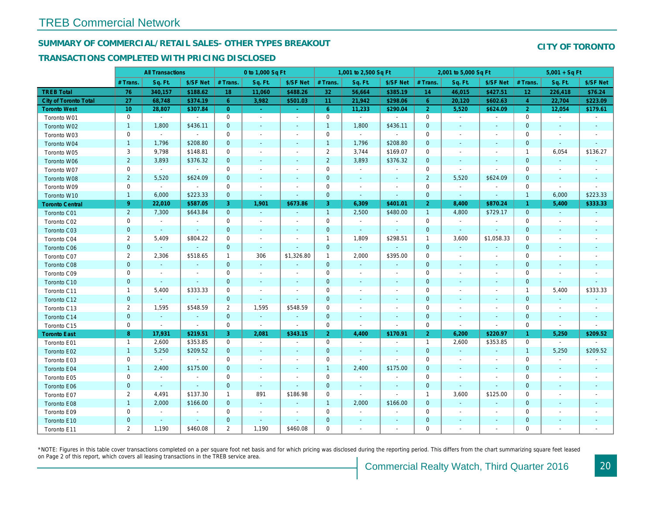## SUMMARY OF COMMERCIAL/RETAIL SALES- OTHER TYPES BREAKOUT

#### TRANSACTIONS COMPLETED WITH PRICING DISCLOSED

|                              | <b>All Transactions</b><br>Sq. Ft.<br># Trans. |                          |                | 0 to 1,000 Sq Ft |                          |                          |                | 1,001 to 2,500 Sq Ft     |                          |                |                          | 2,001 to 5,000 Sq Ft     |
|------------------------------|------------------------------------------------|--------------------------|----------------|------------------|--------------------------|--------------------------|----------------|--------------------------|--------------------------|----------------|--------------------------|--------------------------|
|                              |                                                |                          | \$/SF Net      | # Trans.         | Sq. Ft.                  | \$/SF Net                | # Trans.       | Sq. Ft.                  | \$/SF Net                | # Trans.       | Sq. Ft.                  | \$/SF Ne                 |
| <b>TREB Total</b>            | 76                                             | 340,157                  | \$188.62       | 18               | 11,060                   | \$488.26                 | 32             | 56,664                   | \$385.19                 | 14             | 46,015                   | \$427.5                  |
| <b>City of Toronto Total</b> | 27                                             | 68,748                   | \$374.19       | $6^{\circ}$      | 3,982                    | \$501.03                 | 11             | 21,942                   | \$298.06                 | 6              | 20,120                   | \$602.63                 |
| <b>Toronto West</b>          | 10                                             | 28,807                   | \$307.84       | $\overline{0}$   | $\sim$                   | $\sim$                   | $6^{\circ}$    | 11,233                   | \$290.04                 | $\overline{2}$ | 5,520                    | \$624.09                 |
| Toronto W01                  | 0                                              | $\sim$                   | $\sim$         | $\mathbf 0$      | $\blacksquare$           | $\omega$                 | $\mathbf 0$    | $\omega$                 | $\sim$                   | $\mathbf 0$    | $\blacksquare$           | $\sim$                   |
| Toronto W02                  | $\mathbf{1}$                                   | 1,800                    | \$436.11       | $\mathbf{0}$     | $\blacksquare$           | $\blacksquare$           | $\mathbf{1}$   | 1,800                    | \$436.11                 | $\mathbf{0}$   | $\blacksquare$           | $\sim$                   |
| Toronto W03                  | 0                                              | $\blacksquare$           | $\sim$         | $\mathbf 0$      | $\blacksquare$           | $\blacksquare$           | $\mathbf 0$    | $\blacksquare$           | $\sim$                   | $\mathbf 0$    | $\blacksquare$           | $\overline{\phantom{a}}$ |
| Toronto W04                  | $\mathbf{1}$                                   | 1,796                    | \$208.80       | $\mathbf 0$      | $\blacksquare$           | $\blacksquare$           | $\mathbf{1}$   | 1,796                    | \$208.80                 | $\mathbf 0$    | $\blacksquare$           | $\blacksquare$           |
| Toronto W05                  | 3                                              | 9,798                    | \$148.81       | 0                | $\blacksquare$           | $\overline{\phantom{a}}$ | $\overline{2}$ | 3,744                    | \$169.07                 | 0              | $\overline{\phantom{a}}$ | $\overline{\phantom{a}}$ |
| Toronto W06                  | $\overline{2}$                                 | 3,893                    | \$376.32       | $\mathbf{0}$     | $\blacksquare$           | $\blacksquare$           | $\overline{2}$ | 3,893                    | \$376.32                 | $\mathbf{0}$   | $\blacksquare$           | $\blacksquare$           |
| Toronto W07                  | $\mathbf 0$                                    | $\sim$                   | $\sim$         | $\mathbf 0$      | $\blacksquare$           | $\blacksquare$           | $\mathbf 0$    | $\blacksquare$           | $\blacksquare$           | $\mathbf 0$    | $\blacksquare$           | $\blacksquare$           |
| Toronto W08                  | $\overline{2}$                                 | 5,520                    | \$624.09       | $\mathbf{0}$     | $\blacksquare$           | $\blacksquare$           | $\mathbf 0$    | $\blacksquare$           | $\sim$                   | $\overline{2}$ | 5,520                    | \$624.09                 |
| Toronto W09                  | 0                                              | $\blacksquare$           | $\sim$         | $\mathbf 0$      | $\blacksquare$           | $\overline{\phantom{a}}$ | $\mathbf 0$    | $\blacksquare$           | $\blacksquare$           | $\mathbf 0$    | $\blacksquare$           | $\overline{\phantom{a}}$ |
| Toronto W10                  | $\mathbf{1}$                                   | 6,000                    | \$223.33       | $\mathbf 0$      | $\blacksquare$           | $\blacksquare$           | $\mathbf 0$    | $\blacksquare$           | $\blacksquare$           | $\mathbf 0$    | $\blacksquare$           | $\blacksquare$           |
| <b>Toronto Central</b>       | $9^{\circ}$                                    | 22,010                   | \$587.05       | 3                | 1,901                    | \$673.86                 | 3              | 6,309                    | \$401.01                 | 2              | 8,400                    | \$870.24                 |
| Toronto C01                  | $\overline{2}$                                 | 7,300                    | \$643.84       | $\mathbf{0}$     | $\omega$                 | $\omega$                 | $\mathbf{1}$   | 2,500                    | \$480.00                 | $\overline{1}$ | 4,800                    | \$729.17                 |
| Toronto C02                  | $\mathbf 0$                                    | $\blacksquare$           | $\blacksquare$ | $\mathbf 0$      | $\sim$                   | $\overline{\phantom{a}}$ | $\mathbf 0$    | $\blacksquare$           | $\blacksquare$           | $\mathbf 0$    | $\blacksquare$           | $\blacksquare$           |
| Toronto C03                  | $\mathbf{0}$                                   | $\sim$                   | $\sim$         | $\mathbf{0}$     | $\blacksquare$           | $\blacksquare$           | $\mathbf 0$    | $\blacksquare$           | $\blacksquare$           | $\mathbf 0$    | $\blacksquare$           | $\blacksquare$           |
| Toronto C04                  | $\overline{2}$                                 | 5,409                    | \$804.22       | 0                | $\blacksquare$           | $\overline{\phantom{a}}$ | $\mathbf{1}$   | 1,809                    | \$298.51                 | $\overline{1}$ | 3,600                    | \$1,058.3                |
| Toronto C06                  | $\mathbf{0}$                                   | $\omega$                 | $\omega$       | $\mathbf 0$      | $\omega$                 | $\blacksquare$           | $\mathbf{0}$   | $\omega$                 | $\omega$                 | $\mathbf 0$    | $\sim$                   | $\blacksquare$           |
| Toronto C07                  | 2                                              | 2,306                    | \$518.65       | $\mathbf{1}$     | 306                      | \$1,326.80               | $\mathbf{1}$   | 2,000                    | \$395.00                 | $\mathbf 0$    | $\blacksquare$           | $\blacksquare$           |
| Toronto C08                  | $\mathbf{0}$                                   | $\omega$                 | $\omega$       | $\mathbf{0}$     | $\omega$                 | $\blacksquare$           | $\mathbf{0}$   | $\omega$                 | $\omega$                 | $\mathbf{0}$   | $\omega$                 | $\blacksquare$           |
| Toronto C09                  | 0                                              | $\blacksquare$           | $\sim$         | 0                | $\sim$                   | $\blacksquare$           | $\mathbf 0$    | $\blacksquare$           | $\sim$                   | 0              | $\sim$                   | $\overline{\phantom{a}}$ |
| Toronto C10                  | $\mathbf{0}$                                   | $\sim$                   | $\sim$         | $\mathbf 0$      | $\sim$                   | $\overline{\phantom{a}}$ | $\mathbf 0$    | $\blacksquare$           | $\sim$                   | $\mathbf 0$    | $\blacksquare$           | $\blacksquare$           |
| Toronto C11                  | $\mathbf{1}$                                   | 5,400                    | \$333.33       | 0                | $\overline{\phantom{a}}$ | $\overline{\phantom{a}}$ | 0              | $\overline{\phantom{a}}$ | $\blacksquare$           | 0              | $\overline{\phantom{a}}$ | $\overline{\phantom{a}}$ |
| Toronto C12                  | $\mathbf{0}$                                   | $\omega$                 | $\sim$         | $\mathbf{0}$     | $\sim$                   | $\blacksquare$           | $\mathbf{0}$   | $\sim$                   | $\sim$                   | $\mathbf{0}$   | $\sim$                   | $\sim$                   |
| Toronto C13                  | $\overline{2}$                                 | 1,595                    | \$548.59       | $\overline{2}$   | 1,595                    | \$548.59                 | $\mathbf 0$    | $\blacksquare$           | $\overline{\phantom{a}}$ | $\mathbf 0$    | $\blacksquare$           | $\blacksquare$           |
| Toronto C14                  | $\mathbf{0}$                                   | $\sim$                   | $\sim$         | $\mathbf{0}$     | $\sim$                   | $\blacksquare$           | $\mathbf 0$    | $\sim$                   | $\sim$                   | $\mathbf{0}$   | $\blacksquare$           | $\sim$                   |
| Toronto C15                  | 0                                              | $\blacksquare$           | $\blacksquare$ | 0                | $\blacksquare$           | $\blacksquare$           | $\mathbf 0$    | $\blacksquare$           | $\blacksquare$           | $\mathbf 0$    | $\blacksquare$           | $\blacksquare$           |
| <b>Toronto East</b>          | 8                                              | 17,931                   | \$219.51       | 3                | 2,081                    | \$343.15                 | 2 <sup>1</sup> | 4,400                    | \$170.91                 | $\overline{2}$ | 6,200                    | \$220.97                 |
| Toronto E01                  | $\mathbf{1}$                                   | 2,600                    | \$353.85       | 0                | $\sim$                   | $\overline{\phantom{a}}$ | $\mathbf 0$    | $\sim$                   | $\sim$                   | $\overline{1}$ | 2,600                    | \$353.85                 |
| Toronto E02                  | $\mathbf{1}$                                   | 5,250                    | \$209.52       | $\mathbf{0}$     | $\sim$                   | $\sim$                   | $\mathbf 0$    | $\sim$                   | $\omega$                 | $\mathbf{0}$   | $\sim$                   | $\sim$                   |
| Toronto E03                  | 0                                              | $\blacksquare$           | $\mathbf{r}$   | $\mathbf 0$      | $\blacksquare$           | $\blacksquare$           | $\mathbf 0$    | $\omega$                 | $\blacksquare$           | $\mathbf 0$    | $\blacksquare$           | $\blacksquare$           |
| Toronto E04                  | $\mathbf{1}$                                   | 2,400                    | \$175.00       | $\mathbf{0}$     | $\blacksquare$           | $\blacksquare$           | $\mathbf{1}$   | 2,400                    | \$175.00                 | $\mathbf{0}$   | $\blacksquare$           |                          |
| Toronto E05                  | 0                                              | $\sim$                   | $\blacksquare$ | $\mathbf 0$      | $\overline{\phantom{a}}$ | $\overline{\phantom{a}}$ | $\mathbf 0$    | $\blacksquare$           | $\blacksquare$           | $\mathbf 0$    | $\blacksquare$           | $\blacksquare$           |
| Toronto E06                  | $\mathbf{0}$                                   | $\blacksquare$           | $\sim$         | $\mathbf{0}$     | $\blacksquare$           | $\blacksquare$           | $\mathbf 0$    | $\blacksquare$           | $\blacksquare$           | $\mathbf{0}$   | $\blacksquare$           |                          |
| Toronto E07                  | $\overline{2}$                                 | 4,491                    | \$137.30       | $\mathbf{1}$     | 891                      | \$186.98                 | $\mathbf 0$    | $\omega$                 | $\blacksquare$           | $\mathbf{1}$   | 3,600                    | \$125.00                 |
| Toronto E08                  | $\mathbf{1}$                                   | 2,000                    | \$166.00       | $\mathbf 0$      | $\blacksquare$           | $\blacksquare$           | $\mathbf{1}$   | 2,000                    | \$166.00                 | $\mathbf{0}$   | $\omega$                 | $\blacksquare$           |
| Toronto E09                  | 0                                              | $\sim$                   | $\blacksquare$ | $\mathbf 0$      | $\blacksquare$           | $\blacksquare$           | $\mathbf 0$    | $\sim$                   | $\blacksquare$           | $\mathbf 0$    | $\blacksquare$           | $\blacksquare$           |
| Toronto E10                  | $\mathbf 0$                                    | $\overline{\phantom{a}}$ | $\sim$         | $\mathbf 0$      | $\sim$                   | $\blacksquare$           | $\mathbf 0$    | $\blacksquare$           | $\sim$                   | $\mathbf 0$    | $\overline{\phantom{a}}$ | $\overline{\phantom{a}}$ |
| Toronto E11                  | 2                                              | 1,190                    | \$460.08       | $\overline{2}$   | 1,190                    | \$460.08                 | $\mathbf 0$    | $\blacksquare$           | $\blacksquare$           | $\mathbf 0$    | $\blacksquare$           | $\overline{\phantom{a}}$ |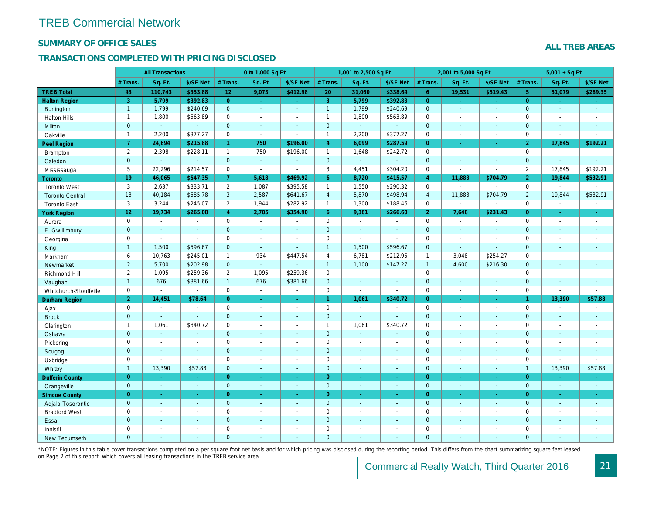#### SUMMARY OF OFFICE SALES

#### TRANSACTIONS COMPLETED WITH PRICING DISCLOSED

|                        |                 | <b>All Transactions</b> |                |                      | 0 to 1,000 Sq Ft |                      |                     | 1,001 to 2,500 Sq Ft |                |                | 2,001 to 5,000 Sq Ft |                          |
|------------------------|-----------------|-------------------------|----------------|----------------------|------------------|----------------------|---------------------|----------------------|----------------|----------------|----------------------|--------------------------|
|                        | # Trans.        | Sq. Ft.                 | \$/SF Net      | # Trans.             | Sq. Ft.          | \$/SF Net            | # Trans.            | Sq. Ft.              | \$/SF Net      | # Trans.       | Sq. Ft.              | \$/SF Ne                 |
| <b>TREB Total</b>      | 43              | 110,743                 | \$353.88       | 12                   | 9,073            | \$412.98             | 20                  | 31,060               | \$338.64       | $6^{\circ}$    | 19,531               | \$519.43                 |
| <b>Halton Region</b>   | 3 <sup>°</sup>  | 5,799                   | \$392.83       | $\overline{0}$       | $\sim$           | $\sigma_{\rm{eff}}$  | 3 <sup>°</sup>      | 5,799                | \$392.83       | $\overline{0}$ | $\blacksquare$       | $\sim$                   |
| <b>Burlington</b>      | $\mathbf{1}$    | 1,799                   | \$240.69       | $\mathbf{0}$         | $\omega$         | $\blacksquare$       | $\mathbf{1}$        | 1,799                | \$240.69       | $\mathbf{0}$   | $\blacksquare$       | $\bullet$                |
| <b>Halton Hills</b>    | $\mathbf{1}$    | 1,800                   | \$563.89       | $\mathbf 0$          | $\blacksquare$   | $\blacksquare$       | $\mathbf{1}$        | 1,800                | \$563.89       | $\mathbf{0}$   | ÷.                   | $\sim$                   |
| <b>Milton</b>          | $\mathbf{0}$    | $\omega$                | $\sim$         | $\mathbf{0}$         | $\omega$         | $\omega$             | $\mathbf{0}$        | $\omega$             | $\blacksquare$ | $\mathbf{0}$   | $\Delta$             | $\sim$                   |
| Oakville               | $\mathbf{1}$    | 2,200                   | \$377.27       | $\mathbf 0$          | $\mathbf{r}$     | $\sim$               | $\mathbf{1}$        | 2,200                | \$377.27       | $\mathbf 0$    | $\blacksquare$       | $\blacksquare$           |
| Peel Region            | 7 <sup>1</sup>  | 24,694                  | \$215.88       | $\blacktriangleleft$ | 750              | \$196.00             | $\overline{4}$      | 6,099                | \$287.59       | $\Omega$       | ÷.                   | $\sim$                   |
| Brampton               | $\overline{2}$  | 2,398                   | \$228.11       | $\mathbf{1}$         | 750              | \$196.00             | $\mathbf{1}$        | 1,648                | \$242.72       | $\mathbf 0$    | $\blacksquare$       | $\sim$                   |
| Caledon                | $\pmb{0}$       | $\omega$                | $\omega$       | $\mathbf 0$          | $\omega$         | $\omega$             | $\mathbf 0$         | $\omega$             | $\blacksquare$ | $\mathbf{0}$   | $\blacksquare$       | $\blacksquare$           |
| Mississauga            | 5               | 22,296                  | \$214.57       | $\mathbf 0$          | $\sim$           | $\sim$               | 3                   | 4,451                | \$304.20       | $\mathbf 0$    | $\blacksquare$       | $\blacksquare$           |
| <b>Toronto</b>         | 19              | 46,065                  | \$547.35       | $\mathbf{7}$         | 5,618            | \$469.92             | 6 <sup>°</sup>      | 8,720                | \$415.57       | $\overline{4}$ | 11,883               | \$704.79                 |
| <b>Toronto West</b>    | 3               | 2,637                   | \$333.71       | $\overline{2}$       | 1,087            | \$395.58             | $\mathbf{1}$        | 1,550                | \$290.32       | $\Omega$       |                      | $\sim$                   |
| <b>Toronto Central</b> | 13              | 40,184                  | \$585.78       | 3                    | 2,587            | \$641.67             | $\overline{4}$      | 5,870                | \$498.94       | $\overline{4}$ | 11,883               | \$704.79                 |
| <b>Toronto East</b>    | 3               | 3,244                   | \$245.07       | $\overline{2}$       | 1,944            | \$282.92             | $\mathbf{1}$        | 1,300                | \$188.46       | $\mathbf 0$    | $\blacksquare$       | $\blacksquare$           |
| <b>York Region</b>     | 12 <sub>2</sub> | 19,734                  | \$265.08       | $\overline{4}$       | 2,705            | \$354.90             | 6 <sup>°</sup>      | 9,381                | \$266.60       | $\overline{2}$ | 7,648                | \$231.43                 |
| Aurora                 | $\mathbf 0$     | $\blacksquare$          | $\blacksquare$ | $\mathbf 0$          | $\sim$           | $\blacksquare$       | $\mathbf 0$         | $\blacksquare$       | $\sim$         | $\mathbf 0$    | $\blacksquare$       | $\sim$                   |
| E. Gwillimbury         | $\mathbf{0}$    | $\sim$                  | $\sim$         | $\mathbf{0}$         | $\sim$           | $\blacksquare$       | $\mathbf 0$         | $\sim$               | $\sim$         | $\mathbf{0}$   | $\sim$               | $\sim$                   |
| Georgina               | $\mathbf 0$     | $\sim$                  | $\blacksquare$ | $\mathbf 0$          | $\sim$           | $\blacksquare$       | $\mathbf 0$         | $\blacksquare$       | ÷.             | $\mathbf 0$    | $\blacksquare$       | $\overline{\phantom{a}}$ |
| King                   | $\mathbf{1}$    | 1,500                   | \$596.67       | $\mathbf{0}$         | $\sim$           | $\sim$               | $\overline{1}$      | 1,500                | \$596.67       | $\mathbf{0}$   | $\omega$             | $\sim$                   |
| Markham                | 6               | 10,763                  | \$245.01       | $\mathbf{1}$         | 934              | \$447.54             | $\overline{4}$      | 6,781                | \$212.95       | $\mathbf{1}$   | 3,048                | \$254.27                 |
| Newmarket              | $\overline{2}$  | 5,700                   | \$202.98       | $\overline{0}$       | ä,               |                      | $\mathbf{1}$        | 1,100                | \$147.27       | $\mathbf{1}$   | 4,600                | \$216.30                 |
| Richmond Hill          | 2               | 1,095                   | \$259.36       | $\overline{2}$       | 1,095            | \$259.36             | $\mathbf 0$         | $\blacksquare$       | $\blacksquare$ | $\mathbf 0$    | $\blacksquare$       | $\blacksquare$           |
| Vaughan                | $\mathbf{1}$    | 676                     | \$381.66       | $\mathbf{1}$         | 676              | \$381.66             | $\mathbf{0}$        | $\mathbf{r}$         | $\mathbf{r}$   | $\mathbf{0}$   | $\mathbf{r}$         | $\sim$                   |
| Whitchurch-Stouffville | $\mathbf 0$     | $\blacksquare$          | $\blacksquare$ | 0                    | $\blacksquare$   | $\sim$               | $\mathsf 0$         | $\sim$               | $\sim$         | $\mathbf 0$    | $\blacksquare$       | $\blacksquare$           |
| Durham Region          | 2 <sup>1</sup>  | 14,451                  | \$78.64        | $\overline{0}$       | $\sim$           | $\frac{1}{\sqrt{2}}$ | $\mathbf{1}$        | 1,061                | \$340.72       | $\overline{0}$ | $\blacksquare$       | $\sigma_{\rm c}$         |
| Ajax                   | 0               | $\sim$                  | $\sim$         | $\mathbf 0$          | $\sim$           | $\blacksquare$       | $\mathbf 0$         | $\blacksquare$       | $\sim$         | $\Omega$       | $\blacksquare$       | $\sim$                   |
| <b>Brock</b>           | $\mathbf 0$     | $\omega$                | $\omega$       | $\mathbf{0}$         | $\mathbf{u}$     | $\blacksquare$       | $\mathbf 0$         | $\omega$             | $\omega$       | $\mathbf{0}$   | $\omega$             | $\blacksquare$           |
| Clarington             | $\mathbf{1}$    | 1,061                   | \$340.72       | $\mathbf 0$          | $\blacksquare$   | $\blacksquare$       | $\mathbf{1}$        | 1,061                | \$340.72       | $\mathbf 0$    | $\sim$               | $\blacksquare$           |
| Oshawa                 | $\mathbf{0}$    | $\sim$                  | $\sim$         | $\overline{0}$       | ä,               | $\blacksquare$       | $\mathbf{0}$        | $\blacksquare$       | $\blacksquare$ | $\mathbf{0}$   | $\blacksquare$       | $\blacksquare$           |
| Pickering              | $\mathbf 0$     | $\sim$                  |                | $\mathbf 0$          | $\blacksquare$   | $\blacksquare$       | $\mathbf 0$         | $\blacksquare$       | $\sim$         | $\mathbf 0$    | $\sim$               | $\blacksquare$           |
| Scugog                 | $\mathbf{0}$    | $\sim$                  | $\sim$         | $\mathbf 0$          | $\blacksquare$   | $\blacksquare$       | $\mathbf 0$         | $\blacksquare$       | $\blacksquare$ | $\mathbf{0}$   | $\blacksquare$       | $\blacksquare$           |
| Uxbridge               | 0               | $\sim$                  | $\sim$         | $\mathbf 0$          | $\blacksquare$   | $\blacksquare$       | $\mathbf 0$         | $\sim$               | $\blacksquare$ | $\mathbf 0$    | $\sim$               | $\blacksquare$           |
| Whitby                 | $\mathbf{1}$    | 13,390                  | \$57.88        | $\mathbf{0}$         | $\omega$         | $\sim$               | $\mathbf{0}$        | $\blacksquare$       | $\sim$         | $\mathbf{0}$   | $\blacksquare$       | $\sim$                   |
| <b>Dufferin County</b> | $\overline{0}$  | a.                      | $\sim$         | $\overline{0}$       | ÷.               | $\omega$             | $\overline{0}$      | ÷.                   | ÷.             | $\overline{0}$ | ÷.                   | $\sim$                   |
| Orangeville            | $\mathbf 0$     | $\omega$                | $\omega$       | $\overline{0}$       | $\omega$         | $\omega$             | $\mathbf{0}$        | $\omega$             | $\blacksquare$ | $\overline{0}$ | $\omega$             | $\bullet$ .              |
| <b>Simcoe County</b>   | $\overline{0}$  | $\omega$                | $\sim$         | $\overline{0}$       | $\omega$         | ÷.                   | $\overline{0}$      | $\omega$             | $\omega$       | $\overline{0}$ | $\omega$             | $\omega_{\rm c}$         |
| Adjala-Tosorontio      | $\mathbf 0$     | $\omega$                | $\sim$         | $\mathbf{0}$         | $\Delta$         | $\Delta$             | $\mathbf{0}$        | $\Delta$             | $\Delta$       | $\overline{0}$ | $\Delta$             | $\sim$                   |
| <b>Bradford West</b>   | $\mathbf 0$     | $\blacksquare$          | $\sim$         | $\pmb{0}$            | $\overline{a}$   | $\blacksquare$       | $\mathsf{O}\xspace$ | $\blacksquare$       | $\omega$       | $\mathbf 0$    | $\blacksquare$       | $\omega$                 |
| Essa                   | $\mathbf{0}$    |                         |                | $\overline{0}$       | $\sim$           | $\blacksquare$       | $\mathbf 0$         |                      | $\omega$       | $\mathbf{0}$   | $\sim$               |                          |
| Innisfil               | $\mathbf 0$     | $\blacksquare$          | $\sim$         | $\mathbf 0$          | $\blacksquare$   | $\blacksquare$       | $\mathbf 0$         | ä,                   | $\blacksquare$ | $\mathbf 0$    | $\sim$               | $\blacksquare$           |
| New Tecumseth          | $\Omega$        |                         |                | $\Omega$             |                  |                      | $\mathbf{0}$        |                      |                | $\Omega$       |                      |                          |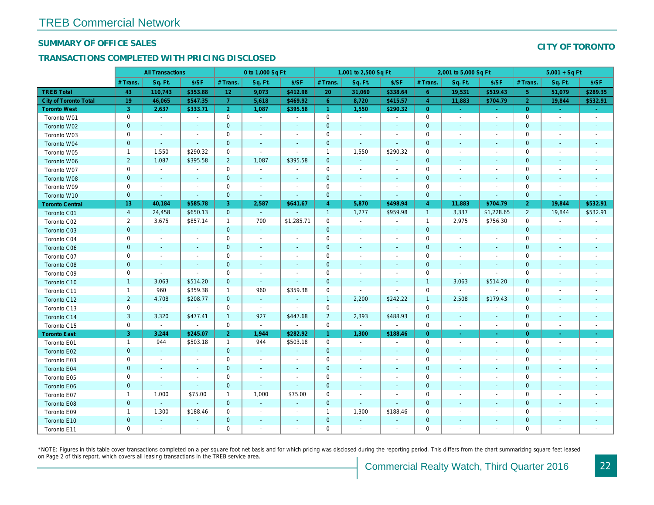#### SUMMARY OF OFFICE SALES

#### TRANSACTIONS COMPLETED WITH PRICING DISCLOSED

|                        |                | <b>All Transactions</b>  |                          |                 | 0 to 1,000 Sq Ft         |                          |                | 1,001 to 2,500 Sq Ft     |                          |                | 2,001 to 5,000 Sq Ft     |                          |
|------------------------|----------------|--------------------------|--------------------------|-----------------|--------------------------|--------------------------|----------------|--------------------------|--------------------------|----------------|--------------------------|--------------------------|
|                        | # Trans        | Sq. Ft.                  | \$/SF                    | # Trans.        | Sq. Ft.                  | \$/SF                    | # Trans.       | Sq. Ft.                  | \$/SF                    | # Trans.       | Sq. Ft.                  | \$/SF                    |
| <b>TREB Total</b>      | 43             | 110,743                  | \$353.88                 | 12 <sub>1</sub> | 9,073                    | \$412.98                 | 20             | 31,060                   | \$338.64                 | 6              | 19,531                   | \$519.43                 |
| City of Toronto Total  | 19             | 46,065                   | \$547.35                 | $\overline{7}$  | 5,618                    | \$469.92                 | $6\phantom{1}$ | 8,720                    | \$415.57                 | $\overline{4}$ | 11,883                   | \$704.79                 |
| <b>Toronto West</b>    | 3              | 2,637                    | \$333.71                 | 2 <sup>1</sup>  | 1,087                    | \$395.58                 | $\overline{1}$ | 1,550                    | \$290.32                 | $\overline{0}$ | $\sim$                   | $\sim$                   |
| Toronto W01            | $\pmb{0}$      | $\sim$                   | $\blacksquare$           | $\mathbf 0$     | $\sim$                   | $\blacksquare$           | $\mathbf 0$    | $\blacksquare$           | $\blacksquare$           | $\mathbf 0$    | $\sim$                   | $\sim$                   |
| Toronto W02            | $\mathbf 0$    | $\sim$                   | $\sim$                   | $\mathbf 0$     | $\sim$                   | $\blacksquare$           | $\mathbf 0$    | $\sim$                   |                          | $\mathbf 0$    | $\blacksquare$           | $\sim$                   |
| Toronto W03            | $\mathbf 0$    | $\sim$                   | $\sim$                   | $\mathbf 0$     | $\blacksquare$           | $\blacksquare$           | $\mathbf 0$    | $\blacksquare$           | $\blacksquare$           | $\mathbf 0$    | $\sim$                   | $\sim$                   |
| Toronto W04            | $\mathbf 0$    | $\sim$                   | $\omega$                 | $\mathbf 0$     | $\blacksquare$           | $\blacksquare$           | 0              | $\sim$                   | $\sim$                   | $\mathbf 0$    | $\blacksquare$           | $\overline{\phantom{a}}$ |
| Toronto W05            | $\mathbf{1}$   | 1,550                    | \$290.32                 | 0               | ÷,                       | $\overline{\phantom{a}}$ | $\overline{1}$ | 1,550                    | \$290.32                 | $\mathbf 0$    | $\blacksquare$           | $\overline{\phantom{a}}$ |
| Toronto W06            | $\overline{2}$ | 1,087                    | \$395.58                 | $\overline{2}$  | 1,087                    | \$395.58                 | $\mathbf 0$    | $\blacksquare$           |                          | $\mathbf 0$    | $\blacksquare$           | $\sim$                   |
| Toronto W07            | $\mathbf 0$    | $\blacksquare$           | $\blacksquare$           | $\mathbf 0$     | $\blacksquare$           | $\blacksquare$           | 0              | $\blacksquare$           | $\sim$                   | $\mathbf 0$    | $\sim$                   | $\overline{\phantom{a}}$ |
| Toronto W08            | $\pmb{0}$      | $\blacksquare$           | $\sim$                   | $\mathbf{0}$    | $\blacksquare$           | $\blacksquare$           | $\pmb{0}$      | $\blacksquare$           | $\overline{\phantom{a}}$ | $\mathbf 0$    | $\blacksquare$           | $\blacksquare$           |
| Toronto W09            | $\mathbf 0$    | $\overline{\phantom{a}}$ | $\overline{\phantom{a}}$ | $\mathbf 0$     | $\overline{\phantom{a}}$ | $\overline{\phantom{a}}$ | 0              | $\blacksquare$           | $\overline{\phantom{a}}$ | $\mathbf 0$    |                          | $\overline{\phantom{a}}$ |
| Toronto W10            | $\mathbf 0$    | $\blacksquare$           | $\blacksquare$           | $\mathbf{0}$    | $\blacksquare$           | $\blacksquare$           | $\pmb{0}$      | $\blacksquare$           | $\blacksquare$           | $\mathbf 0$    | ٠                        | $\blacksquare$           |
| <b>Toronto Central</b> | 13             | 40,184                   | \$585.78                 | 3               | 2,587                    | \$641.67                 | $\overline{4}$ | 5,870                    | \$498.94                 | $\overline{4}$ | 11,883                   | \$704.79                 |
| Toronto C01            | $\overline{4}$ | 24,458                   | \$650.13                 | $\mathbf{0}$    | $\blacksquare$           |                          | $\overline{1}$ | 1,277                    | \$959.98                 | $\mathbf{1}$   | 3,337                    | \$1,228.6                |
| Toronto C02            | $\overline{2}$ | 3,675                    | \$857.14                 | $\mathbf{1}$    | 700                      | \$1,285.71               | 0              | $\blacksquare$           |                          | $\mathbf{1}$   | 2,975                    | \$756.30                 |
| Toronto C03            | $\mathbf 0$    | $\blacksquare$           | $\blacksquare$           | $\mathbf{0}$    | $\blacksquare$           | $\blacksquare$           | $\pmb{0}$      | $\blacksquare$           | $\sim$                   | $\mathbf 0$    | $\blacksquare$           | $\blacksquare$           |
| Toronto C04            | $\pmb{0}$      | $\blacksquare$           | $\blacksquare$           | $\mathbf 0$     | $\blacksquare$           | $\overline{\phantom{a}}$ | $\pmb{0}$      | $\blacksquare$           | $\overline{\phantom{a}}$ | 0              | $\blacksquare$           | $\blacksquare$           |
| <b>Toronto C06</b>     | $\mathbf 0$    | $\sim$                   | $\sim$                   | $\mathbf{0}$    | $\blacksquare$           | $\blacksquare$           | $\mathbf 0$    | $\sim$                   | $\overline{\phantom{a}}$ | $\mathbf 0$    | $\sim$                   | $\sim$                   |
| Toronto C07            | $\mathbf 0$    | $\sim$                   | $\sim$                   | $\mathbf 0$     | $\blacksquare$           | $\blacksquare$           | $\mathbf 0$    | $\blacksquare$           | $\overline{\phantom{a}}$ | $\mathbf 0$    | $\overline{\phantom{a}}$ | $\blacksquare$           |
| <b>Toronto C08</b>     | $\mathbf 0$    | $\blacksquare$           | $\omega$                 | $\mathbf{0}$    | ä,                       | $\blacksquare$           | $\mathbf 0$    | $\sim$                   | $\overline{\phantom{a}}$ | $\mathbf 0$    | $\blacksquare$           | $\sim$                   |
| Toronto C09            | 0              | $\blacksquare$           | $\blacksquare$           | 0               | $\blacksquare$           | $\blacksquare$           | 0              | $\blacksquare$           | $\overline{\phantom{a}}$ | 0              | $\sim$                   | $\blacksquare$           |
| Toronto C10            | $\mathbf{1}$   | 3,063                    | \$514.20                 | $\mathbf 0$     | $\sim$                   | $\sim$                   | $\mathbf 0$    | $\sim$                   | $\sim$                   | $\mathbf{1}$   | 3,063                    | \$514.20                 |
| Toronto C11            | $\mathbf{1}$   | 960                      | \$359.38                 | $\mathbf{1}$    | 960                      | \$359.38                 | 0              | $\blacksquare$           | $\blacksquare$           | $\mathbf 0$    | $\blacksquare$           | $\sim$                   |
| Toronto C12            | $\overline{2}$ | 4,708                    | \$208.77                 | $\mathbf{0}$    | $\omega$                 | $\blacksquare$           | $\overline{1}$ | 2,200                    | \$242.22                 | $\mathbf{1}$   | 2,508                    | \$179.43                 |
| Toronto C13            | 0              | $\blacksquare$           | $\blacksquare$           | 0               | $\sim$                   | $\blacksquare$           | 0              | $\sim$                   |                          | 0              | $\blacksquare$           | $\overline{\phantom{a}}$ |
| Toronto C14            | $\mathbf{3}$   | 3,320                    | \$477.41                 | $\mathbf{1}$    | 927                      | \$447.68                 | $\overline{2}$ | 2,393                    | \$488.93                 | $\mathbf 0$    | $\overline{\phantom{a}}$ | $\blacksquare$           |
| Toronto C15            | $\mathbf 0$    | $\sim$                   | $\omega$                 | $\mathbf 0$     | $\omega$                 | $\bullet$                | $\mathbf 0$    | $\blacksquare$           |                          | $\mathbf 0$    | $\blacksquare$           | $\blacksquare$           |
| <b>Toronto East</b>    | 3              | 3,244                    | \$245.07                 | 2 <sup>1</sup>  | 1,944                    | \$282.92                 | $\mathbf{1}$   | 1,300                    | \$188.46                 | $\overline{0}$ |                          | $\sigma$                 |
| Toronto E01            | $\mathbf{1}$   | 944                      | \$503.18                 | $\mathbf{1}$    | 944                      | \$503.18                 | $\mathbf 0$    | $\sim$                   | $\overline{\phantom{a}}$ | $\mathbf 0$    | $\blacksquare$           | $\sim$                   |
| Toronto E02            | $\pmb{0}$      | $\blacksquare$           |                          | $\mathbf{0}$    | ä,                       |                          | $\pmb{0}$      | $\blacksquare$           |                          | $\mathbf 0$    |                          | $\blacksquare$           |
| Toronto E03            | $\pmb{0}$      | $\sim$                   | $\blacksquare$           | $\mathbf 0$     | $\blacksquare$           | $\blacksquare$           | $\pmb{0}$      | $\blacksquare$           | $\blacksquare$           | $\mathbf 0$    | $\blacksquare$           | $\blacksquare$           |
| Toronto E04            | $\mathbf 0$    | $\blacksquare$           | $\blacksquare$           | $\mathbf 0$     | $\blacksquare$           | $\blacksquare$           | $\mathbf 0$    | $\blacksquare$           | $\overline{\phantom{a}}$ | $\pmb{0}$      | $\blacksquare$           | $\overline{\phantom{a}}$ |
| Toronto E05            | $\mathbf 0$    | $\sim$                   | $\blacksquare$           | $\mathbf 0$     | $\blacksquare$           | $\blacksquare$           | 0              | $\blacksquare$           | $\overline{\phantom{a}}$ | $\mathbf 0$    | $\blacksquare$           | $\sim$                   |
| <b>Toronto E06</b>     | $\pmb{0}$      | $\sim$                   | $\sim$                   | $\mathbf 0$     | $\sim$                   | $\blacksquare$           | 0              | $\sim$                   |                          | $\mathbf 0$    | $\blacksquare$           | $\overline{\phantom{a}}$ |
| Toronto E07            | $\mathbf{1}$   | 1,000                    | \$75.00                  | $\mathbf{1}$    | 1,000                    | \$75.00                  | 0              | $\overline{\phantom{a}}$ | $\overline{\phantom{a}}$ | $\mathbf 0$    | $\overline{\phantom{a}}$ | $\overline{\phantom{a}}$ |
| Toronto E08            | $\mathbf 0$    | $\omega$                 | $\sim$                   | $\mathbf{0}$    | $\blacksquare$           | $\blacksquare$           | $\mathbf{0}$   | $\sim$                   | $\sim$                   | $\mathbf{0}$   | $\sim$                   | $\sim$                   |
| Toronto E09            | $\mathbf{1}$   | 1,300                    | \$188.46                 | $\mathbf 0$     | $\blacksquare$           | $\overline{\phantom{a}}$ | $\overline{1}$ | 1,300                    | \$188.46                 | $\pmb{0}$      |                          | $\overline{\phantom{a}}$ |
| Toronto E10            | $\pmb{0}$      | $\blacksquare$           | $\blacksquare$           | $\mathbf{0}$    | $\blacksquare$           | $\blacksquare$           | $\mathbf 0$    | $\blacksquare$           |                          | $\mathbf 0$    | $\blacksquare$           | ٠                        |
| Toronto E11            | $\mathbf 0$    | $\blacksquare$           | $\blacksquare$           | $\mathbf 0$     | $\ddot{\phantom{1}}$     | $\ddot{\phantom{1}}$     | 0              | $\blacksquare$           |                          | $\mathbf 0$    |                          | $\sim$                   |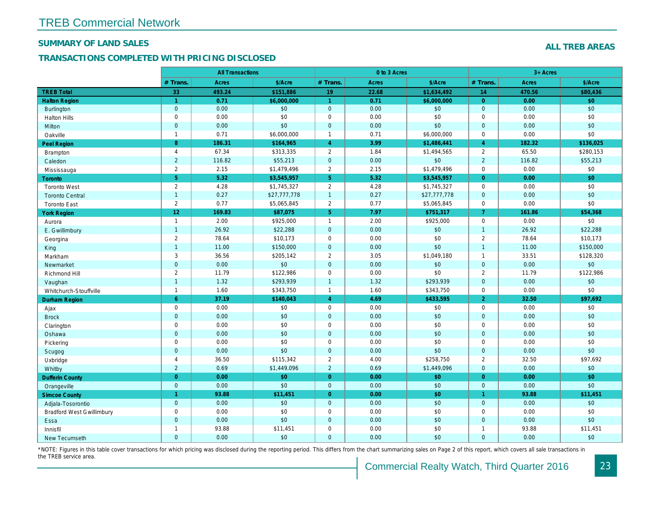#### SUMMARY OF LAND SALES

#### TRANSACTIONS COMPLETED WITH PRICING DISCLOSED

|                                  |                      | <b>All Transactions</b> |              |                      | 0 to 3 Acres |              |                |  |
|----------------------------------|----------------------|-------------------------|--------------|----------------------|--------------|--------------|----------------|--|
|                                  | # Trans.             | <b>Acres</b>            | \$/Acre      | # Trans.             | Acres        | \$/Acre      | # Trans.       |  |
| <b>TREB Total</b>                | 33                   | 493.24                  | \$151,886    | 19                   | 22.68        | \$1,634,492  | 14             |  |
| <b>Halton Region</b>             | $\blacktriangleleft$ | 0.71                    | \$6,000,000  | $\blacktriangleleft$ | 0.71         | \$6,000,000  | $\Omega$       |  |
| <b>Burlington</b>                | $\mathbf{0}$         | 0.00                    | \$0          | $\mathbf{0}$         | 0.00         | \$0          | $\mathbf{0}$   |  |
| <b>Halton Hills</b>              | $\mathbf 0$          | 0.00                    | \$0          | $\mathbf 0$          | 0.00         | \$0          | $\mathbf{0}$   |  |
| <b>Milton</b>                    | $\mathbf{0}$         | 0.00                    | \$0          | $\overline{0}$       | 0.00         | \$0          | $\overline{0}$ |  |
| Oakville                         | $\overline{1}$       | 0.71                    | \$6,000,000  | $\overline{1}$       | 0.71         | \$6,000,000  | 0              |  |
| <b>Peel Region</b>               | 8 <sup>°</sup>       | 186.31                  | \$164,965    | $\overline{4}$       | 3.99         | \$1,486,441  | $\overline{4}$ |  |
| Brampton                         | $\overline{4}$       | 67.34                   | \$313,335    | $\overline{2}$       | 1.84         | \$1,494,565  | $\overline{2}$ |  |
| Caledon                          | $\overline{2}$       | 116.82                  | \$55,213     | $\mathbf 0$          | 0.00         | \$0          | $\overline{2}$ |  |
| Mississauga                      | $\overline{2}$       | 2.15                    | \$1,479,496  | 2                    | 2.15         | \$1,479,496  | 0              |  |
| Toronto                          | 5 <sup>5</sup>       | 5.32                    | \$3,545,957  | 5 <sup>5</sup>       | 5.32         | \$3,545,957  | $\overline{0}$ |  |
| <b>Toronto West</b>              | $\overline{2}$       | 4.28                    | \$1,745,327  | $\overline{2}$       | 4.28         | \$1,745,327  | 0              |  |
| <b>Toronto Central</b>           | $\overline{1}$       | 0.27                    | \$27,777,778 | $\overline{1}$       | 0.27         | \$27,777,778 | $\overline{0}$ |  |
| <b>Toronto East</b>              | 2                    | 0.77                    | \$5,065,845  | 2                    | 0.77         | \$5,065,845  | 0              |  |
| <b>York Region</b>               | 12 <sub>2</sub>      | 169.83                  | \$87,075     | 5 <sup>5</sup>       | 7.97         | \$751,317    | $\overline{7}$ |  |
| Aurora                           | $\mathbf{1}$         | 2.00                    | \$925,000    | $\overline{1}$       | 2.00         | \$925,000    | 0              |  |
| E. Gwillimbury                   | $\overline{1}$       | 26.92                   | \$22,288     | $\mathbf{0}$         | 0.00         | \$0          | $\mathbf{1}$   |  |
| Georgina                         | $\overline{2}$       | 78.64                   | \$10,173     | $\mathbf 0$          | 0.00         | \$0          | $\overline{2}$ |  |
| King                             | $\overline{1}$       | 11.00                   | \$150,000    | $\mathbf{0}$         | 0.00         | \$0          | $\mathbf{1}$   |  |
| Markham                          | 3                    | 36.56                   | \$205,142    | 2                    | 3.05         | \$1,049,180  | $\overline{1}$ |  |
| Newmarket                        | $\mathbf{0}$         | 0.00                    | \$0          | $\mathbf 0$          | 0.00         | \$0          | $\mathbf{0}$   |  |
| Richmond Hill                    | $\overline{2}$       | 11.79                   | \$122,986    | $\mathbf 0$          | 0.00         | \$0          | $\overline{2}$ |  |
| Vaughan                          | $\overline{1}$       | 1.32                    | \$293,939    | $\overline{1}$       | 1.32         | \$293,939    | $\overline{0}$ |  |
| Whitchurch-Stouffville           | $\mathbf{1}$         | 1.60                    | \$343,750    | $\overline{1}$       | 1.60         | \$343,750    | $\mathbf{0}$   |  |
| <b>Durham Region</b>             | $6^{\circ}$          | 37.19                   | \$140,043    | $\overline{4}$       | 4.69         | \$433,595    | 2 <sup>1</sup> |  |
| Ajax                             | $\mathbf 0$          | 0.00                    | \$0          | $\mathbf 0$          | 0.00         | \$0          | 0              |  |
| <b>Brock</b>                     | $\mathbf{0}$         | 0.00                    | \$0          | $\mathbf{0}$         | 0.00         | \$0          | $\mathbf{0}$   |  |
| Clarington                       | $\mathbf 0$          | 0.00                    | \$0          | $\mathbf 0$          | 0.00         | \$0          | 0              |  |
| Oshawa                           | $\mathbf 0$          | 0.00                    | \$0          | $\mathbf 0$          | 0.00         | \$0          | $\mathbf{0}$   |  |
| Pickering                        | $\mathbf 0$          | 0.00                    | \$0          | $\mathbf 0$          | 0.00         | \$0          | 0              |  |
| Scugog                           | $\mathbf{0}$         | 0.00                    | \$0          | $\overline{0}$       | 0.00         | \$0          | $\overline{0}$ |  |
| Uxbridge                         | $\overline{4}$       | 36.50                   | \$115,342    | $\overline{2}$       | 4.00         | \$258,750    | $\mathbf{2}$   |  |
| Whitby                           | $\overline{2}$       | 0.69                    | \$1,449,096  | 2                    | 0.69         | \$1,449,096  | $\overline{0}$ |  |
| <b>Dufferin County</b>           | $\overline{0}$       | 0.00                    | \$0          | $\overline{0}$       | 0.00         | \$0          | $\overline{0}$ |  |
| Orangeville                      | $\mathbf{0}$         | 0.00                    | \$0          | $\overline{0}$       | 0.00         | \$0          | $\overline{0}$ |  |
| <b>Simcoe County</b>             | $\overline{1}$       | 93.88                   | \$11,451     | $\overline{0}$       | 0.00         | \$0          | $\mathbf{1}$   |  |
| Adjala-Tosorontio                | $\mathbf{0}$         | 0.00                    | \$0          | $\mathbf 0$          | 0.00         | \$0          | $\mathbf{0}$   |  |
| <b>Bradford West Gwillimbury</b> | $\mathbf 0$          | 0.00                    | \$0          | $\mathbf 0$          | 0.00         | \$0          | 0              |  |
| Essa                             | $\mathbf{0}$         | 0.00                    | \$0          | $\overline{0}$       | 0.00         | \$0          | $\mathbf{0}$   |  |
| Innisfil                         | $\mathbf{1}$         | 93.88                   | \$11,451     | $\mathbf 0$          | 0.00         | \$0          | -1             |  |
| <b>New Tecumseth</b>             | $\overline{0}$       | 0.00                    | \$0          | $\Omega$             | 0.00         | \$0          | $\mathbf{0}$   |  |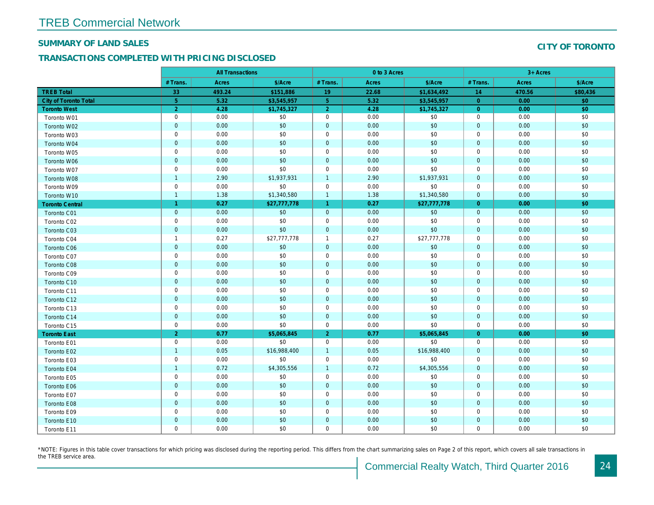#### SUMMARY OF LAND SALES

#### TRANSACTIONS COMPLETED WITH PRICING DISCLOSED

|                              |                | <b>All Transactions</b> |              |                | 0 to 3 Acres |              |                |  |
|------------------------------|----------------|-------------------------|--------------|----------------|--------------|--------------|----------------|--|
|                              | # Trans.       | <b>Acres</b>            | \$/Acre      | # Trans.       | <b>Acres</b> | \$/Acre      | # Trans.       |  |
| <b>TREB Total</b>            | 33             | 493.24                  | \$151,886    | 19             | 22.68        | \$1,634,492  | 14             |  |
| <b>City of Toronto Total</b> | 5 <sup>5</sup> | 5.32                    | \$3,545,957  | 5 <sup>1</sup> | 5.32         | \$3,545,957  | $\overline{0}$ |  |
| <b>Toronto West</b>          | 2              | 4.28                    | \$1,745,327  | $\overline{2}$ | 4.28         | \$1,745,327  | $\overline{0}$ |  |
| Toronto W01                  | $\mathbf 0$    | 0.00                    | \$0          | $\mathbf 0$    | 0.00         | \$0          | $\mathbf 0$    |  |
| Toronto W02                  | $\mathbf 0$    | 0.00                    | \$0          | $\mathbf{0}$   | 0.00         | \$0          | $\mathbf{0}$   |  |
| Toronto W03                  | $\mathbf 0$    | 0.00                    | \$0          | $\mathbf 0$    | 0.00         | \$0          | $\mathbf 0$    |  |
| Toronto W04                  | $\mathbf 0$    | 0.00                    | \$0          | $\mathbf{0}$   | 0.00         | \$0          | $\mathbf{0}$   |  |
| Toronto W05                  | $\mathbf 0$    | 0.00                    | \$0          | $\mathbf 0$    | 0.00         | \$0          | $\mathbf 0$    |  |
| Toronto W06                  | $\mathbf{0}$   | 0.00                    | \$0          | $\mathbf{0}$   | 0.00         | \$0          | $\mathbf{0}$   |  |
| Toronto W07                  | $\mathbf 0$    | 0.00                    | \$0          | $\mathbf 0$    | 0.00         | \$0          | $\mathbf 0$    |  |
| Toronto W08                  | $\overline{1}$ | 2.90                    | \$1,937,931  | $\overline{1}$ | 2.90         | \$1,937,931  | $\mathbf{0}$   |  |
| Toronto W09                  | $\mathbf 0$    | 0.00                    | \$0          | $\mathbf 0$    | 0.00         | \$0          | $\mathbf 0$    |  |
| Toronto W10                  | $\overline{1}$ | 1.38                    | \$1,340,580  | $\mathbf{1}$   | 1.38         | \$1,340,580  | $\overline{0}$ |  |
| <b>Toronto Central</b>       | $\overline{1}$ | 0.27                    | \$27,777,778 | $\overline{1}$ | 0.27         | \$27,777,778 | $\overline{0}$ |  |
| Toronto C01                  | $\mathbf 0$    | 0.00                    | $$0$         | $\mathbf{0}$   | 0.00         | \$0          | $\mathbf{0}$   |  |
| Toronto C02                  | $\mathbf 0$    | 0.00                    | \$0          | $\mathbf{0}$   | 0.00         | \$0          | $\mathbf{0}$   |  |
| Toronto C03                  | $\overline{0}$ | 0.00                    | \$0          | $\mathbf 0$    | 0.00         | \$0          | $\mathbf{0}$   |  |
| Toronto C04                  | $\overline{1}$ | 0.27                    | \$27,777,778 | $\mathbf{1}$   | 0.27         | \$27,777,778 | $\mathbf 0$    |  |
| Toronto C06                  | $\mathbf 0$    | 0.00                    | \$0          | $\mathbf 0$    | 0.00         | \$0          | $\mathbf 0$    |  |
| Toronto C07                  | $\mathbf 0$    | 0.00                    | \$0          | $\mathbf 0$    | 0.00         | \$0          | $\mathbf 0$    |  |
| <b>Toronto C08</b>           | $\mathbf 0$    | 0.00                    | \$0          | $\mathbf{0}$   | 0.00         | \$0          | $\mathbf{0}$   |  |
| Toronto C09                  | $\mathbf 0$    | 0.00                    | \$0          | $\mathbf 0$    | 0.00         | \$0          | $\mathbf 0$    |  |
| Toronto C10                  | $\mathbf{0}$   | 0.00                    | \$0          | $\mathbf{0}$   | 0.00         | \$0          | $\mathbf{0}$   |  |
| Toronto C11                  | $\mathbf 0$    | 0.00                    | \$0          | $\mathbf 0$    | 0.00         | \$0          | $\mathbf 0$    |  |
| Toronto C12                  | $\mathbf 0$    | 0.00                    | \$0          | $\mathbf{0}$   | 0.00         | \$0          | $\mathbf{0}$   |  |
| Toronto C13                  | $\mathsf 0$    | 0.00                    | \$0          | $\mathbf 0$    | 0.00         | \$0          | $\mathbf 0$    |  |
| Toronto C14                  | $\mathbf 0$    | 0.00                    | \$0          | $\overline{0}$ | 0.00         | \$0          | $\mathbf{0}$   |  |
| Toronto C15                  | $\mathbf 0$    | 0.00                    | \$0          | $\mathbf 0$    | 0.00         | \$0          | $\mathbf 0$    |  |
| <b>Toronto East</b>          | $\overline{2}$ | 0.77                    | \$5,065,845  | $\overline{2}$ | 0.77         | \$5,065,845  | $\overline{0}$ |  |
| Toronto E01                  | $\mathbf 0$    | 0.00                    | \$0          | $\mathbf{0}$   | 0.00         | \$0          | $\mathbf{0}$   |  |
| Toronto E02                  | $\overline{1}$ | 0.05                    | \$16,988,400 | $\overline{1}$ | 0.05         | \$16,988,400 | $\mathbf{0}$   |  |
| Toronto E03                  | $\mathbf 0$    | 0.00                    | \$0          | $\mathbf 0$    | 0.00         | \$0          | $\mathbf 0$    |  |
| Toronto E04                  | $\overline{1}$ | 0.72                    | \$4,305,556  | $\overline{1}$ | 0.72         | \$4,305,556  | $\mathbf{0}$   |  |
| Toronto E05                  | $\mathbf 0$    | 0.00                    | \$0          | $\mathbf{0}$   | 0.00         | \$0          | $\mathbf 0$    |  |
| Toronto E06                  | $\mathbf 0$    | 0.00                    | \$0          | $\mathbf{0}$   | 0.00         | \$0          | $\mathbf{0}$   |  |
| Toronto E07                  | $\mathbf 0$    | 0.00                    | \$0          | $\mathbf 0$    | 0.00         | \$0          | $\mathbf 0$    |  |
| Toronto E08                  | $\mathbf{0}$   | 0.00                    | \$0          | $\mathbf{0}$   | 0.00         | \$0          | $\mathbf{0}$   |  |
| Toronto E09                  | $\mathbf 0$    | 0.00                    | \$0          | $\mathbf 0$    | 0.00         | \$0          | $\mathbf 0$    |  |
| Toronto E10                  | $\mathbf 0$    | 0.00                    | \$0          | $\mathbf{0}$   | 0.00         | \$0          | $\mathbf{0}$   |  |
| Toronto E11                  | $\mathbf 0$    | 0.00                    | \$0          | $\mathbf 0$    | 0.00         | \$0          | $\mathbf 0$    |  |